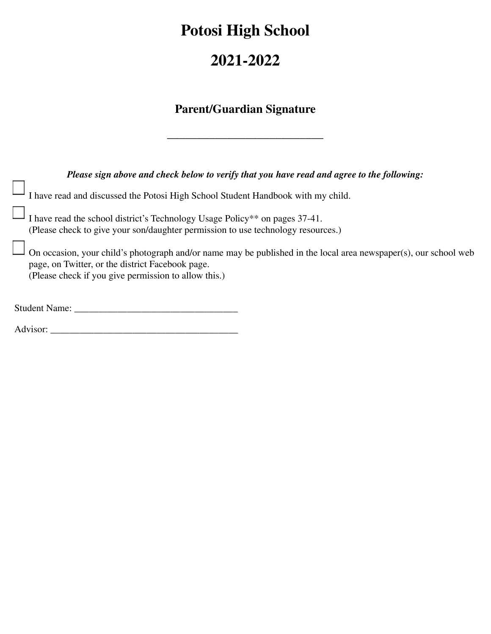# **Potosi High School**

# **2021-2022**

# **Parent/Guardian Signature**

**\_\_\_\_\_\_\_\_\_\_\_\_\_\_\_\_\_\_\_\_\_\_\_\_\_\_**

| Please sign above and check below to verify that you have read and agree to the following:                                                                                                                                   |  |
|------------------------------------------------------------------------------------------------------------------------------------------------------------------------------------------------------------------------------|--|
| I have read and discussed the Potosi High School Student Handbook with my child.                                                                                                                                             |  |
| I have read the school district's Technology Usage Policy** on pages 37-41.<br>(Please check to give your son/daughter permission to use technology resources.)                                                              |  |
| On occasion, your child's photograph and/or name may be published in the local area newspaper(s), our school web<br>page, on Twitter, or the district Facebook page.<br>(Please check if you give permission to allow this.) |  |
| <b>Student Name:</b> Student Name:                                                                                                                                                                                           |  |
|                                                                                                                                                                                                                              |  |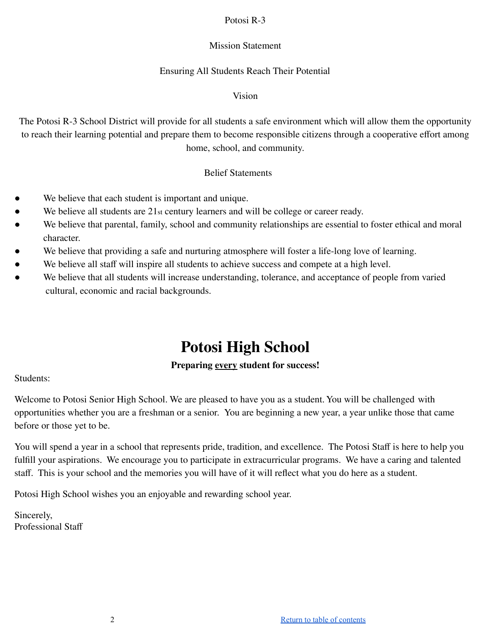# Potosi R-3

# Mission Statement

# Ensuring All Students Reach Their Potential

## Vision

The Potosi R-3 School District will provide for all students a safe environment which will allow them the opportunity to reach their learning potential and prepare them to become responsible citizens through a cooperative effort among home, school, and community.

# Belief Statements

- We believe that each student is important and unique.
- We believe all students are 21st century learners and will be college or career ready.
- We believe that parental, family, school and community relationships are essential to foster ethical and moral character.
- We believe that providing a safe and nurturing atmosphere will foster a life-long love of learning.
- We believe all staff will inspire all students to achieve success and compete at a high level.
- We believe that all students will increase understanding, tolerance, and acceptance of people from varied cultural, economic and racial backgrounds.

# **Potosi High School**

# **Preparing every student for success!**

# Students:

Welcome to Potosi Senior High School. We are pleased to have you as a student. You will be challenged with opportunities whether you are a freshman or a senior. You are beginning a new year, a year unlike those that came before or those yet to be.

You will spend a year in a school that represents pride, tradition, and excellence. The Potosi Staff is here to help you fulfill your aspirations. We encourage you to participate in extracurricular programs. We have a caring and talented staff. This is your school and the memories you will have of it will reflect what you do here as a student.

Potosi High School wishes you an enjoyable and rewarding school year.

Sincerely, Professional Staff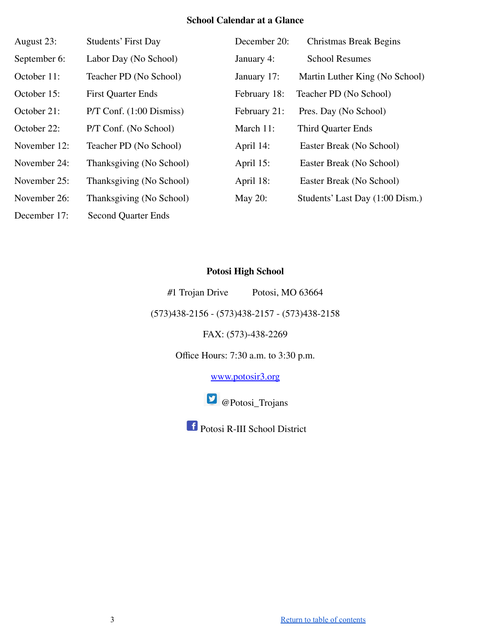#### **School Calendar at a Glance**

| August 23:   | <b>Students' First Day</b>   | December 20: | <b>Christmas Break Begins</b>   |
|--------------|------------------------------|--------------|---------------------------------|
| September 6: | Labor Day (No School)        | January 4:   | <b>School Resumes</b>           |
| October 11:  | Teacher PD (No School)       | January 17:  | Martin Luther King (No School)  |
| October 15:  | <b>First Quarter Ends</b>    | February 18: | Teacher PD (No School)          |
| October 21:  | $P/T$ Conf. $(1:00$ Dismiss) | February 21: | Pres. Day (No School)           |
| October 22:  | P/T Conf. (No School)        | March 11:    | <b>Third Quarter Ends</b>       |
| November 12: | Teacher PD (No School)       | April 14:    | Easter Break (No School)        |
| November 24: | Thanksgiving (No School)     | April 15:    | Easter Break (No School)        |
| November 25: | Thanksgiving (No School)     | April 18:    | Easter Break (No School)        |
| November 26: | Thanksgiving (No School)     | May 20:      | Students' Last Day (1:00 Dism.) |
|              |                              |              |                                 |

December 17: Second Quarter Ends

# **Potosi High School**

#1 Trojan Drive Potosi, MO 63664

(573)438-2156 - (573)438-2157 - (573)438-2158

FAX: (573)-438-2269

Office Hours: 7:30 a.m. to 3:30 p.m.

[www.potosir3.org](http://www.potosir3.org)



Potosi R-III School District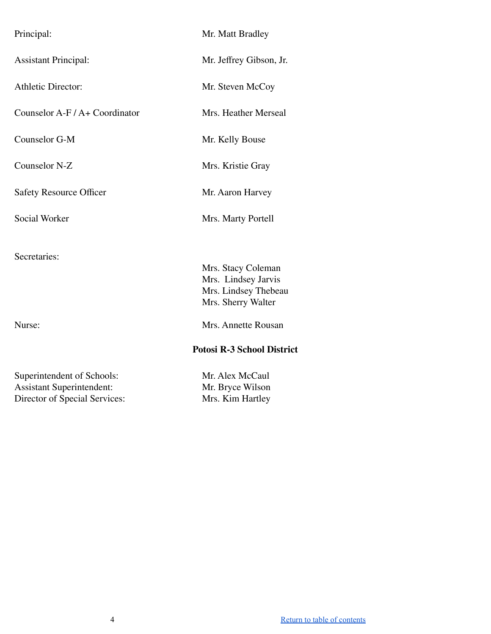| Principal:                                                     | Mr. Matt Bradley                                                                        |
|----------------------------------------------------------------|-----------------------------------------------------------------------------------------|
| <b>Assistant Principal:</b>                                    | Mr. Jeffrey Gibson, Jr.                                                                 |
| <b>Athletic Director:</b>                                      | Mr. Steven McCoy                                                                        |
| Counselor $A-F/A+$ Coordinator                                 | Mrs. Heather Merseal                                                                    |
| Counselor G-M                                                  | Mr. Kelly Bouse                                                                         |
| Counselor N-Z                                                  | Mrs. Kristie Gray                                                                       |
| <b>Safety Resource Officer</b>                                 | Mr. Aaron Harvey                                                                        |
| Social Worker                                                  | Mrs. Marty Portell                                                                      |
| Secretaries:                                                   | Mrs. Stacy Coleman<br>Mrs. Lindsey Jarvis<br>Mrs. Lindsey Thebeau<br>Mrs. Sherry Walter |
| Nurse:                                                         | Mrs. Annette Rousan                                                                     |
|                                                                | <b>Potosi R-3 School District</b>                                                       |
| Superintendent of Schools:<br><b>Assistant Superintendent:</b> | Mr. Alex McCaul<br>Mr. Bryce Wilson                                                     |

Director of Special Services: Mrs. Kim Hartley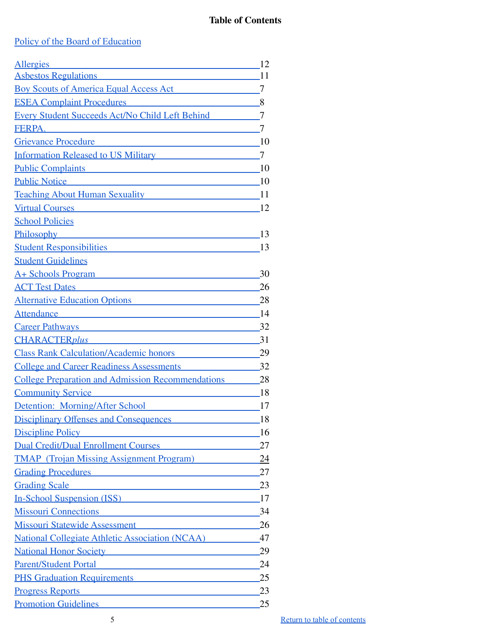# <span id="page-4-0"></span>[Policy of the Board of Education](#page-6-0)

| <b>Allergies</b><br><u> 1989 - Johann Stein, marwolaethau a bhann an t-Albann an t-Albann an t-Albann an t-Albann an t-Albann an t-Al</u>                                                                                           | 12  |
|-------------------------------------------------------------------------------------------------------------------------------------------------------------------------------------------------------------------------------------|-----|
| Asbestos Regulations <b>Example 2018</b>                                                                                                                                                                                            | -11 |
| <b>Boy Scouts of America Equal Access Act</b> 7                                                                                                                                                                                     |     |
| ESEA Complaint Procedures 8                                                                                                                                                                                                         |     |
| <b>Every Student Succeeds Act/No Child Left Behind</b>                                                                                                                                                                              | 7   |
| FERPA, EXPLORE AND THE CONTROL CONTROL CONTROL CONTROL CONTROL CONTROL CONTROL CONTROL CONTROL CONTROL CONTROL CONTROL CONTROL CONTROL CONTROL CONTROL CONTROL CONTROL CONTROL CONTROL CONTROL CONTROL CONTROL CONTROL CONTROL      | 7   |
| <u> 1980 - Jan James James Barbara, martxa a filosofoar a filosofoar a filosofoar a filosofoar a filosofoar a fil</u><br><b>Grievance Procedure</b>                                                                                 | 10  |
| Information Released to US Military                                                                                                                                                                                                 | 7   |
| Public Complaints 10                                                                                                                                                                                                                |     |
| Public Notice Public Notice                                                                                                                                                                                                         | 10  |
| Teaching About Human Sexuality 11                                                                                                                                                                                                   |     |
| Virtual Courses <b>Executive Services Courses</b>                                                                                                                                                                                   | 12  |
| <b>School Policies</b>                                                                                                                                                                                                              |     |
| <u>Philosophy</u>                                                                                                                                                                                                                   | 13  |
| <b>Student Responsibilities Example 2014</b>                                                                                                                                                                                        | 13  |
| <b>Student Guidelines</b>                                                                                                                                                                                                           |     |
| A + Schools Program                                                                                                                                                                                                                 | 30  |
| <b>ACT Test Dates <i>ACT Test Dates</i></b>                                                                                                                                                                                         | 26  |
| Alternative Education Options 28                                                                                                                                                                                                    |     |
| Attendance 14                                                                                                                                                                                                                       |     |
| <b>Career Pathways Career Pathways</b>                                                                                                                                                                                              | 32  |
| <u>CHARACTERplus</u>                                                                                                                                                                                                                | 31  |
| <b>Class Rank Calculation/Academic honors</b>                                                                                                                                                                                       | 29  |
| College and Career Readiness Assessments 32                                                                                                                                                                                         |     |
| <b>College Preparation and Admission Recommendations 28</b>                                                                                                                                                                         |     |
| <b>Community Service</b> Community Service                                                                                                                                                                                          | 18  |
| Detention: Morning/After School                                                                                                                                                                                                     | 17  |
| Disciplinary Offenses and Consequences                                                                                                                                                                                              | 18  |
| Discipline Policy <b>Discipline Policy</b>                                                                                                                                                                                          | 16  |
| <b>Dual Credit/Dual Enrollment Courses</b>                                                                                                                                                                                          | 27  |
| <b>TMAP</b> (Trojan Missing Assignment Program)                                                                                                                                                                                     | 24  |
| Grading Procedures <b>Constanting Constanting Procedures</b>                                                                                                                                                                        | 27  |
| <b>Grading Scale</b><br>the control of the control of the control of the control of the control of the control of                                                                                                                   | 23  |
| <u>In-School Suspension (ISS)</u> 17                                                                                                                                                                                                |     |
| <b>Missouri Connections</b><br><u> 1980 - Johann Stoff, fransk politik (d. 1980)</u>                                                                                                                                                | 34  |
| <b>Missouri Statewide Assessment</b> Missouri Statewide Assessment                                                                                                                                                                  | 26  |
| <b>National Collegiate Athletic Association (NCAA)</b>                                                                                                                                                                              | 47  |
| <b>National Honor Society</b> Material Accords 2014 12:00 Material Accords 2014 12:00 Material Accords 2014 12:00 Material Accords 2014 12:00 Material Accords 2014 12:00 Material Accords 2014 12:00 Material Accords 2014 12:00 M | 29  |
| Parent/Student Portal                                                                                                                                                                                                               | 24  |
| <b>PHS Graduation Requirements <i>CHS</i> CONS CONS CONS CONS CONS CONS CONS CONS CONS CONS CONS CONS CONS CONS CONS CONS CONS CONS CONS CONS CONS CONS CONS CONS CONS CONS C</b>                                                   | 25  |
| <b>Progress Reports</b><br><u> 1989 - Johann Barbara, martxa alemaniar a</u>                                                                                                                                                        | 23  |
| Promotion Guidelines <b>Promotion</b>                                                                                                                                                                                               | 25  |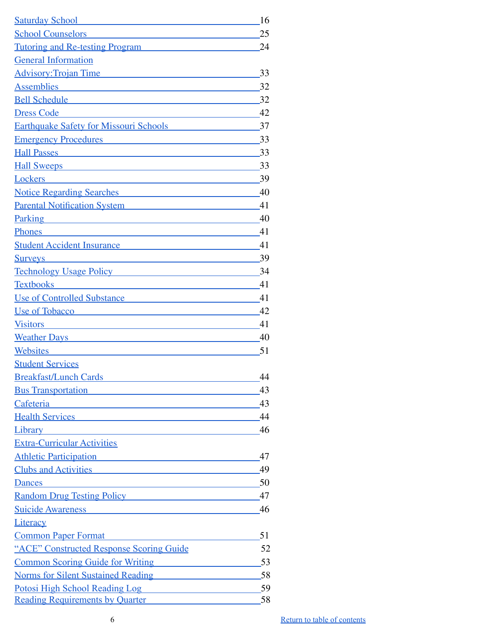| Saturday School Saturday School                                                                                                                                                                                                                       | -16 |
|-------------------------------------------------------------------------------------------------------------------------------------------------------------------------------------------------------------------------------------------------------|-----|
|                                                                                                                                                                                                                                                       | 25  |
| <u>Tutoring and Re-testing Program Tutoring and Re-testing Program</u>                                                                                                                                                                                | 24  |
| <b>General Information</b>                                                                                                                                                                                                                            |     |
| Advisory: Trojan Time                                                                                                                                                                                                                                 | 33  |
| Assemblies and the second contract of the second second second second second second second second second second second second second second second second second second second second second second second second second secon                        | 32  |
| Bell Schedule <b>Executive Executive Contract Contract Contract Contract Contract Contract Contract Contract Contract Contract Contract Contract Contract Contract Contract Contract Contract Contract Contract Contract Contrac</b>                  | 32  |
| $\overline{a}$ 42<br><b>Dress Code</b>                                                                                                                                                                                                                |     |
| Earthquake Safety for Missouri Schools 37                                                                                                                                                                                                             |     |
| <u>Emergency Procedures</u>                                                                                                                                                                                                                           | 33  |
| Hall Passes 33                                                                                                                                                                                                                                        |     |
| Hall Sweeps 33                                                                                                                                                                                                                                        |     |
| Lockers 39                                                                                                                                                                                                                                            |     |
| Notice Regarding Searches 40                                                                                                                                                                                                                          |     |
| Parental Notification System<br>The System<br>The System<br>The System<br>The System<br>The System<br>The System<br>The System<br>The System<br>The System<br>The System System<br>The System System<br>The System System System System System System | 41  |
| Parking 40                                                                                                                                                                                                                                            |     |
| Phones 41                                                                                                                                                                                                                                             |     |
| Student Accident Insurance                                                                                                                                                                                                                            | 41  |
| <u>Surveys</u> 39                                                                                                                                                                                                                                     |     |
| <b>Technology Usage Policy Example 2016</b>                                                                                                                                                                                                           | 34  |
| Textbooks 41                                                                                                                                                                                                                                          |     |
| Use of Controlled Substance 41                                                                                                                                                                                                                        |     |
| Use of Tobacco                                                                                                                                                                                                                                        | 42  |
| Visitors 41                                                                                                                                                                                                                                           |     |
| <u>Weather Days</u> 40                                                                                                                                                                                                                                |     |
| <b>Websites Websites</b>                                                                                                                                                                                                                              | 51  |
| <b>Student Services</b>                                                                                                                                                                                                                               |     |
| Breakfast/Lunch Cards and the contract of the set of the set of the set of the set of the set of the set of the                                                                                                                                       | 44  |
| <b>Bus Transportation</b>                                                                                                                                                                                                                             | 43  |
| Cafeteria et al. 2003 a contra la contra del contra la contra del contra la contra del contra la contra del co                                                                                                                                        | 43  |
| Health Services <b>Exercises Exercises Exercises Exercises Exercises</b>                                                                                                                                                                              | 44  |
| Library Library and the contract of the contract of the contract of the contract of the contract of the contract of the contract of the contract of the contract of the contract of the contract of the contract of the contra                        | 46  |
| <b>Extra-Curricular Activities</b>                                                                                                                                                                                                                    |     |
| Athletic Participation <b>Athletic Participation</b>                                                                                                                                                                                                  | 47  |
| Clubs and Activities                                                                                                                                                                                                                                  | 49  |
| Dances <u>and the community of the community of the community of the community of the community of the community of the community of the community of the community of the community of the community of the community of the co</u>                  | 50  |
| Random Drug Testing Policy 47                                                                                                                                                                                                                         |     |
| Suicide Awareness <b>Constantine Awareness Constantine Awareness</b>                                                                                                                                                                                  | 46  |
| <b>Literacy</b>                                                                                                                                                                                                                                       |     |
| <b>Common Paper Format Common Paper</b> Format                                                                                                                                                                                                        | 51  |
| "ACE" Constructed Response Scoring Guide                                                                                                                                                                                                              | 52  |
| <b>Common Scoring Guide for Writing Common Scoring Guide for Writing</b>                                                                                                                                                                              | 53  |
| <b>Norms for Silent Sustained Reading Manual Property Assembly</b>                                                                                                                                                                                    | 58  |
| Potosi High School Reading Log Notes and The Potosi High School Reading Log                                                                                                                                                                           | 59  |
| <b>Reading Requirements by Quarter</b> Reading Requirements by Quarter                                                                                                                                                                                | 58  |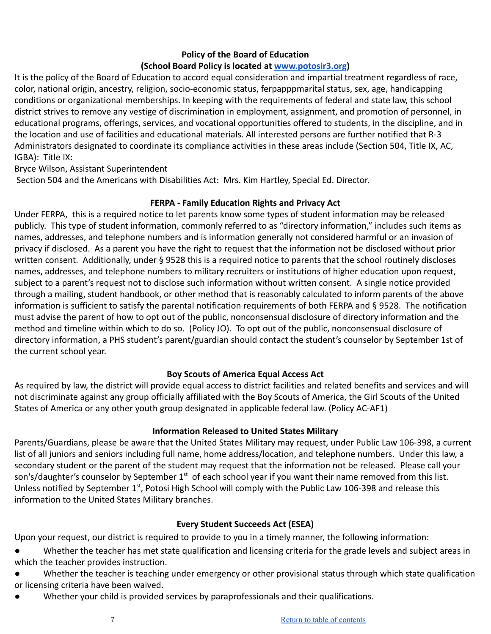# **Policy of the Board of Education (School Board Policy is located at [www.potosir3.org](http://www.potosir3.org))**

<span id="page-6-0"></span>It is the policy of the Board of Education to accord equal consideration and impartial treatment regardless of race, color, national origin, ancestry, religion, socio-economic status, ferpapppmarital status, sex, age, handicapping conditions or organizational memberships. In keeping with the requirements of federal and state law, this school district strives to remove any vestige of discrimination in employment, assignment, and promotion of personnel, in educational programs, offerings, services, and vocational opportunities offered to students, in the discipline, and in the location and use of facilities and educational materials. All interested persons are further notified that R-3 Administrators designated to coordinate its compliance activities in these areas include (Section 504, Title IX, AC, IGBA): Title IX:

Bryce Wilson, Assistant Superintendent

Section 504 and the Americans with Disabilities Act: Mrs. Kim Hartley, Special Ed. Director.

# **FERPA - Family Education Rights and Privacy Act**

<span id="page-6-3"></span>Under FERPA, this is a required notice to let parents know some types of student information may be released publicly. This type of student information, commonly referred to as "directory information," includes such items as names, addresses, and telephone numbers and is information generally not considered harmful or an invasion of privacy if disclosed. As a parent you have the right to request that the information not be disclosed without prior written consent. Additionally, under § 9528 this is a required notice to parents that the school routinely discloses names, addresses, and telephone numbers to military recruiters or institutions of higher education upon request, subject to a parent's request not to disclose such information without written consent. A single notice provided through a mailing, student handbook, or other method that is reasonably calculated to inform parents of the above information is sufficient to satisfy the parental notification requirements of both FERPA and § 9528. The notification must advise the parent of how to opt out of the public, nonconsensual disclosure of directory information and the method and timeline within which to do so. (Policy JO). To opt out of the public, nonconsensual disclosure of directory information, a PHS student's parent/guardian should contact the student's counselor by September 1st of the current school year.

# **Boy Scouts of America Equal Access Act**

<span id="page-6-1"></span>As required by law, the district will provide equal access to district facilities and related benefits and services and will not discriminate against any group officially affiliated with the Boy Scouts of America, the Girl Scouts of the United States of America or any other youth group designated in applicable federal law. (Policy AC-AF1)

# **Information Released to United States Military**

<span id="page-6-4"></span>Parents/Guardians, please be aware that the United States Military may request, under Public Law 106-398, a current list of all juniors and seniors including full name, home address/location, and telephone numbers. Under this law, a secondary student or the parent of the student may request that the information not be released. Please call your son's/daughter's counselor by September  $1<sup>st</sup>$  of each school year if you want their name removed from this list. Unless notified by September  $1<sup>st</sup>$ , Potosi High School will comply with the Public Law 106-398 and release this information to the United States Military branches.

# **Every Student Succeeds Act (ESEA)**

<span id="page-6-2"></span>Upon your request, our district is required to provide to you in a timely manner, the following information:

- Whether the teacher has met state qualification and licensing criteria for the grade levels and subject areas in which the teacher provides instruction.
- Whether the teacher is teaching under emergency or other provisional status through which state qualification or licensing criteria have been waived.
- Whether your child is provided services by paraprofessionals and their qualifications.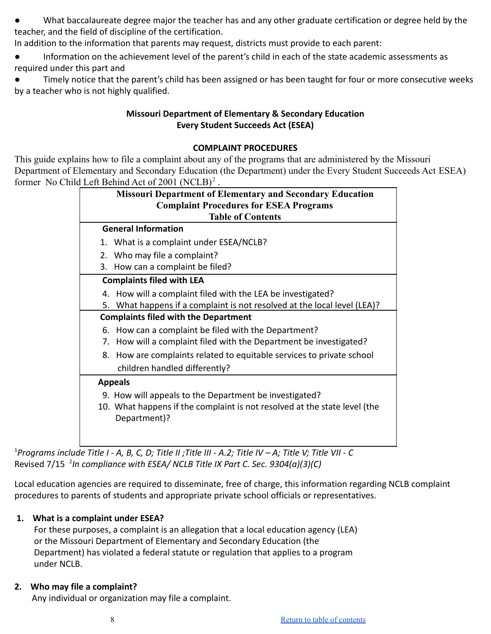What baccalaureate degree major the teacher has and any other graduate certification or degree held by the teacher, and the field of discipline of the certification.

In addition to the information that parents may request, districts must provide to each parent:

- Information on the achievement level of the parent's child in each of the state academic assessments as required under this part and
- Timely notice that the parent's child has been assigned or has been taught for four or more consecutive weeks by a teacher who is not highly qualified.

# **Missouri Department of Elementary & Secondary Education Every Student Succeeds Act (ESEA)**

# **COMPLAINT PROCEDURES**

<span id="page-7-0"></span>This guide explains how to file a complaint about any of the programs that are administered by the Missouri Department of Elementary and Secondary Education (the Department) under the Every Student Succeeds Act ESEA) former No Child Left Behind Act of  $2001$  (NCLB)<sup>2</sup>.

| <b>Missouri Department of Elementary and Secondary Education</b>            |  |  |  |
|-----------------------------------------------------------------------------|--|--|--|
| <b>Complaint Procedures for ESEA Programs</b>                               |  |  |  |
| <b>Table of Contents</b>                                                    |  |  |  |
| <b>General Information</b>                                                  |  |  |  |
| 1. What is a complaint under ESEA/NCLB?                                     |  |  |  |
| 2. Who may file a complaint?                                                |  |  |  |
| How can a complaint be filed?<br>3.                                         |  |  |  |
| <b>Complaints filed with LEA</b>                                            |  |  |  |
| How will a complaint filed with the LEA be investigated?<br>4.              |  |  |  |
| What happens if a complaint is not resolved at the local level (LEA)?<br>5. |  |  |  |
| <b>Complaints filed with the Department</b>                                 |  |  |  |
| How can a complaint be filed with the Department?<br>6.                     |  |  |  |
| How will a complaint filed with the Department be investigated?<br>7.       |  |  |  |
| How are complaints related to equitable services to private school<br>8.    |  |  |  |
| children handled differently?                                               |  |  |  |
| <b>Appeals</b>                                                              |  |  |  |
| 9. How will appeals to the Department be investigated?                      |  |  |  |
| 10. What happens if the complaint is not resolved at the state level (the   |  |  |  |
| Department)?                                                                |  |  |  |
|                                                                             |  |  |  |
|                                                                             |  |  |  |

<sup>1</sup>*Programs include Title I - A, B, C, D; Title II ;Title III - A.2; Title IV – A; Title V; Title VII - C* Revised 7/15 <sup>2</sup> *In compliance with ESEA/ NCLB Title IX Part C. Sec. 9304(a)(3)(C)*

Local education agencies are required to disseminate, free of charge, this information regarding NCLB complaint procedures to parents of students and appropriate private school officials or representatives.

# **1. What is a complaint under ESEA?**

For these purposes, a complaint is an allegation that a local education agency (LEA) or the Missouri Department of Elementary and Secondary Education (the Department) has violated a federal statute or regulation that applies to a program under NCLB.

# **2. Who may file a complaint?**

Any individual or organization may file a complaint.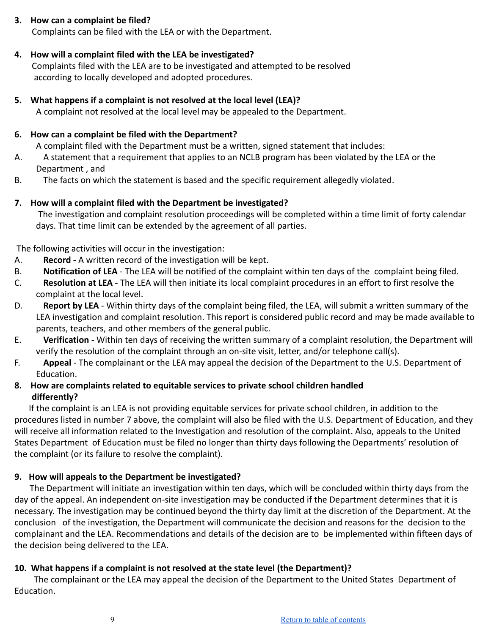## **3. How can a complaint be filed?**

Complaints can be filed with the LEA or with the Department.

## **4. How will a complaint filed with the LEA be investigated?**

Complaints filed with the LEA are to be investigated and attempted to be resolved according to locally developed and adopted procedures.

#### **5. What happens if a complaint is not resolved at the local level (LEA)?**

A complaint not resolved at the local level may be appealed to the Department.

## **6. How can a complaint be filed with the Department?**

A complaint filed with the Department must be a written, signed statement that includes:

- A. A statement that a requirement that applies to an NCLB program has been violated by the LEA or the Department , and
- B. The facts on which the statement is based and the specific requirement allegedly violated.

# **7. How will a complaint filed with the Department be investigated?**

The investigation and complaint resolution proceedings will be completed within a time limit of forty calendar days. That time limit can be extended by the agreement of all parties.

The following activities will occur in the investigation:

- A. **Record -** A written record of the investigation will be kept.
- B. **Notification of LEA** The LEA will be notified of the complaint within ten days of the complaint being filed.
- C. **Resolution at LEA -** The LEA will then initiate its local complaint procedures in an effort to first resolve the complaint at the local level.
- D. **Report by LEA** Within thirty days of the complaint being filed, the LEA, will submit a written summary of the LEA investigation and complaint resolution. This report is considered public record and may be made available to parents, teachers, and other members of the general public.
- E. **Verification** Within ten days of receiving the written summary of a complaint resolution, the Department will verify the resolution of the complaint through an on-site visit, letter, and/or telephone call(s).
- F. **Appeal** The complainant or the LEA may appeal the decision of the Department to the U.S. Department of Education.

# **8. How are complaints related to equitable services to private school children handled differently?**

If the complaint is an LEA is not providing equitable services for private school children, in addition to the procedures listed in number 7 above, the complaint will also be filed with the U.S. Department of Education, and they will receive all information related to the Investigation and resolution of the complaint. Also, appeals to the United States Department of Education must be filed no longer than thirty days following the Departments' resolution of the complaint (or its failure to resolve the complaint).

# **9. How will appeals to the Department be investigated?**

The Department will initiate an investigation within ten days, which will be concluded within thirty days from the day of the appeal. An independent on-site investigation may be conducted if the Department determines that it is necessary. The investigation may be continued beyond the thirty day limit at the discretion of the Department. At the conclusion of the investigation, the Department will communicate the decision and reasons for the decision to the complainant and the LEA. Recommendations and details of the decision are to be implemented within fifteen days of the decision being delivered to the LEA.

# **10. What happens if a complaint is not resolved at the state level (the Department)?**

The complainant or the LEA may appeal the decision of the Department to the United States Department of Education.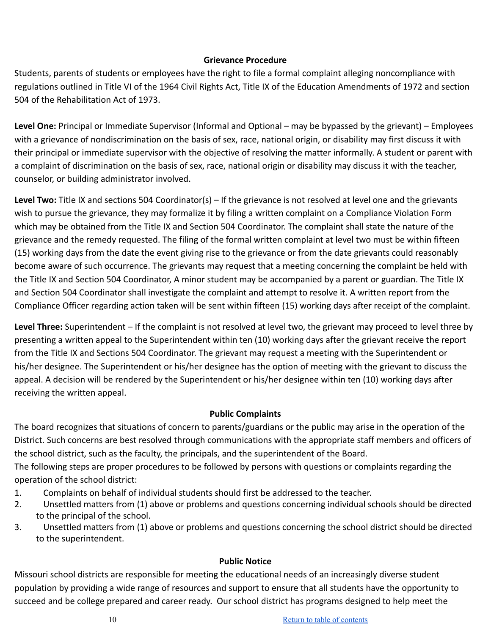#### **Grievance Procedure**

<span id="page-9-0"></span>Students, parents of students or employees have the right to file a formal complaint alleging noncompliance with regulations outlined in Title VI of the 1964 Civil Rights Act, Title IX of the Education Amendments of 1972 and section 504 of the Rehabilitation Act of 1973.

**Level One:** Principal or Immediate Supervisor (Informal and Optional – may be bypassed by the grievant) – Employees with a grievance of nondiscrimination on the basis of sex, race, national origin, or disability may first discuss it with their principal or immediate supervisor with the objective of resolving the matter informally. A student or parent with a complaint of discrimination on the basis of sex, race, national origin or disability may discuss it with the teacher, counselor, or building administrator involved.

**Level Two:** Title IX and sections 504 Coordinator(s) – If the grievance is not resolved at level one and the grievants wish to pursue the grievance, they may formalize it by filing a written complaint on a Compliance Violation Form which may be obtained from the Title IX and Section 504 Coordinator. The complaint shall state the nature of the grievance and the remedy requested. The filing of the formal written complaint at level two must be within fifteen (15) working days from the date the event giving rise to the grievance or from the date grievants could reasonably become aware of such occurrence. The grievants may request that a meeting concerning the complaint be held with the Title IX and Section 504 Coordinator, A minor student may be accompanied by a parent or guardian. The Title IX and Section 504 Coordinator shall investigate the complaint and attempt to resolve it. A written report from the Compliance Officer regarding action taken will be sent within fifteen (15) working days after receipt of the complaint.

**Level Three:** Superintendent – If the complaint is not resolved at level two, the grievant may proceed to level three by presenting a written appeal to the Superintendent within ten (10) working days after the grievant receive the report from the Title IX and Sections 504 Coordinator. The grievant may request a meeting with the Superintendent or his/her designee. The Superintendent or his/her designee has the option of meeting with the grievant to discuss the appeal. A decision will be rendered by the Superintendent or his/her designee within ten (10) working days after receiving the written appeal.

# **Public Complaints**

<span id="page-9-1"></span>The board recognizes that situations of concern to parents/guardians or the public may arise in the operation of the District. Such concerns are best resolved through communications with the appropriate staff members and officers of the school district, such as the faculty, the principals, and the superintendent of the Board.

The following steps are proper procedures to be followed by persons with questions or complaints regarding the operation of the school district:

- 1. Complaints on behalf of individual students should first be addressed to the teacher.
- 2. Unsettled matters from (1) above or problems and questions concerning individual schools should be directed to the principal of the school.
- 3. Unsettled matters from (1) above or problems and questions concerning the school district should be directed to the superintendent.

# **Public Notice**

<span id="page-9-2"></span>Missouri school districts are responsible for meeting the educational needs of an increasingly diverse student population by providing a wide range of resources and support to ensure that all students have the opportunity to succeed and be college prepared and career ready. Our school district has programs designed to help meet the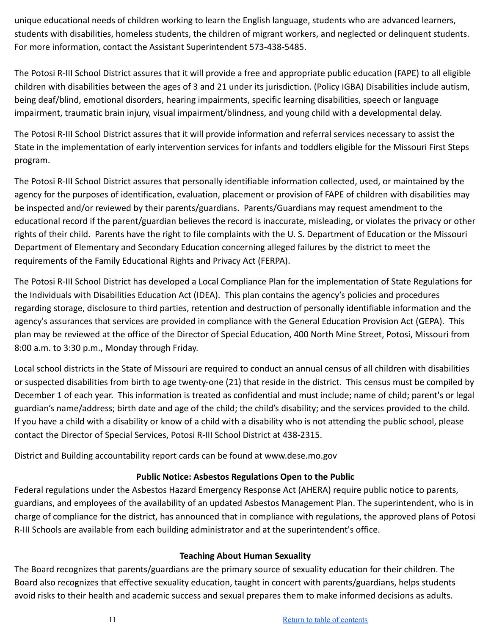unique educational needs of children working to learn the English language, students who are advanced learners, students with disabilities, homeless students, the children of migrant workers, and neglected or delinquent students. For more information, contact the Assistant Superintendent 573-438-5485.

The Potosi R-III School District assures that it will provide a free and appropriate public education (FAPE) to all eligible children with disabilities between the ages of 3 and 21 under its jurisdiction. (Policy IGBA) Disabilities include autism, being deaf/blind, emotional disorders, hearing impairments, specific learning disabilities, speech or language impairment, traumatic brain injury, visual impairment/blindness, and young child with a developmental delay.

The Potosi R-III School District assures that it will provide information and referral services necessary to assist the State in the implementation of early intervention services for infants and toddlers eligible for the Missouri First Steps program.

The Potosi R-III School District assures that personally identifiable information collected, used, or maintained by the agency for the purposes of identification, evaluation, placement or provision of FAPE of children with disabilities may be inspected and/or reviewed by their parents/guardians. Parents/Guardians may request amendment to the educational record if the parent/guardian believes the record is inaccurate, misleading, or violates the privacy or other rights of their child. Parents have the right to file complaints with the U. S. Department of Education or the Missouri Department of Elementary and Secondary Education concerning alleged failures by the district to meet the requirements of the Family Educational Rights and Privacy Act (FERPA).

The Potosi R-III School District has developed a Local Compliance Plan for the implementation of State Regulations for the Individuals with Disabilities Education Act (IDEA). This plan contains the agency's policies and procedures regarding storage, disclosure to third parties, retention and destruction of personally identifiable information and the agency's assurances that services are provided in compliance with the General Education Provision Act (GEPA). This plan may be reviewed at the office of the Director of Special Education, 400 North Mine Street, Potosi, Missouri from 8:00 a.m. to 3:30 p.m., Monday through Friday.

Local school districts in the State of Missouri are required to conduct an annual census of all children with disabilities or suspected disabilities from birth to age twenty-one (21) that reside in the district. This census must be compiled by December 1 of each year. This information is treated as confidential and must include; name of child; parent's or legal guardian's name/address; birth date and age of the child; the child's disability; and the services provided to the child. If you have a child with a disability or know of a child with a disability who is not attending the public school, please contact the Director of Special Services, Potosi R-III School District at 438-2315.

District and Building accountability report cards can be found at www.dese.mo.gov

# **Public Notice: Asbestos Regulations Open to the Public**

<span id="page-10-0"></span>Federal regulations under the Asbestos Hazard Emergency Response Act (AHERA) require public notice to parents, guardians, and employees of the availability of an updated Asbestos Management Plan. The superintendent, who is in charge of compliance for the district, has announced that in compliance with regulations, the approved plans of Potosi R-III Schools are available from each building administrator and at the superintendent's office.

# **Teaching About Human Sexuality**

<span id="page-10-1"></span>The Board recognizes that parents/guardians are the primary source of sexuality education for their children. The Board also recognizes that effective sexuality education, taught in concert with parents/guardians, helps students avoid risks to their health and academic success and sexual prepares them to make informed decisions as adults.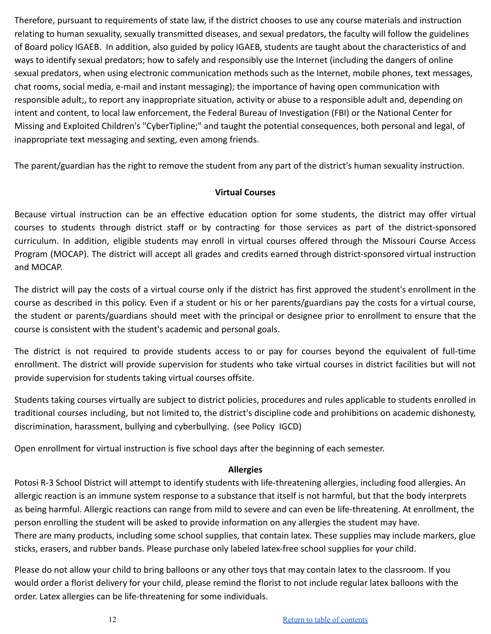Therefore, pursuant to requirements of state law, if the district chooses to use any course materials and instruction relating to human sexuality, sexually transmitted diseases, and sexual predators, the faculty will follow the guidelines of Board policy IGAEB. In addition, also guided by policy IGAEB, students are taught about the characteristics of and ways to identify sexual predators; how to safely and responsibly use the Internet (including the dangers of online sexual predators, when using electronic communication methods such as the Internet, mobile phones, text messages, chat rooms, social media, e-mail and instant messaging); the importance of having open communication with responsible adult;, to report any inappropriate situation, activity or abuse to a responsible adult and, depending on intent and content, to local law enforcement, the Federal Bureau of Investigation (FBI) or the National Center for Missing and Exploited Children's "CyberTipline;" and taught the potential consequences, both personal and legal, of inappropriate text messaging and sexting, even among friends.

The parent/guardian has the right to remove the student from any part of the district's human sexuality instruction.

#### **Virtual Courses**

<span id="page-11-1"></span>Because virtual instruction can be an effective education option for some students, the district may offer virtual courses to students through district staff or by contracting for those services as part of the district-sponsored curriculum. In addition, eligible students may enroll in virtual courses offered through the Missouri Course Access Program (MOCAP). The district will accept all grades and credits earned through district-sponsored virtual instruction and MOCAP.

The district will pay the costs of a virtual course only if the district has first approved the student's enrollment in the course as described in this policy. Even if a student or his or her parents/guardians pay the costs for a virtual course, the student or parents/guardians should meet with the principal or designee prior to enrollment to ensure that the course is consistent with the student's academic and personal goals.

The district is not required to provide students access to or pay for courses beyond the equivalent of full-time enrollment. The district will provide supervision for students who take virtual courses in district facilities but will not provide supervision for students taking virtual courses offsite.

Students taking courses virtually are subject to district policies, procedures and rules applicable to students enrolled in traditional courses including, but not limited to, the district's discipline code and prohibitions on academic dishonesty, discrimination, harassment, bullying and cyberbullying. (see Policy IGCD)

Open enrollment for virtual instruction is five school days after the beginning of each semester.

#### **Allergies**

<span id="page-11-0"></span>Potosi R-3 School District will attempt to identify students with life-threatening allergies, including food allergies. An allergic reaction is an immune system response to a substance that itself is not harmful, but that the body interprets as being harmful. Allergic reactions can range from mild to severe and can even be life-threatening. At enrollment, the person enrolling the student will be asked to provide information on any allergies the student may have. There are many products, including some school supplies, that contain latex. These supplies may include markers, glue sticks, erasers, and rubber bands. Please purchase only labeled latex-free school supplies for your child.

Please do not allow your child to bring balloons or any other toys that may contain latex to the classroom. If you would order a florist delivery for your child, please remind the florist to not include regular latex balloons with the order. Latex allergies can be life-threatening for some individuals.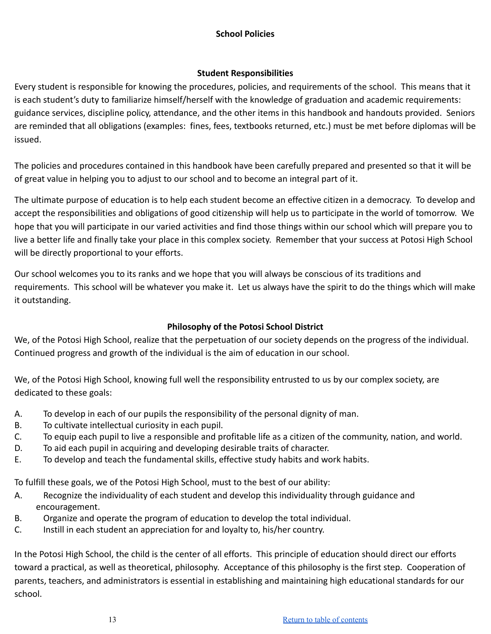# **School Policies**

# **Student Responsibilities**

<span id="page-12-2"></span><span id="page-12-0"></span>Every student is responsible for knowing the procedures, policies, and requirements of the school. This means that it is each student's duty to familiarize himself/herself with the knowledge of graduation and academic requirements: guidance services, discipline policy, attendance, and the other items in this handbook and handouts provided. Seniors are reminded that all obligations (examples: fines, fees, textbooks returned, etc.) must be met before diplomas will be issued.

The policies and procedures contained in this handbook have been carefully prepared and presented so that it will be of great value in helping you to adjust to our school and to become an integral part of it.

The ultimate purpose of education is to help each student become an effective citizen in a democracy. To develop and accept the responsibilities and obligations of good citizenship will help us to participate in the world of tomorrow. We hope that you will participate in our varied activities and find those things within our school which will prepare you to live a better life and finally take your place in this complex society. Remember that your success at Potosi High School will be directly proportional to your efforts.

Our school welcomes you to its ranks and we hope that you will always be conscious of its traditions and requirements. This school will be whatever you make it. Let us always have the spirit to do the things which will make it outstanding.

# **Philosophy of the Potosi School District**

<span id="page-12-1"></span>We, of the Potosi High School, realize that the perpetuation of our society depends on the progress of the individual. Continued progress and growth of the individual is the aim of education in our school.

We, of the Potosi High School, knowing full well the responsibility entrusted to us by our complex society, are dedicated to these goals:

- A. To develop in each of our pupils the responsibility of the personal dignity of man.
- B. To cultivate intellectual curiosity in each pupil.
- C. To equip each pupil to live a responsible and profitable life as a citizen of the community, nation, and world.
- D. To aid each pupil in acquiring and developing desirable traits of character.
- E. To develop and teach the fundamental skills, effective study habits and work habits.

To fulfill these goals, we of the Potosi High School, must to the best of our ability:

- A. Recognize the individuality of each student and develop this individuality through guidance and encouragement.
- B. Organize and operate the program of education to develop the total individual.
- C. Instill in each student an appreciation for and loyalty to, his/her country.

In the Potosi High School, the child is the center of all efforts. This principle of education should direct our efforts toward a practical, as well as theoretical, philosophy. Acceptance of this philosophy is the first step. Cooperation of parents, teachers, and administrators is essential in establishing and maintaining high educational standards for our school.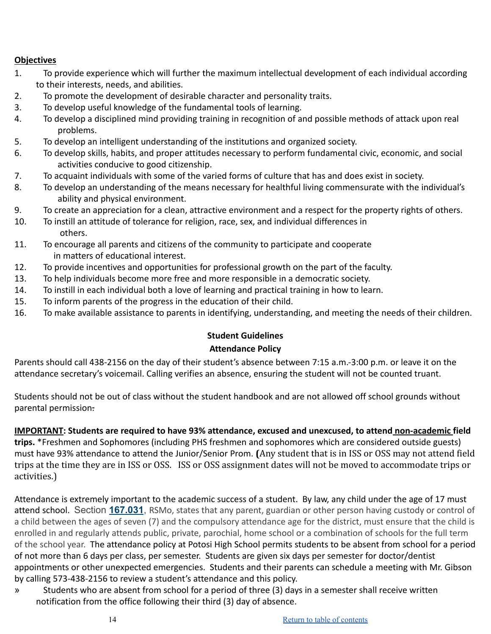# **Objectives**

- 1. To provide experience which will further the maximum intellectual development of each individual according to their interests, needs, and abilities.
- 2. To promote the development of desirable character and personality traits.
- 3. To develop useful knowledge of the fundamental tools of learning.
- 4. To develop a disciplined mind providing training in recognition of and possible methods of attack upon real problems.
- 5. To develop an intelligent understanding of the institutions and organized society.
- 6. To develop skills, habits, and proper attitudes necessary to perform fundamental civic, economic, and social activities conducive to good citizenship.
- 7. To acquaint individuals with some of the varied forms of culture that has and does exist in society.
- 8. To develop an understanding of the means necessary for healthful living commensurate with the individual's ability and physical environment.
- 9. To create an appreciation for a clean, attractive environment and a respect for the property rights of others.
- 10. To instill an attitude of tolerance for religion, race, sex, and individual differences in others.
- 11. To encourage all parents and citizens of the community to participate and cooperate in matters of educational interest.
- 12. To provide incentives and opportunities for professional growth on the part of the faculty.
- 13. To help individuals become more free and more responsible in a democratic society.
- 14. To instill in each individual both a love of learning and practical training in how to learn.
- 15. To inform parents of the progress in the education of their child.
- <span id="page-13-0"></span>16. To make available assistance to parents in identifying, understanding, and meeting the needs of their children.

# **Student Guidelines**

# **Attendance Policy**

<span id="page-13-1"></span>Parents should call 438-2156 on the day of their student's absence between 7:15 a.m.-3:00 p.m. or leave it on the attendance secretary's voicemail. Calling verifies an absence, ensuring the student will not be counted truant.

Students should not be out of class without the student handbook and are not allowed off school grounds without parental permission.

# **IMPORTANT: Students are required to have 93% attendance, excused and unexcused, to attend non-academic field**

**trips.** \*Freshmen and Sophomores (including PHS freshmen and sophomores which are considered outside guests) must have 93% attendance to attend the Junior/Senior Prom. **(**Any student that is in ISS or OSS may not attend field trips at the time they are in ISS or OSS. ISS or OSS assignment dates will not be moved to accommodate trips or activities.)

Attendance is extremely important to the academic success of a student. By law, any child under the age of 17 must attend school. Section **[167.031](http://revisor.mo.gov/main/OneSection.aspx?section=167.031&bid=8299&hl=)**, RSMo, states that any parent, guardian or other person having custody or control of a child between the ages of seven (7) and the compulsory attendance age for the district, must ensure that the child is enrolled in and regularly attends public, private, parochial, home school or a combination of schools for the full term of the school year. The attendance policy at Potosi High School permits students to be absent from school for a period of not more than 6 days per class, per semester. Students are given six days per semester for doctor/dentist appointments or other unexpected emergencies. Students and their parents can schedule a meeting with Mr. Gibson by calling 573-438-2156 to review a student's attendance and this policy.

» Students who are absent from school for a period of three (3) days in a semester shall receive written notification from the office following their third (3) day of absence.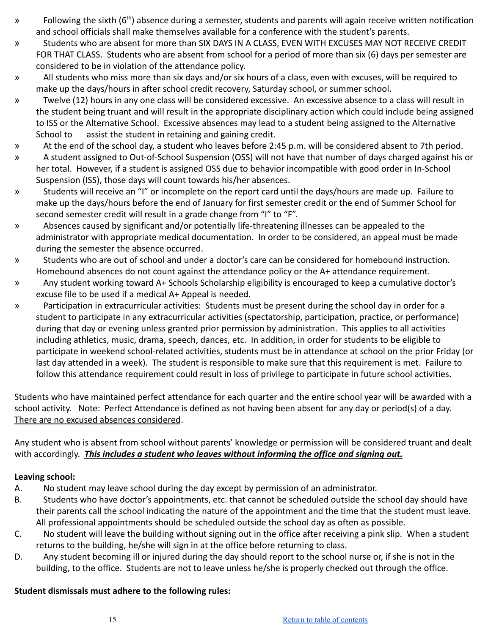- » Following the sixth (6<sup>th</sup>) absence during a semester, students and parents will again receive written notification and school officials shall make themselves available for a conference with the student's parents.
- » Students who are absent for more than SIX DAYS IN A CLASS, EVEN WITH EXCUSES MAY NOT RECEIVE CREDIT FOR THAT CLASS. Students who are absent from school for a period of more than six (6) days per semester are considered to be in violation of the attendance policy.
- » All students who miss more than six days and/or six hours of a class, even with excuses, will be required to make up the days/hours in after school credit recovery, Saturday school, or summer school.
- » Twelve (12) hours in any one class will be considered excessive. An excessive absence to a class will result in the student being truant and will result in the appropriate disciplinary action which could include being assigned to ISS or the Alternative School. Excessive absences may lead to a student being assigned to the Alternative School to assist the student in retaining and gaining credit.
- » At the end of the school day, a student who leaves before 2:45 p.m. will be considered absent to 7th period.
- » A student assigned to Out-of-School Suspension (OSS) will not have that number of days charged against his or her total. However, if a student is assigned OSS due to behavior incompatible with good order in In-School Suspension (ISS), those days will count towards his/her absences.
- » Students will receive an "I" or incomplete on the report card until the days/hours are made up. Failure to make up the days/hours before the end of January for first semester credit or the end of Summer School for second semester credit will result in a grade change from "I" to "F".
- » Absences caused by significant and/or potentially life-threatening illnesses can be appealed to the administrator with appropriate medical documentation. In order to be considered, an appeal must be made during the semester the absence occurred.
- » Students who are out of school and under a doctor's care can be considered for homebound instruction. Homebound absences do not count against the attendance policy or the A+ attendance requirement.
- » Any student working toward A+ Schools Scholarship eligibility is encouraged to keep a cumulative doctor's excuse file to be used if a medical A+ Appeal is needed.
- » Participation in extracurricular activities: Students must be present during the school day in order for a student to participate in any extracurricular activities (spectatorship, participation, practice, or performance) during that day or evening unless granted prior permission by administration. This applies to all activities including athletics, music, drama, speech, dances, etc. In addition, in order for students to be eligible to participate in weekend school-related activities, students must be in attendance at school on the prior Friday (or last day attended in a week). The student is responsible to make sure that this requirement is met. Failure to follow this attendance requirement could result in loss of privilege to participate in future school activities.

Students who have maintained perfect attendance for each quarter and the entire school year will be awarded with a school activity. Note: Perfect Attendance is defined as not having been absent for any day or period(s) of a day. There are no excused absences considered.

Any student who is absent from school without parents' knowledge or permission will be considered truant and dealt with accordingly. *This includes a student who leaves without informing the office and signing out.*

# **Leaving school:**

- A. No student may leave school during the day except by permission of an administrator.
- B. Students who have doctor's appointments, etc. that cannot be scheduled outside the school day should have their parents call the school indicating the nature of the appointment and the time that the student must leave. All professional appointments should be scheduled outside the school day as often as possible.
- C. No student will leave the building without signing out in the office after receiving a pink slip. When a student returns to the building, he/she will sign in at the office before returning to class.
- D. Any student becoming ill or injured during the day should report to the school nurse or, if she is not in the building, to the office. Students are not to leave unless he/she is properly checked out through the office.

# **Student dismissals must adhere to the following rules:**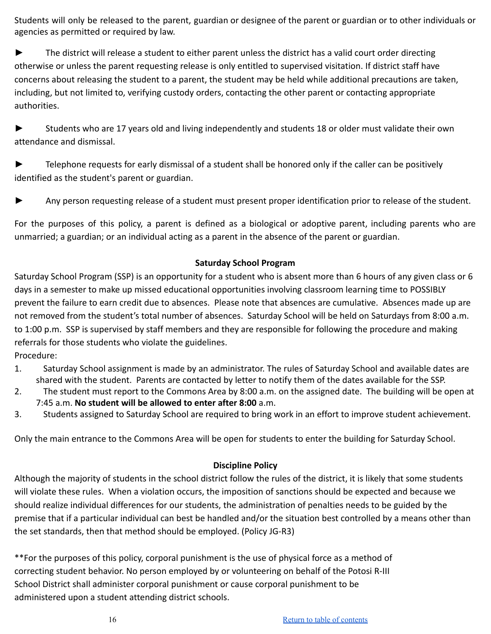Students will only be released to the parent, guardian or designee of the parent or guardian or to other individuals or agencies as permitted or required by law.

► The district will release a student to either parent unless the district has a valid court order directing otherwise or unless the parent requesting release is only entitled to supervised visitation. If district staff have concerns about releasing the student to a parent, the student may be held while additional precautions are taken, including, but not limited to, verifying custody orders, contacting the other parent or contacting appropriate authorities.

► Students who are 17 years old and living independently and students 18 or older must validate their own attendance and dismissal.

► Telephone requests for early dismissal of a student shall be honored only if the caller can be positively identified as the student's parent or guardian.

Any person requesting release of a student must present proper identification prior to release of the student.

For the purposes of this policy, a parent is defined as a biological or adoptive parent, including parents who are unmarried; a guardian; or an individual acting as a parent in the absence of the parent or guardian.

# **Saturday School Program**

<span id="page-15-1"></span>Saturday School Program (SSP) is an opportunity for a student who is absent more than 6 hours of any given class or 6 days in a semester to make up missed educational opportunities involving classroom learning time to POSSIBLY prevent the failure to earn credit due to absences. Please note that absences are cumulative. Absences made up are not removed from the student's total number of absences. Saturday School will be held on Saturdays from 8:00 a.m. to 1:00 p.m. SSP is supervised by staff members and they are responsible for following the procedure and making referrals for those students who violate the guidelines.

Procedure:

- 1. Saturday School assignment is made by an administrator. The rules of Saturday School and available dates are shared with the student. Parents are contacted by letter to notify them of the dates available for the SSP.
- 2. The student must report to the Commons Area by 8:00 a.m. on the assigned date. The building will be open at 7:45 a.m. **No student will be allowed to enter after 8:00** a.m.
- 3. Students assigned to Saturday School are required to bring work in an effort to improve student achievement.

Only the main entrance to the Commons Area will be open for students to enter the building for Saturday School.

# **Discipline Policy**

<span id="page-15-0"></span>Although the majority of students in the school district follow the rules of the district, it is likely that some students will violate these rules. When a violation occurs, the imposition of sanctions should be expected and because we should realize individual differences for our students, the administration of penalties needs to be guided by the premise that if a particular individual can best be handled and/or the situation best controlled by a means other than the set standards, then that method should be employed. (Policy JG-R3)

\*\*For the purposes of this policy, corporal punishment is the use of physical force as a method of correcting student behavior. No person employed by or volunteering on behalf of the Potosi R-III School District shall administer corporal punishment or cause corporal punishment to be administered upon a student attending district schools.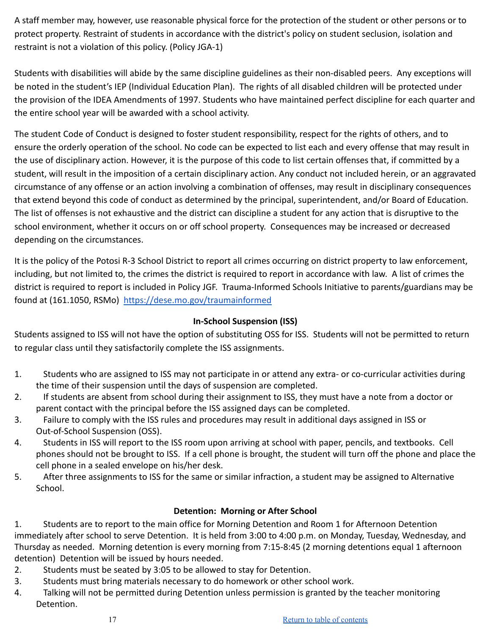A staff member may, however, use reasonable physical force for the protection of the student or other persons or to protect property. Restraint of students in accordance with the district's policy on student seclusion, isolation and restraint is not a violation of this policy. (Policy JGA-1)

Students with disabilities will abide by the same discipline guidelines as their non-disabled peers. Any exceptions will be noted in the student's IEP (Individual Education Plan). The rights of all disabled children will be protected under the provision of the IDEA Amendments of 1997. Students who have maintained perfect discipline for each quarter and the entire school year will be awarded with a school activity.

The student Code of Conduct is designed to foster student responsibility, respect for the rights of others, and to ensure the orderly operation of the school. No code can be expected to list each and every offense that may result in the use of disciplinary action. However, it is the purpose of this code to list certain offenses that, if committed by a student, will result in the imposition of a certain disciplinary action. Any conduct not included herein, or an aggravated circumstance of any offense or an action involving a combination of offenses, may result in disciplinary consequences that extend beyond this code of conduct as determined by the principal, superintendent, and/or Board of Education. The list of offenses is not exhaustive and the district can discipline a student for any action that is disruptive to the school environment, whether it occurs on or off school property. Consequences may be increased or decreased depending on the circumstances.

It is the policy of the Potosi R-3 School District to report all crimes occurring on district property to law enforcement, including, but not limited to, the crimes the district is required to report in accordance with law. A list of crimes the district is required to report is included in Policy JGF. Trauma-Informed Schools Initiative to parents/guardians may be found at (161.1050, RSMo) <https://dese.mo.gov/traumainformed>

# **In-School Suspension (ISS)**

<span id="page-16-1"></span>Students assigned to ISS will not have the option of substituting OSS for ISS. Students will not be permitted to return to regular class until they satisfactorily complete the ISS assignments.

- 1. Students who are assigned to ISS may not participate in or attend any extra- or co-curricular activities during the time of their suspension until the days of suspension are completed.
- 2. If students are absent from school during their assignment to ISS, they must have a note from a doctor or parent contact with the principal before the ISS assigned days can be completed.
- 3. Failure to comply with the ISS rules and procedures may result in additional days assigned in ISS or Out-of-School Suspension (OSS).
- 4. Students in ISS will report to the ISS room upon arriving at school with paper, pencils, and textbooks. Cell phones should not be brought to ISS. If a cell phone is brought, the student will turn off the phone and place the cell phone in a sealed envelope on his/her desk.
- 5. After three assignments to ISS for the same or similar infraction, a student may be assigned to Alternative School.

# **Detention: Morning or After School**

<span id="page-16-0"></span>1. Students are to report to the main office for Morning Detention and Room 1 for Afternoon Detention immediately after school to serve Detention. It is held from 3:00 to 4:00 p.m. on Monday, Tuesday, Wednesday, and Thursday as needed. Morning detention is every morning from 7:15-8:45 (2 morning detentions equal 1 afternoon detention) Detention will be issued by hours needed.

- 2. Students must be seated by 3:05 to be allowed to stay for Detention.
- 3. Students must bring materials necessary to do homework or other school work.
- 4. Talking will not be permitted during Detention unless permission is granted by the teacher monitoring Detention.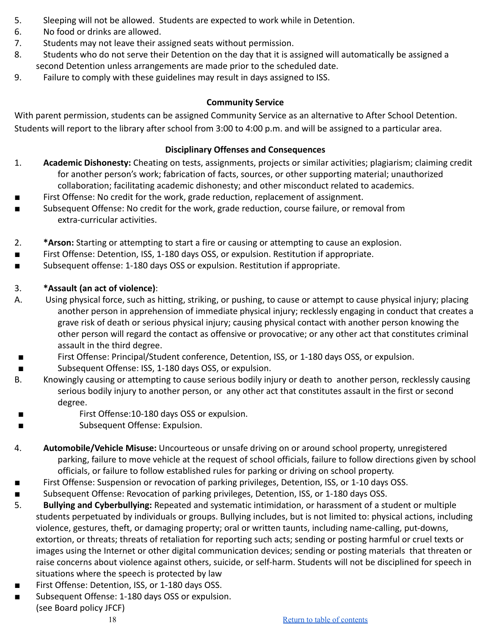- 5. Sleeping will not be allowed. Students are expected to work while in Detention.
- 6. No food or drinks are allowed.
- 7. Students may not leave their assigned seats without permission.
- 8. Students who do not serve their Detention on the day that it is assigned will automatically be assigned a second Detention unless arrangements are made prior to the scheduled date.
- 9. Failure to comply with these guidelines may result in days assigned to ISS.

# **Community Service**

<span id="page-17-0"></span>With parent permission, students can be assigned Community Service as an alternative to After School Detention. Students will report to the library after school from 3:00 to 4:00 p.m. and will be assigned to a particular area.

# **Disciplinary Offenses and Consequences**

- <span id="page-17-1"></span>1. **Academic Dishonesty:** Cheating on tests, assignments, projects or similar activities; plagiarism; claiming credit for another person's work; fabrication of facts, sources, or other supporting material; unauthorized collaboration; facilitating academic dishonesty; and other misconduct related to academics.
- First Offense: No credit for the work, grade reduction, replacement of assignment.
- Subsequent Offense: No credit for the work, grade reduction, course failure, or removal from extra-curricular activities.
- 2. **\*Arson:** Starting or attempting to start a fire or causing or attempting to cause an explosion.
- First Offense: Detention, ISS, 1-180 days OSS, or expulsion. Restitution if appropriate.
- Subsequent offense: 1-180 days OSS or expulsion. Restitution if appropriate.

# 3. **\*Assault (an act of violence)**:

- A. Using physical force, such as hitting, striking, or pushing, to cause or attempt to cause physical injury; placing another person in apprehension of immediate physical injury; recklessly engaging in conduct that creates a grave risk of death or serious physical injury; causing physical contact with another person knowing the other person will regard the contact as offensive or provocative; or any other act that constitutes criminal assault in the third degree.
- First Offense: Principal/Student conference, Detention, ISS, or 1-180 days OSS, or expulsion.
- Subsequent Offense: ISS, 1-180 days OSS, or expulsion.
- B. Knowingly causing or attempting to cause serious bodily injury or death to another person, recklessly causing serious bodily injury to another person, or any other act that constitutes assault in the first or second degree.
	- First Offense: 10-180 days OSS or expulsion.
- Subsequent Offense: Expulsion.
- 4. **Automobile/Vehicle Misuse:** Uncourteous or unsafe driving on or around school property, unregistered parking, failure to move vehicle at the request of school officials, failure to follow directions given by school officials, or failure to follow established rules for parking or driving on school property.
- First Offense: Suspension or revocation of parking privileges, Detention, ISS, or 1-10 days OSS.
- Subsequent Offense: Revocation of parking privileges, Detention, ISS, or 1-180 days OSS.
- 5. **Bullying and Cyberbullying:** Repeated and systematic intimidation, or harassment of a student or multiple students perpetuated by individuals or groups. Bullying includes, but is not limited to: physical actions, including violence, gestures, theft, or damaging property; oral or written taunts, including name-calling, put-downs, extortion, or threats; threats of retaliation for reporting such acts; sending or posting harmful or cruel texts or images using the Internet or other digital communication devices; sending or posting materials that threaten or raise concerns about violence against others, suicide, or self-harm. Students will not be disciplined for speech in situations where the speech is protected by law
- First Offense: Detention, ISS, or 1-180 days OSS.
- Subsequent Offense: 1-180 days OSS or expulsion. (see Board policy JFCF)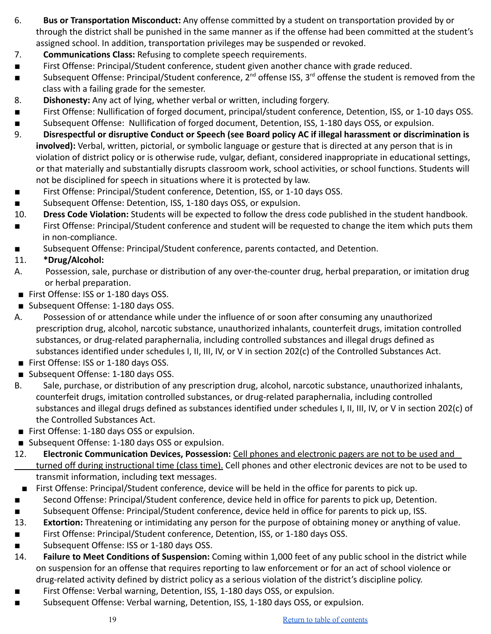- 6. **Bus or Transportation Misconduct:** Any offense committed by a student on transportation provided by or through the district shall be punished in the same manner as if the offense had been committed at the student's assigned school. In addition, transportation privileges may be suspended or revoked.
- 7. **Communications Class:** Refusing to complete speech requirements.
- First Offense: Principal/Student conference, student given another chance with grade reduced.
- Subsequent Offense: Principal/Student conference, 2<sup>nd</sup> offense ISS, 3<sup>rd</sup> offense the student is removed from the class with a failing grade for the semester.
- 8. **Dishonesty:** Any act of lying, whether verbal or written, including forgery.
- First Offense: Nullification of forged document, principal/student conference, Detention, ISS, or 1-10 days OSS.
- Subsequent Offense: Nullification of forged document, Detention, ISS, 1-180 days OSS, or expulsion.
- 9. **Disrespectful or disruptive Conduct or Speech (see Board policy AC if illegal harassment or discrimination is involved):** Verbal, written, pictorial, or symbolic language or gesture that is directed at any person that is in violation of district policy or is otherwise rude, vulgar, defiant, considered inappropriate in educational settings, or that materially and substantially disrupts classroom work, school activities, or school functions. Students will not be disciplined for speech in situations where it is protected by law.
- First Offense: Principal/Student conference, Detention, ISS, or 1-10 days OSS.
- Subsequent Offense: Detention, ISS, 1-180 days OSS, or expulsion.
- 10. **Dress Code Violation:** Students will be expected to follow the dress code published in the student handbook.
- First Offense: Principal/Student conference and student will be requested to change the item which puts them in non-compliance.
- Subsequent Offense: Principal/Student conference, parents contacted, and Detention.
- 11. **\*Drug/Alcohol:**
- A. Possession, sale, purchase or distribution of any over-the-counter drug, herbal preparation, or imitation drug or herbal preparation.
- First Offense: ISS or 1-180 days OSS.
- Subsequent Offense: 1-180 days OSS.
- A. Possession of or attendance while under the influence of or soon after consuming any unauthorized prescription drug, alcohol, narcotic substance, unauthorized inhalants, counterfeit drugs, imitation controlled substances, or drug-related paraphernalia, including controlled substances and illegal drugs defined as substances identified under schedules I, II, III, IV, or V in section 202(c) of the Controlled Substances Act.
- First Offense: ISS or 1-180 days OSS.
- Subsequent Offense: 1-180 days OSS.
- B. Sale, purchase, or distribution of any prescription drug, alcohol, narcotic substance, unauthorized inhalants, counterfeit drugs, imitation controlled substances, or drug-related paraphernalia, including controlled substances and illegal drugs defined as substances identified under schedules I, II, III, IV, or V in section 202(c) of the Controlled Substances Act.
- First Offense: 1-180 days OSS or expulsion.
- Subsequent Offense: 1-180 days OSS or expulsion.
- 12. **Electronic Communication Devices, Possession:** Cell phones and electronic pagers are not to be used and turned off during instructional time (class time). Cell phones and other electronic devices are not to be used to transmit information, including text messages.
- First Offense: Principal/Student conference, device will be held in the office for parents to pick up.
- Second Offense: Principal/Student conference, device held in office for parents to pick up, Detention.
- Subsequent Offense: Principal/Student conference, device held in office for parents to pick up, ISS.
- 13. **Extortion:** Threatening or intimidating any person for the purpose of obtaining money or anything of value.
- First Offense: Principal/Student conference, Detention, ISS, or 1-180 days OSS.
- Subsequent Offense: ISS or 1-180 days OSS.
- 14. **Failure to Meet Conditions of Suspension:** Coming within 1,000 feet of any public school in the district while on suspension for an offense that requires reporting to law enforcement or for an act of school violence or drug-related activity defined by district policy as a serious violation of the district's discipline policy.
- First Offense: Verbal warning, Detention, ISS, 1-180 days OSS, or expulsion.
- Subsequent Offense: Verbal warning, Detention, ISS, 1-180 days OSS, or expulsion.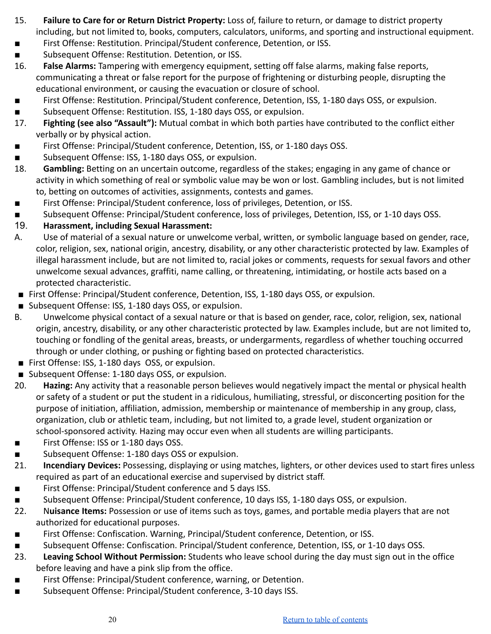- 15. **Failure to Care for or Return District Property:** Loss of, failure to return, or damage to district property including, but not limited to, books, computers, calculators, uniforms, and sporting and instructional equipment.
- First Offense: Restitution. Principal/Student conference, Detention, or ISS.
- Subsequent Offense: Restitution. Detention, or ISS.
- 16. **False Alarms:** Tampering with emergency equipment, setting off false alarms, making false reports, communicating a threat or false report for the purpose of frightening or disturbing people, disrupting the educational environment, or causing the evacuation or closure of school.
- First Offense: Restitution. Principal/Student conference, Detention, ISS, 1-180 days OSS, or expulsion.
- Subsequent Offense: Restitution. ISS, 1-180 days OSS, or expulsion.
- 17. **Fighting (see also "Assault"):** Mutual combat in which both parties have contributed to the conflict either verbally or by physical action.
- First Offense: Principal/Student conference, Detention, ISS, or 1-180 days OSS.
- Subsequent Offense: ISS, 1-180 days OSS, or expulsion.
- 18. **Gambling:** Betting on an uncertain outcome, regardless of the stakes; engaging in any game of chance or activity in which something of real or symbolic value may be won or lost. Gambling includes, but is not limited to, betting on outcomes of activities, assignments, contests and games.
- First Offense: Principal/Student conference, loss of privileges, Detention, or ISS.
- Subsequent Offense: Principal/Student conference, loss of privileges, Detention, ISS, or 1-10 days OSS.

# 19. **Harassment, including Sexual Harassment:**

- A. Use of material of a sexual nature or unwelcome verbal, written, or symbolic language based on gender, race, color, religion, sex, national origin, ancestry, disability, or any other characteristic protected by law. Examples of illegal harassment include, but are not limited to, racial jokes or comments, requests for sexual favors and other unwelcome sexual advances, graffiti, name calling, or threatening, intimidating, or hostile acts based on a protected characteristic.
- First Offense: Principal/Student conference, Detention, ISS, 1-180 days OSS, or expulsion.
- Subsequent Offense: ISS, 1-180 days OSS, or expulsion.
- B. Unwelcome physical contact of a sexual nature or that is based on gender, race, color, religion, sex, national origin, ancestry, disability, or any other characteristic protected by law. Examples include, but are not limited to, touching or fondling of the genital areas, breasts, or undergarments, regardless of whether touching occurred through or under clothing, or pushing or fighting based on protected characteristics.
- First Offense: ISS, 1-180 days OSS, or expulsion.
- Subsequent Offense: 1-180 days OSS, or expulsion.
- 20. **Hazing:** Any activity that a reasonable person believes would negatively impact the mental or physical health or safety of a student or put the student in a ridiculous, humiliating, stressful, or disconcerting position for the purpose of initiation, affiliation, admission, membership or maintenance of membership in any group, class, organization, club or athletic team, including, but not limited to, a grade level, student organization or school-sponsored activity. Hazing may occur even when all students are willing participants.
- First Offense: ISS or 1-180 days OSS.
- Subsequent Offense: 1-180 days OSS or expulsion.
- 21. **Incendiary Devices:** Possessing, displaying or using matches, lighters, or other devices used to start fires unless required as part of an educational exercise and supervised by district staff.
- First Offense: Principal/Student conference and 5 days ISS.
- Subsequent Offense: Principal/Student conference, 10 days ISS, 1-180 days OSS, or expulsion.
- 22. N**uisance Items:** Possession or use of items such as toys, games, and portable media players that are not authorized for educational purposes.
- First Offense: Confiscation. Warning, Principal/Student conference, Detention, or ISS.
- Subsequent Offense: Confiscation. Principal/Student conference, Detention, ISS, or 1-10 days OSS.
- 23. **Leaving School Without Permission:** Students who leave school during the day must sign out in the office before leaving and have a pink slip from the office.
- First Offense: Principal/Student conference, warning, or Detention.
- Subsequent Offense: Principal/Student conference, 3-10 days ISS.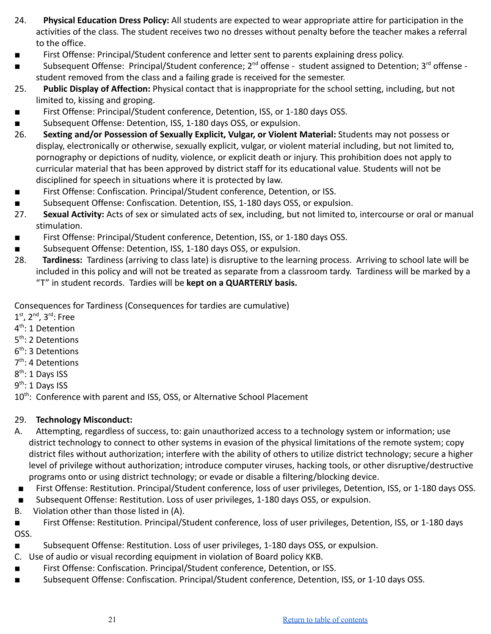- 24. **Physical Education Dress Policy:** All students are expected to wear appropriate attire for participation in the activities of the class. The student receives two no dresses without penalty before the teacher makes a referral to the office.
- First Offense: Principal/Student conference and letter sent to parents explaining dress policy.
- Subsequent Offense: Principal/Student conference; 2<sup>nd</sup> offense student assigned to Detention; 3<sup>rd</sup> offense student removed from the class and a failing grade is received for the semester.
- 25. **Public Display of Affection:** Physical contact that is inappropriate for the school setting, including, but not limited to, kissing and groping.
- First Offense: Principal/Student conference, Detention, ISS, or 1-180 days OSS.
- Subsequent Offense: Detention, ISS, 1-180 days OSS, or expulsion.
- 26. **Sexting and/or Possession of Sexually Explicit, Vulgar, or Violent Material:** Students may not possess or display, electronically or otherwise, sexually explicit, vulgar, or violent material including, but not limited to, pornography or depictions of nudity, violence, or explicit death or injury. This prohibition does not apply to curricular material that has been approved by district staff for its educational value. Students will not be disciplined for speech in situations where it is protected by law.
- First Offense: Confiscation. Principal/Student conference, Detention, or ISS.
- Subsequent Offense: Confiscation. Detention, ISS, 1-180 days OSS, or expulsion.
- 27. **Sexual Activity:** Acts of sex or simulated acts of sex, including, but not limited to, intercourse or oral or manual stimulation.
- First Offense: Principal/Student conference, Detention, ISS, or 1-180 days OSS.
- Subsequent Offense: Detention, ISS, 1-180 days OSS, or expulsion.
- 28. **Tardiness:** Tardiness (arriving to class late) is disruptive to the learning process. Arriving to school late will be included in this policy and will not be treated as separate from a classroom tardy. Tardiness will be marked by a "T" in student records. Tardies will be **kept on a QUARTERLY basis.**

Consequences for Tardiness (Consequences for tardies are cumulative)

- $1<sup>st</sup>$ ,  $2<sup>nd</sup>$ ,  $3<sup>rd</sup>$ : Free
- 4<sup>th</sup>: 1 Detention
- 5<sup>th</sup>: 2 Detentions
- 6<sup>th</sup>: 3 Detentions
- 7<sup>th</sup>: 4 Detentions
- 8<sup>th</sup>: 1 Days ISS
- 9<sup>th</sup>: 1 Days ISS
- 10<sup>th</sup>: Conference with parent and ISS, OSS, or Alternative School Placement

# 29. **Technology Misconduct:**

- A. Attempting, regardless of success, to: gain unauthorized access to a technology system or information; use district technology to connect to other systems in evasion of the physical limitations of the remote system; copy district files without authorization; interfere with the ability of others to utilize district technology; secure a higher level of privilege without authorization; introduce computer viruses, hacking tools, or other disruptive/destructive programs onto or using district technology; or evade or disable a filtering/blocking device.
- First Offense: Restitution. Principal/Student conference, loss of user privileges, Detention, ISS, or 1-180 days OSS.
- Subsequent Offense: Restitution. Loss of user privileges, 1-180 days OSS, or expulsion.
- B. Violation other than those listed in (A).
- First Offense: Restitution. Principal/Student conference, loss of user privileges, Detention, ISS, or 1-180 days OSS.
- Subsequent Offense: Restitution. Loss of user privileges, 1-180 days OSS, or expulsion.
- C. Use of audio or visual recording equipment in violation of Board policy KKB.
- First Offense: Confiscation. Principal/Student conference, Detention, or ISS.
- Subsequent Offense: Confiscation. Principal/Student conference, Detention, ISS, or 1-10 days OSS.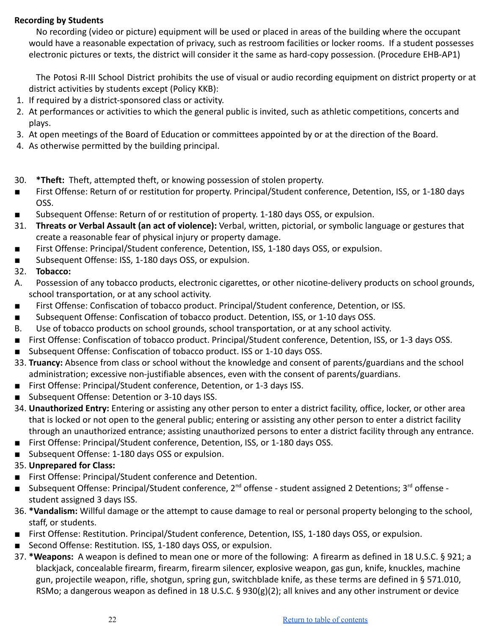# **Recording by Students**

No recording (video or picture) equipment will be used or placed in areas of the building where the occupant would have a reasonable expectation of privacy, such as restroom facilities or locker rooms. If a student possesses electronic pictures or texts, the district will consider it the same as hard-copy possession. (Procedure EHB-AP1)

The Potosi R-III School District prohibits the use of visual or audio recording equipment on district property or at district activities by students except (Policy KKB):

- 1. If required by a district-sponsored class or activity.
- 2. At performances or activities to which the general public is invited, such as athletic competitions, concerts and plays.
- 3. At open meetings of the Board of Education or committees appointed by or at the direction of the Board.
- 4. As otherwise permitted by the building principal.
- 30. **\*Theft:** Theft, attempted theft, or knowing possession of stolen property.
- First Offense: Return of or restitution for property. Principal/Student conference, Detention, ISS, or 1-180 days OSS.
- Subsequent Offense: Return of or restitution of property. 1-180 days OSS, or expulsion.
- 31. **Threats or Verbal Assault (an act of violence):** Verbal, written, pictorial, or symbolic language or gestures that create a reasonable fear of physical injury or property damage.
- First Offense: Principal/Student conference, Detention, ISS, 1-180 days OSS, or expulsion.
- Subsequent Offense: ISS, 1-180 days OSS, or expulsion.
- 32. **Tobacco:**
- A. Possession of any tobacco products, electronic cigarettes, or other nicotine-delivery products on school grounds, school transportation, or at any school activity.
- First Offense: Confiscation of tobacco product. Principal/Student conference, Detention, or ISS.
- Subsequent Offense: Confiscation of tobacco product. Detention, ISS, or 1-10 days OSS.
- B. Use of tobacco products on school grounds, school transportation, or at any school activity.
- First Offense: Confiscation of tobacco product. Principal/Student conference, Detention, ISS, or 1-3 days OSS.
- Subsequent Offense: Confiscation of tobacco product. ISS or 1-10 days OSS.
- 33. **Truancy:** Absence from class or school without the knowledge and consent of parents/guardians and the school administration; excessive non-justifiable absences, even with the consent of parents/guardians.
- First Offense: Principal/Student conference, Detention, or 1-3 days ISS.
- Subsequent Offense: Detention or 3-10 days ISS.
- 34. **Unauthorized Entry:** Entering or assisting any other person to enter a district facility, office, locker, or other area that is locked or not open to the general public; entering or assisting any other person to enter a district facility through an unauthorized entrance; assisting unauthorized persons to enter a district facility through any entrance.
- First Offense: Principal/Student conference, Detention, ISS, or 1-180 days OSS.
- Subsequent Offense: 1-180 days OSS or expulsion.
- 35. **Unprepared for Class:**
- First Offense: Principal/Student conference and Detention.
- Subsequent Offense: Principal/Student conference, 2<sup>nd</sup> offense student assigned 2 Detentions; 3<sup>rd</sup> offense student assigned 3 days ISS.
- 36. **\*Vandalism:** Willful damage or the attempt to cause damage to real or personal property belonging to the school, staff, or students.
- First Offense: Restitution. Principal/Student conference, Detention, ISS, 1-180 days OSS, or expulsion.
- Second Offense: Restitution. ISS, 1-180 days OSS, or expulsion.
- 37. **\*Weapons:** A weapon is defined to mean one or more of the following: A firearm as defined in 18 U.S.C. § 921; a blackjack, concealable firearm, firearm, firearm silencer, explosive weapon, gas gun, knife, knuckles, machine gun, projectile weapon, rifle, shotgun, spring gun, switchblade knife, as these terms are defined in § 571.010, RSMo; a dangerous weapon as defined in 18 U.S.C. § 930(g)(2); all knives and any other instrument or device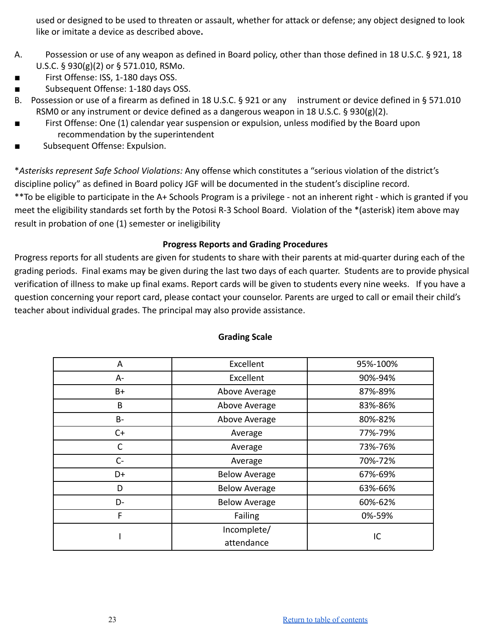used or designed to be used to threaten or assault, whether for attack or defense; any object designed to look like or imitate a device as described above**.**

- A. Possession or use of any weapon as defined in Board policy, other than those defined in 18 U.S.C. § 921, 18 U.S.C. § 930(g)(2) or § 571.010, RSMo.
- First Offense: ISS, 1-180 days OSS.
- Subsequent Offense: 1-180 days OSS.
- B. Possession or use of a firearm as defined in 18 U.S.C. § 921 or any instrument or device defined in § 571.010 RSM0 or any instrument or device defined as a dangerous weapon in 18 U.S.C. § 930(g)(2).
- First Offense: One (1) calendar year suspension or expulsion, unless modified by the Board upon recommendation by the superintendent
- Subsequent Offense: Expulsion.

\**Asterisks represent Safe School Violations:* Any offense which constitutes a "serious violation of the district's discipline policy" as defined in Board policy JGF will be documented in the student's discipline record.

\*\*To be eligible to participate in the A+ Schools Program is a privilege - not an inherent right - which is granted if you meet the eligibility standards set forth by the Potosi R-3 School Board. Violation of the \*(asterisk) item above may result in probation of one (1) semester or ineligibility

# **Progress Reports and Grading Procedures**

<span id="page-22-0"></span>Progress reports for all students are given for students to share with their parents at mid-quarter during each of the grading periods. Final exams may be given during the last two days of each quarter. Students are to provide physical verification of illness to make up final exams. Report cards will be given to students every nine weeks. If you have a question concerning your report card, please contact your counselor. Parents are urged to call or email their child's teacher about individual grades. The principal may also provide assistance.

<span id="page-22-1"></span>

| A         | Excellent            | 95%-100% |  |
|-----------|----------------------|----------|--|
| A-        | Excellent            | 90%-94%  |  |
| $B+$      | Above Average        | 87%-89%  |  |
| B         | Above Average        | 83%-86%  |  |
| <b>B-</b> | Above Average        | 80%-82%  |  |
| $C+$      | Average              | 77%-79%  |  |
| C         | Average              | 73%-76%  |  |
| $C -$     | Average              | 70%-72%  |  |
| D+        | <b>Below Average</b> | 67%-69%  |  |
| D         | <b>Below Average</b> | 63%-66%  |  |
| D-        | <b>Below Average</b> | 60%-62%  |  |
| F         | Failing              | 0%-59%   |  |
|           | Incomplete/          | IC       |  |
|           | attendance           |          |  |

# **Grading Scale**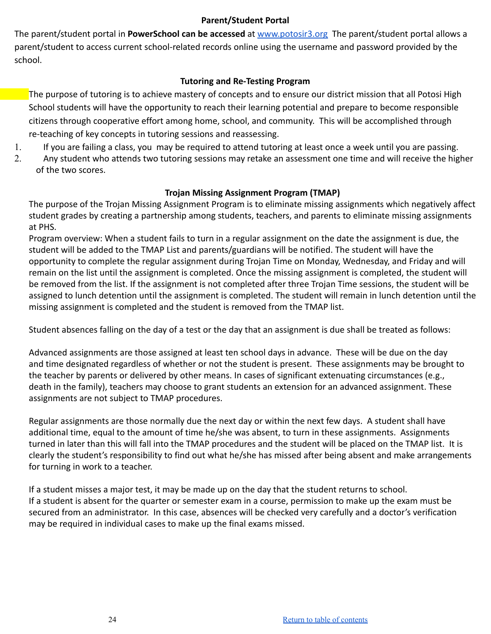## **Parent/Student Portal**

<span id="page-23-1"></span>The parent/student portal in **PowerSchool can be accessed** at [www.potosir3.org](http://www.potosir3.org) The parent/student portal allows a parent/student to access current school-related records online using the username and password provided by the school.

# **Tutoring and Re-Testing Program**

<span id="page-23-2"></span>The purpose of tutoring is to achieve mastery of concepts and to ensure our district mission that all Potosi High School students will have the opportunity to reach their learning potential and prepare to become responsible citizens through cooperative effort among home, school, and community. This will be accomplished through re-teaching of key concepts in tutoring sessions and reassessing.

- 1. If you are failing a class, you may be required to attend tutoring at least once a week until you are passing.
- 2. Any student who attends two tutoring sessions may retake an assessment one time and will receive the higher of the two scores.

#### **Trojan Missing Assignment Program (TMAP)**

<span id="page-23-0"></span>The purpose of the Trojan Missing Assignment Program is to eliminate missing assignments which negatively affect student grades by creating a partnership among students, teachers, and parents to eliminate missing assignments at PHS.

Program overview: When a student fails to turn in a regular assignment on the date the assignment is due, the student will be added to the TMAP List and parents/guardians will be notified. The student will have the opportunity to complete the regular assignment during Trojan Time on Monday, Wednesday, and Friday and will remain on the list until the assignment is completed. Once the missing assignment is completed, the student will be removed from the list. If the assignment is not completed after three Trojan Time sessions, the student will be assigned to lunch detention until the assignment is completed. The student will remain in lunch detention until the missing assignment is completed and the student is removed from the TMAP list.

Student absences falling on the day of a test or the day that an assignment is due shall be treated as follows:

Advanced assignments are those assigned at least ten school days in advance. These will be due on the day and time designated regardless of whether or not the student is present. These assignments may be brought to the teacher by parents or delivered by other means. In cases of significant extenuating circumstances (e.g., death in the family), teachers may choose to grant students an extension for an advanced assignment. These assignments are not subject to TMAP procedures.

Regular assignments are those normally due the next day or within the next few days. A student shall have additional time, equal to the amount of time he/she was absent, to turn in these assignments. Assignments turned in later than this will fall into the TMAP procedures and the student will be placed on the TMAP list. It is clearly the student's responsibility to find out what he/she has missed after being absent and make arrangements for turning in work to a teacher.

If a student misses a major test, it may be made up on the day that the student returns to school. If a student is absent for the quarter or semester exam in a course, permission to make up the exam must be secured from an administrator. In this case, absences will be checked very carefully and a doctor's verification may be required in individual cases to make up the final exams missed.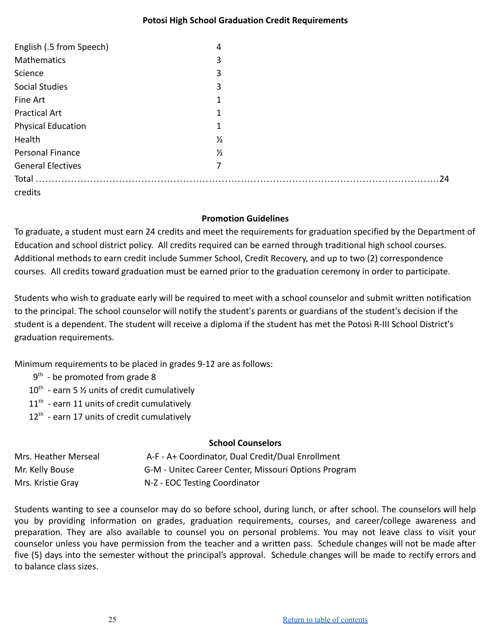#### **Potosi High School Graduation Credit Requirements**

<span id="page-24-0"></span>

| English (.5 from Speech)  | 4             |    |
|---------------------------|---------------|----|
| Mathematics               | 3             |    |
| Science                   | 3             |    |
| Social Studies            | 3             |    |
| Fine Art                  |               |    |
| <b>Practical Art</b>      | 1             |    |
| <b>Physical Education</b> | 1             |    |
| Health                    | $\frac{1}{2}$ |    |
| <b>Personal Finance</b>   | $\frac{1}{2}$ |    |
| <b>General Electives</b>  | 7             |    |
|                           |               | 24 |
| credits                   |               |    |

#### **Promotion Guidelines**

<span id="page-24-1"></span>To graduate, a student must earn 24 credits and meet the requirements for graduation specified by the Department of Education and school district policy. All credits required can be earned through traditional high school courses. Additional methods to earn credit include Summer School, Credit Recovery, and up to two (2) correspondence courses. All credits toward graduation must be earned prior to the graduation ceremony in order to participate.

Students who wish to graduate early will be required to meet with a school counselor and submit written notification to the principal. The school counselor will notify the student's parents or guardians of the student's decision if the student is a dependent. The student will receive a diploma if the student has met the Potosi R-III School District's graduation requirements.

Minimum requirements to be placed in grades 9-12 are as follows:

- 9<sup>th</sup> be promoted from grade 8
- $10^{\text{th}}$  earn 5  $\%$  units of credit cumulatively
- $11<sup>th</sup>$  earn 11 units of credit cumulatively
- $12<sup>th</sup>$  earn 17 units of credit cumulatively

<span id="page-24-2"></span>

|                      | <b>School Counselors</b>                             |
|----------------------|------------------------------------------------------|
| Mrs. Heather Merseal | A-F - A+ Coordinator, Dual Credit/Dual Enrollment    |
| Mr. Kelly Bouse      | G-M - Unitec Career Center, Missouri Options Program |
| Mrs. Kristie Gray    | N-Z - EOC Testing Coordinator                        |

Students wanting to see a counselor may do so before school, during lunch, or after school. The counselors will help you by providing information on grades, graduation requirements, courses, and career/college awareness and preparation. They are also available to counsel you on personal problems. You may not leave class to visit your counselor unless you have permission from the teacher and a written pass. Schedule changes will not be made after five (5) days into the semester without the principal's approval. Schedule changes will be made to rectify errors and to balance class sizes.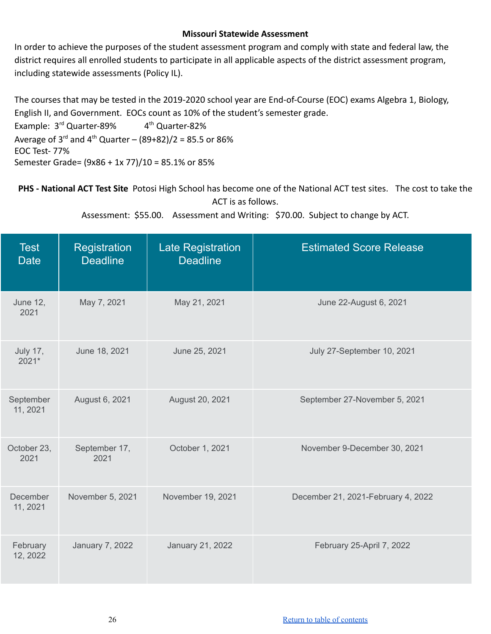#### **Missouri Statewide Assessment**

<span id="page-25-1"></span>In order to achieve the purposes of the student assessment program and comply with state and federal law, the district requires all enrolled students to participate in all applicable aspects of the district assessment program, including statewide assessments (Policy IL).

The courses that may be tested in the 2019-2020 school year are End-of-Course (EOC) exams Algebra 1, Biology, English II, and Government. EOCs count as 10% of the student's semester grade.

Example: 3<sup>rd</sup> Quarter-89% 4<sup>th</sup> Quarter-82% Average of  $3^{rd}$  and  $4^{th}$  Quarter –  $(89+82)/2 = 85.5$  or  $86\%$ EOC Test- 77% Semester Grade= (9x86 + 1x 77)/10 = 85.1% or 85%

<span id="page-25-0"></span>**PHS - National ACT Test Site** Potosi High School has become one of the National ACT test sites. The cost to take the ACT is as follows.

Assessment: \$55.00. Assessment and Writing: \$70.00. Subject to change by ACT.

| <b>Test</b><br><b>Date</b> | <b>Registration</b><br><b>Deadline</b> | <b>Late Registration</b><br><b>Deadline</b> | <b>Estimated Score Release</b>     |
|----------------------------|----------------------------------------|---------------------------------------------|------------------------------------|
| <b>June 12,</b><br>2021    | May 7, 2021                            | May 21, 2021                                | June 22-August 6, 2021             |
| <b>July 17,</b><br>$2021*$ | June 18, 2021                          | June 25, 2021                               | July 27-September 10, 2021         |
| September<br>11, 2021      | August 6, 2021                         | August 20, 2021                             | September 27-November 5, 2021      |
| October 23,<br>2021        | September 17,<br>2021                  | October 1, 2021                             | November 9-December 30, 2021       |
| December<br>11, 2021       | November 5, 2021                       | November 19, 2021                           | December 21, 2021-February 4, 2022 |
| February<br>12, 2022       | January 7, 2022                        | January 21, 2022                            | February 25-April 7, 2022          |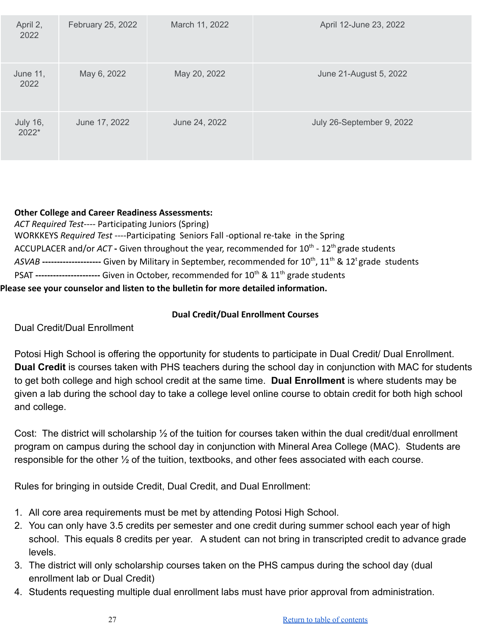| April 2,<br>2022         | February 25, 2022 | March 11, 2022 | April 12-June 23, 2022    |
|--------------------------|-------------------|----------------|---------------------------|
| June 11,<br>2022         | May 6, 2022       | May 20, 2022   | June 21-August 5, 2022    |
| <b>July 16,</b><br>2022* | June 17, 2022     | June 24, 2022  | July 26-September 9, 2022 |

# **Other College and Career Readiness Assessments:**

*ACT Required Test*---- Participating Juniors (Spring)

WORKKEYS *Required Test* ----Participating Seniors Fall -optional re-take in the Spring

ACCUPLACER and/or *ACT* - Given throughout the year, recommended for 10<sup>th</sup> - 12<sup>th</sup> grade students

ASVAB ------------------- Given by Military in September, recommended for 10<sup>th</sup>, 11<sup>th</sup> & 12<sup>t</sup> grade students

PSAT ---------------------- Given in October, recommended for 10<sup>th</sup> & 11<sup>th</sup> grade students

**Please see your counselor and listen to the bulletin for more detailed information.**

# **Dual Credit/Dual Enrollment Courses**

<span id="page-26-0"></span>Dual Credit/Dual Enrollment

Potosi High School is offering the opportunity for students to participate in Dual Credit/ Dual Enrollment. **Dual Credit** is courses taken with PHS teachers during the school day in conjunction with MAC for students to get both college and high school credit at the same time. **Dual Enrollment** is where students may be given a lab during the school day to take a college level online course to obtain credit for both high school and college.

Cost: The district will scholarship ½ of the tuition for courses taken within the dual credit/dual enrollment program on campus during the school day in conjunction with Mineral Area College (MAC). Students are responsible for the other ½ of the tuition, textbooks, and other fees associated with each course.

Rules for bringing in outside Credit, Dual Credit, and Dual Enrollment:

- 1. All core area requirements must be met by attending Potosi High School.
- 2. You can only have 3.5 credits per semester and one credit during summer school each year of high school. This equals 8 credits per year. A student can not bring in transcripted credit to advance grade levels.
- 3. The district will only scholarship courses taken on the PHS campus during the school day (dual enrollment lab or Dual Credit)
- 4. Students requesting multiple dual enrollment labs must have prior approval from administration.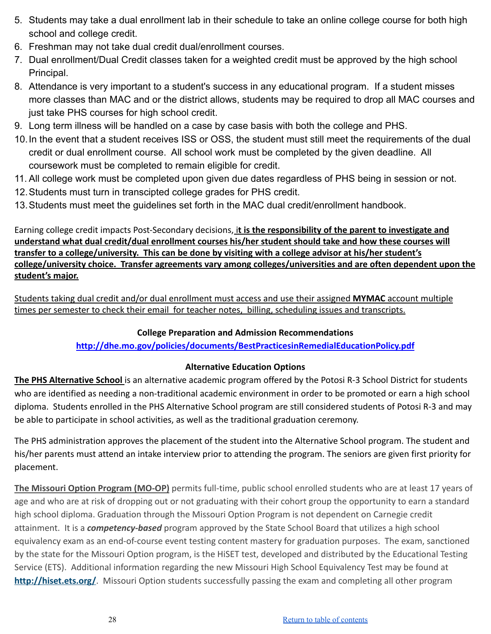- 5. Students may take a dual enrollment lab in their schedule to take an online college course for both high school and college credit.
- 6. Freshman may not take dual credit dual/enrollment courses.
- 7. Dual enrollment/Dual Credit classes taken for a weighted credit must be approved by the high school Principal.
- 8. Attendance is very important to a student's success in any educational program. If a student misses more classes than MAC and or the district allows, students may be required to drop all MAC courses and just take PHS courses for high school credit.
- 9. Long term illness will be handled on a case by case basis with both the college and PHS.
- 10.In the event that a student receives ISS or OSS, the student must still meet the requirements of the dual credit or dual enrollment course. All school work must be completed by the given deadline. All coursework must be completed to remain eligible for credit.
- 11. All college work must be completed upon given due dates regardless of PHS being in session or not.
- 12.Students must turn in transcipted college grades for PHS credit.
- 13.Students must meet the guidelines set forth in the MAC dual credit/enrollment handbook.

Earning college credit impacts Post-Secondary decisions, i**t is the responsibility of the parent to investigate and understand what dual credit/dual enrollment courses his/her student should take and how these courses will transfer to a college/university. This can be done by visiting with a college advisor at his/her student's college/university choice. Transfer agreements vary among colleges/universities and are often dependent upon the student's major.**

Students taking dual credit and/or dual enrollment must access and use their assigned **MYMAC** account multiple times per semester to check their email for teacher notes, billing, scheduling issues and transcripts.

# **College Preparation and Admission Recommendations**

# **<http://dhe.mo.gov/policies/documents/BestPracticesinRemedialEducationPolicy.pdf>**

# **Alternative Education Options**

<span id="page-27-0"></span>**The PHS Alternative School** is an alternative academic program offered by the Potosi R-3 School District for students who are identified as needing a non-traditional academic environment in order to be promoted or earn a high school diploma. Students enrolled in the PHS Alternative School program are still considered students of Potosi R-3 and may be able to participate in school activities, as well as the traditional graduation ceremony.

The PHS administration approves the placement of the student into the Alternative School program. The student and his/her parents must attend an intake interview prior to attending the program. The seniors are given first priority for placement.

**The Missouri Option Program (MO-OP)** permits full-time, public school enrolled students who are at least 17 years of age and who are at risk of dropping out or not graduating with their cohort group the opportunity to earn a standard high school diploma. Graduation through the Missouri Option Program is not dependent on Carnegie credit attainment. It is a *competency-based* program approved by the State School Board that utilizes a high school equivalency exam as an end-of-course event testing content mastery for graduation purposes. The exam, sanctioned by the state for the Missouri Option program, is the HiSET test, developed and distributed by the Educational Testing Service (ETS). Additional information regarding the new Missouri High School Equivalency Test may be found at **<http://hiset.ets.org/>**. Missouri Option students successfully passing the exam and completing all other program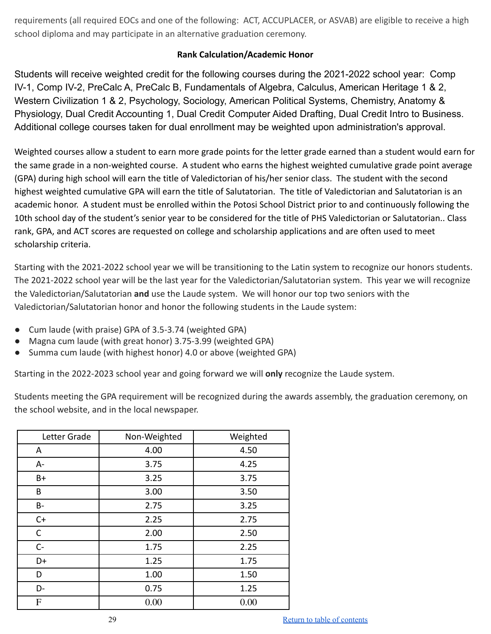requirements (all required EOCs and one of the following: ACT, ACCUPLACER, or ASVAB) are eligible to receive a high school diploma and may participate in an alternative graduation ceremony.

# **Rank Calculation/Academic Honor**

<span id="page-28-0"></span>Students will receive weighted credit for the following courses during the 2021-2022 school year: Comp IV-1, Comp IV-2, PreCalc A, PreCalc B, Fundamentals of Algebra, Calculus, American Heritage 1 & 2, Western Civilization 1 & 2, Psychology, Sociology, American Political Systems, Chemistry, Anatomy & Physiology, Dual Credit Accounting 1, Dual Credit Computer Aided Drafting, Dual Credit Intro to Business. Additional college courses taken for dual enrollment may be weighted upon administration's approval.

Weighted courses allow a student to earn more grade points for the letter grade earned than a student would earn for the same grade in a non-weighted course. A student who earns the highest weighted cumulative grade point average (GPA) during high school will earn the title of Valedictorian of his/her senior class. The student with the second highest weighted cumulative GPA will earn the title of Salutatorian. The title of Valedictorian and Salutatorian is an academic honor. A student must be enrolled within the Potosi School District prior to and continuously following the 10th school day of the student's senior year to be considered for the title of PHS Valedictorian or Salutatorian.. Class rank, GPA, and ACT scores are requested on college and scholarship applications and are often used to meet scholarship criteria.

Starting with the 2021-2022 school year we will be transitioning to the Latin system to recognize our honors students. The 2021-2022 school year will be the last year for the Valedictorian/Salutatorian system. This year we will recognize the Valedictorian/Salutatorian **and** use the Laude system. We will honor our top two seniors with the Valedictorian/Salutatorian honor and honor the following students in the Laude system:

- Cum laude (with praise) GPA of 3.5-3.74 (weighted GPA)
- Magna cum laude (with great honor) 3.75-3.99 (weighted GPA)
- Summa cum laude (with highest honor) 4.0 or above (weighted GPA)

Starting in the 2022-2023 school year and going forward we will **only** recognize the Laude system.

Students meeting the GPA requirement will be recognized during the awards assembly, the graduation ceremony, on the school website, and in the local newspaper.

| Letter Grade | Non-Weighted | Weighted |
|--------------|--------------|----------|
| A            | 4.00         | 4.50     |
| A-           | 3.75         | 4.25     |
| $B+$         | 3.25         | 3.75     |
| В            | 3.00         | 3.50     |
| $B-$         | 2.75         | 3.25     |
| $C+$         | 2.25         | 2.75     |
| C            | 2.00         | 2.50     |
| $C-$         | 1.75         | 2.25     |
| D+           | 1.25         | 1.75     |
| D            | 1.00         | 1.50     |
| D-           | 0.75         | 1.25     |
| F            | 0.00         | 0.00     |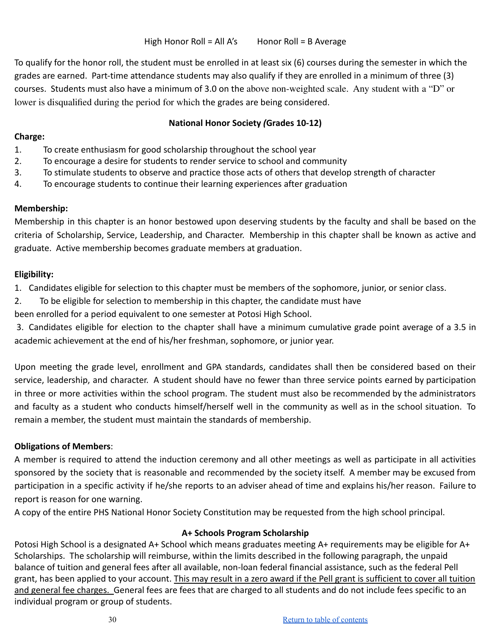To qualify for the honor roll, the student must be enrolled in at least six (6) courses during the semester in which the grades are earned. Part-time attendance students may also qualify if they are enrolled in a minimum of three (3) courses. Students must also have a minimum of 3.0 on the above non-weighted scale. Any student with a "D" or lower is disqualified during the period for which the grades are being considered.

# **National Honor Society** *(***Grades 10-12)**

# <span id="page-29-1"></span>**Charge:**

- 1. To create enthusiasm for good scholarship throughout the school year
- 2. To encourage a desire for students to render service to school and community
- 3. To stimulate students to observe and practice those acts of others that develop strength of character
- 4. To encourage students to continue their learning experiences after graduation

# **Membership:**

Membership in this chapter is an honor bestowed upon deserving students by the faculty and shall be based on the criteria of Scholarship, Service, Leadership, and Character. Membership in this chapter shall be known as active and graduate. Active membership becomes graduate members at graduation.

# **Eligibility:**

1. Candidates eligible for selection to this chapter must be members of the sophomore, junior, or senior class.

2. To be eligible for selection to membership in this chapter, the candidate must have

been enrolled for a period equivalent to one semester at Potosi High School.

3. Candidates eligible for election to the chapter shall have a minimum cumulative grade point average of a 3.5 in academic achievement at the end of his/her freshman, sophomore, or junior year.

Upon meeting the grade level, enrollment and GPA standards, candidates shall then be considered based on their service, leadership, and character. A student should have no fewer than three service points earned by participation in three or more activities within the school program. The student must also be recommended by the administrators and faculty as a student who conducts himself/herself well in the community as well as in the school situation. To remain a member, the student must maintain the standards of membership.

# **Obligations of Members**:

A member is required to attend the induction ceremony and all other meetings as well as participate in all activities sponsored by the society that is reasonable and recommended by the society itself. A member may be excused from participation in a specific activity if he/she reports to an adviser ahead of time and explains his/her reason. Failure to report is reason for one warning.

A copy of the entire PHS National Honor Society Constitution may be requested from the high school principal.

# **A+ Schools Program Scholarship**

<span id="page-29-0"></span>Potosi High School is a designated A+ School which means graduates meeting A+ requirements may be eligible for A+ Scholarships. The scholarship will reimburse, within the limits described in the following paragraph, the unpaid balance of tuition and general fees after all available, non-loan federal financial assistance, such as the federal Pell grant, has been applied to your account. This may result in a zero award if the Pell grant is sufficient to cover all tuition and general fee charges. General fees are fees that are charged to all students and do not include fees specific to an individual program or group of students.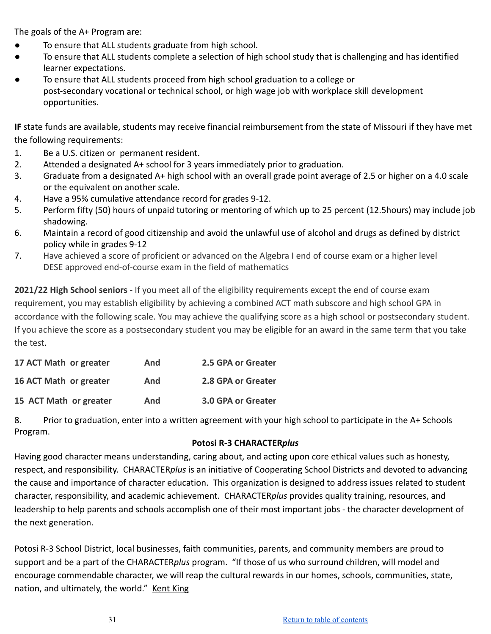The goals of the A+ Program are:

- To ensure that ALL students graduate from high school.
- To ensure that ALL students complete a selection of high school study that is challenging and has identified learner expectations.
- To ensure that ALL students proceed from high school graduation to a college or post-secondary vocational or technical school, or high wage job with workplace skill development opportunities.

**IF** state funds are available, students may receive financial reimbursement from the state of Missouri if they have met the following requirements:

- 1. Be a U.S. citizen or permanent resident.
- 2. Attended a designated A+ school for 3 years immediately prior to graduation.
- 3. Graduate from a designated A+ high school with an overall grade point average of 2.5 or higher on a 4.0 scale or the equivalent on another scale.
- 4. Have a 95% cumulative attendance record for grades 9-12.
- 5. Perform fifty (50) hours of unpaid tutoring or mentoring of which up to 25 percent (12.5hours) may include job shadowing.
- 6. Maintain a record of good citizenship and avoid the unlawful use of alcohol and drugs as defined by district policy while in grades 9-12
- 7. Have achieved a score of proficient or advanced on the Algebra I end of course exam or a higher level DESE approved end-of-course exam in the field of mathematics

**2021/22 High School seniors -** If you meet all of the eligibility requirements except the end of course exam requirement, you may establish eligibility by achieving a combined ACT math subscore and high school GPA in accordance with the following scale. You may achieve the qualifying score as a high school or postsecondary student. If you achieve the score as a postsecondary student you may be eligible for an award in the same term that you take the test.

| 17 ACT Math or greater | And | 2.5 GPA or Greater |
|------------------------|-----|--------------------|
| 16 ACT Math or greater | And | 2.8 GPA or Greater |
| 15 ACT Math or greater | And | 3.0 GPA or Greater |

8. Prior to graduation, enter into a written agreement with your high school to participate in the A+ Schools Program.

# **Potosi R-3 CHARACTER***plus*

<span id="page-30-0"></span>Having good character means understanding, caring about, and acting upon core ethical values such as honesty, respect, and responsibility. CHARACTER*plus* is an initiative of Cooperating School Districts and devoted to advancing the cause and importance of character education. This organization is designed to address issues related to student character, responsibility, and academic achievement. CHARACTER*plus* provides quality training, resources, and leadership to help parents and schools accomplish one of their most important jobs - the character development of the next generation.

Potosi R-3 School District, local businesses, faith communities, parents, and community members are proud to support and be a part of the CHARACTER*plus* program. "If those of us who surround children, will model and encourage commendable character, we will reap the cultural rewards in our homes, schools, communities, state, nation, and ultimately, the world." Kent King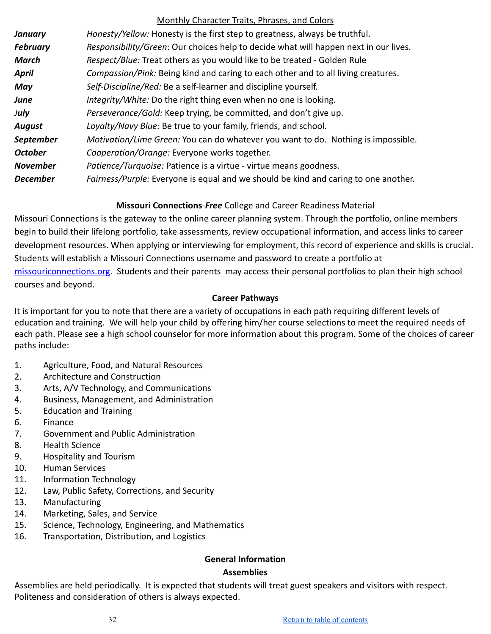# Monthly Character Traits, Phrases, and Colors

| January          | Honesty/Yellow: Honesty is the first step to greatness, always be truthful.          |
|------------------|--------------------------------------------------------------------------------------|
| <b>February</b>  | Responsibility/Green: Our choices help to decide what will happen next in our lives. |
| <b>March</b>     | Respect/Blue: Treat others as you would like to be treated - Golden Rule             |
| April            | Compassion/Pink: Being kind and caring to each other and to all living creatures.    |
| May              | Self-Discipline/Red: Be a self-learner and discipline yourself.                      |
| June             | Integrity/White: Do the right thing even when no one is looking.                     |
| July             | Perseverance/Gold: Keep trying, be committed, and don't give up.                     |
| <b>August</b>    | Loyalty/Navy Blue: Be true to your family, friends, and school.                      |
| <b>September</b> | Motivation/Lime Green: You can do whatever you want to do. Nothing is impossible.    |
| <b>October</b>   | Cooperation/Orange: Everyone works together.                                         |
| <b>November</b>  | Patience/Turquoise: Patience is a virtue - virtue means goodness.                    |
| <b>December</b>  | Fairness/Purple: Everyone is equal and we should be kind and caring to one another.  |

# **Missouri Connections**-*Free* College and Career Readiness Material

<span id="page-31-1"></span>Missouri Connections is the gateway to the online career planning system. Through the portfolio, online members begin to build their lifelong portfolio, take assessments, review occupational information, and access links to career development resources. When applying or interviewing for employment, this record of experience and skills is crucial. Students will establish a Missouri Connections username and password to create a portfolio at missouriconnections.org. Students and their parents may access their personal portfolios to plan their high school courses and beyond.

# **Career Pathways**

<span id="page-31-0"></span>It is important for you to note that there are a variety of occupations in each path requiring different levels of education and training. We will help your child by offering him/her course selections to meet the required needs of each path. Please see a high school counselor for more information about this program. Some of the choices of career paths include:

- 1. Agriculture, Food, and Natural Resources
- 2. Architecture and Construction
- 3. Arts, A/V Technology, and Communications
- 4. Business, Management, and Administration
- 5. Education and Training
- 6. Finance
- 7. Government and Public Administration
- 8. Health Science
- 9. Hospitality and Tourism
- 10. Human Services
- 11. Information Technology
- 12. Law, Public Safety, Corrections, and Security
- 13. Manufacturing
- 14. Marketing, Sales, and Service
- 15. Science, Technology, Engineering, and Mathematics
- <span id="page-31-2"></span>16. Transportation, Distribution, and Logistics

# **General Information**

# **Assemblies**

<span id="page-31-3"></span>Assemblies are held periodically. It is expected that students will treat guest speakers and visitors with respect. Politeness and consideration of others is always expected.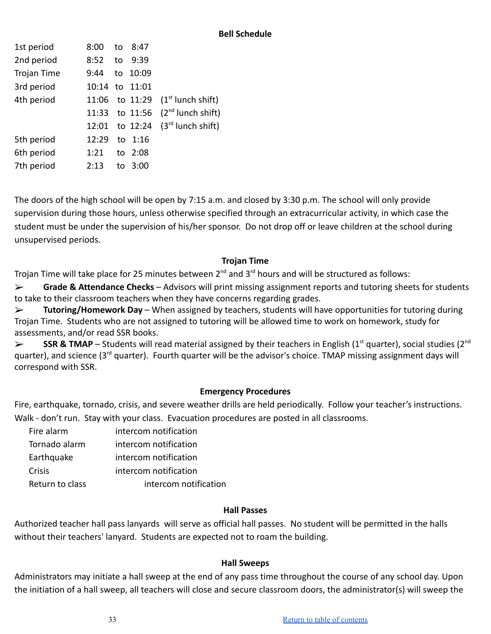<span id="page-32-1"></span>

| 1st period         | 8:00           | to 8:47 |                                                |
|--------------------|----------------|---------|------------------------------------------------|
| 2nd period         | 8:52 to 9:39   |         |                                                |
| <b>Trojan Time</b> | 9:44 to 10:09  |         |                                                |
| 3rd period         | 10:14 to 11:01 |         |                                                |
| 4th period         |                |         | 11:06 to 11:29 $(1^{st}$ lunch shift)          |
|                    |                |         | 11:33 to 11:56 (2 <sup>nd</sup> lunch shift)   |
|                    |                |         | 12:01 to $12:24$ (3 <sup>rd</sup> lunch shift) |
| 5th period         | 12:29          | to 1:16 |                                                |
| 6th period         | 1:21           | to 2:08 |                                                |
| 7th period         | 2:13           | to 3:00 |                                                |

The doors of the high school will be open by 7:15 a.m. and closed by 3:30 p.m. The school will only provide supervision during those hours, unless otherwise specified through an extracurricular activity, in which case the student must be under the supervision of his/her sponsor. Do not drop off or leave children at the school during unsupervised periods.

# **Trojan Time**

<span id="page-32-0"></span>Trojan Time will take place for 25 minutes between  $2^{nd}$  and  $3^{rd}$  hours and will be structured as follows:

➢ **Grade & Attendance Checks** – Advisors will print missing assignment reports and tutoring sheets for students to take to their classroom teachers when they have concerns regarding grades.

➢ **Tutoring/Homework Day** – When assigned by teachers, students will have opportunities for tutoring during Trojan Time. Students who are not assigned to tutoring will be allowed time to work on homework, study for assessments, and/or read SSR books.

**SSR & TMAP** – Students will read material assigned by their teachers in English (1<sup>st</sup> quarter), social studies (2<sup>nd</sup>) quarter), and science (3<sup>rd</sup> quarter). Fourth quarter will be the advisor's choice. TMAP missing assignment days will correspond with SSR.

# **Emergency Procedures**

<span id="page-32-2"></span>Fire, earthquake, tornado, crisis, and severe weather drills are held periodically. Follow your teacher's instructions. Walk - don't run. Stay with your class. Evacuation procedures are posted in all classrooms.

Fire alarm intercom notification Tornado alarm intercom notification Earthquake intercom notification Crisis intercom notification Return to class intercom notification

# **Hall Passes**

<span id="page-32-3"></span>Authorized teacher hall pass lanyards will serve as official hall passes. No student will be permitted in the halls without their teachers' lanyard. Students are expected not to roam the building.

# **Hall Sweeps**

<span id="page-32-4"></span>Administrators may initiate a hall sweep at the end of any pass time throughout the course of any school day. Upon the initiation of a hall sweep, all teachers will close and secure classroom doors, the administrator(s) will sweep the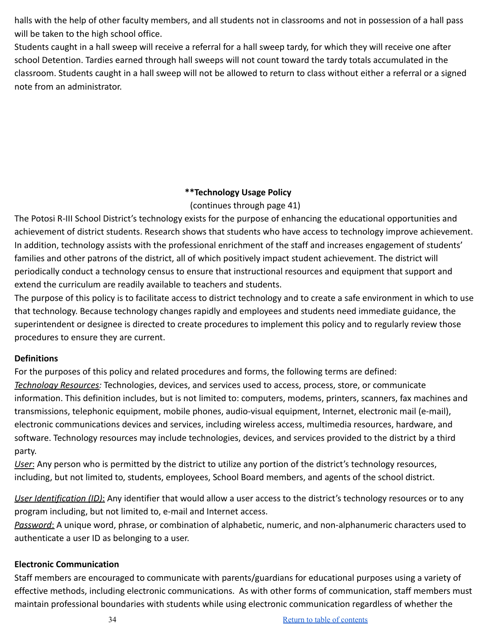halls with the help of other faculty members, and all students not in classrooms and not in possession of a hall pass will be taken to the high school office.

Students caught in a hall sweep will receive a referral for a hall sweep tardy, for which they will receive one after school Detention. Tardies earned through hall sweeps will not count toward the tardy totals accumulated in the classroom. Students caught in a hall sweep will not be allowed to return to class without either a referral or a signed note from an administrator.

# **\*\*Technology Usage Policy**

# (continues through page 41)

<span id="page-33-0"></span>The Potosi R-III School District's technology exists for the purpose of enhancing the educational opportunities and achievement of district students. Research shows that students who have access to technology improve achievement. In addition, technology assists with the professional enrichment of the staff and increases engagement of students' families and other patrons of the district, all of which positively impact student achievement. The district will periodically conduct a technology census to ensure that instructional resources and equipment that support and extend the curriculum are readily available to teachers and students.

The purpose of this policy is to facilitate access to district technology and to create a safe environment in which to use that technology. Because technology changes rapidly and employees and students need immediate guidance, the superintendent or designee is directed to create procedures to implement this policy and to regularly review those procedures to ensure they are current.

# **Definitions**

For the purposes of this policy and related procedures and forms, the following terms are defined: *Technology Resources:* Technologies, devices, and services used to access, process, store, or communicate information. This definition includes, but is not limited to: computers, modems, printers, scanners, fax machines and transmissions, telephonic equipment, mobile phones, audio-visual equipment, Internet, electronic mail (e-mail), electronic communications devices and services, including wireless access, multimedia resources, hardware, and software. Technology resources may include technologies, devices, and services provided to the district by a third party.

*User*: Any person who is permitted by the district to utilize any portion of the district's technology resources, including, but not limited to, students, employees, School Board members, and agents of the school district.

*User Identification (ID)*: Any identifier that would allow a user access to the district's technology resources or to any program including, but not limited to, e-mail and Internet access.

*Password*: A unique word, phrase, or combination of alphabetic, numeric, and non-alphanumeric characters used to authenticate a user ID as belonging to a user.

#### **Electronic Communication**

Staff members are encouraged to communicate with parents/guardians for educational purposes using a variety of effective methods, including electronic communications. As with other forms of communication, staff members must maintain professional boundaries with students while using electronic communication regardless of whether the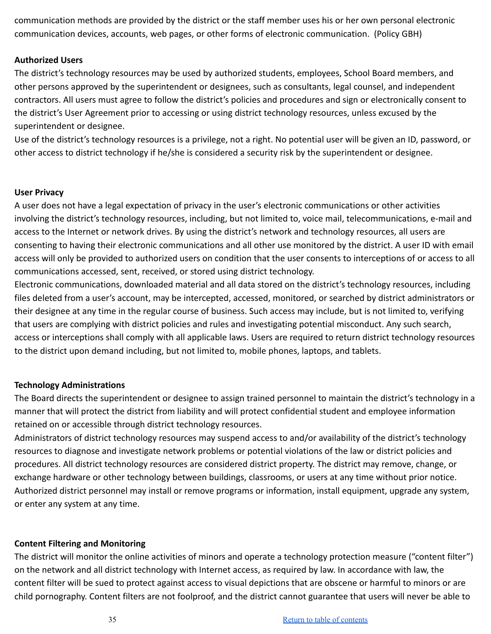communication methods are provided by the district or the staff member uses his or her own personal electronic communication devices, accounts, web pages, or other forms of electronic communication. (Policy GBH)

## **Authorized Users**

The district's technology resources may be used by authorized students, employees, School Board members, and other persons approved by the superintendent or designees, such as consultants, legal counsel, and independent contractors. All users must agree to follow the district's policies and procedures and sign or electronically consent to the district's User Agreement prior to accessing or using district technology resources, unless excused by the superintendent or designee.

Use of the district's technology resources is a privilege, not a right. No potential user will be given an ID, password, or other access to district technology if he/she is considered a security risk by the superintendent or designee.

#### **User Privacy**

A user does not have a legal expectation of privacy in the user's electronic communications or other activities involving the district's technology resources, including, but not limited to, voice mail, telecommunications, e-mail and access to the Internet or network drives. By using the district's network and technology resources, all users are consenting to having their electronic communications and all other use monitored by the district. A user ID with email access will only be provided to authorized users on condition that the user consents to interceptions of or access to all communications accessed, sent, received, or stored using district technology.

Electronic communications, downloaded material and all data stored on the district's technology resources, including files deleted from a user's account, may be intercepted, accessed, monitored, or searched by district administrators or their designee at any time in the regular course of business. Such access may include, but is not limited to, verifying that users are complying with district policies and rules and investigating potential misconduct. Any such search, access or interceptions shall comply with all applicable laws. Users are required to return district technology resources to the district upon demand including, but not limited to, mobile phones, laptops, and tablets.

#### **Technology Administrations**

The Board directs the superintendent or designee to assign trained personnel to maintain the district's technology in a manner that will protect the district from liability and will protect confidential student and employee information retained on or accessible through district technology resources.

Administrators of district technology resources may suspend access to and/or availability of the district's technology resources to diagnose and investigate network problems or potential violations of the law or district policies and procedures. All district technology resources are considered district property. The district may remove, change, or exchange hardware or other technology between buildings, classrooms, or users at any time without prior notice. Authorized district personnel may install or remove programs or information, install equipment, upgrade any system, or enter any system at any time.

#### **Content Filtering and Monitoring**

The district will monitor the online activities of minors and operate a technology protection measure ("content filter") on the network and all district technology with Internet access, as required by law. In accordance with law, the content filter will be sued to protect against access to visual depictions that are obscene or harmful to minors or are child pornography. Content filters are not foolproof, and the district cannot guarantee that users will never be able to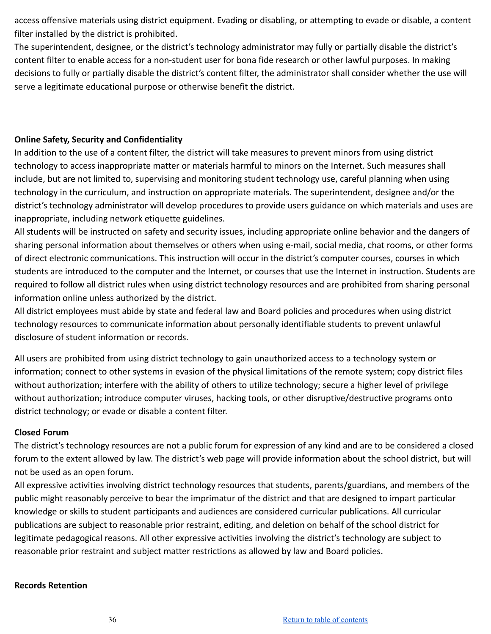access offensive materials using district equipment. Evading or disabling, or attempting to evade or disable, a content filter installed by the district is prohibited.

The superintendent, designee, or the district's technology administrator may fully or partially disable the district's content filter to enable access for a non-student user for bona fide research or other lawful purposes. In making decisions to fully or partially disable the district's content filter, the administrator shall consider whether the use will serve a legitimate educational purpose or otherwise benefit the district.

## **Online Safety, Security and Confidentiality**

In addition to the use of a content filter, the district will take measures to prevent minors from using district technology to access inappropriate matter or materials harmful to minors on the Internet. Such measures shall include, but are not limited to, supervising and monitoring student technology use, careful planning when using technology in the curriculum, and instruction on appropriate materials. The superintendent, designee and/or the district's technology administrator will develop procedures to provide users guidance on which materials and uses are inappropriate, including network etiquette guidelines.

All students will be instructed on safety and security issues, including appropriate online behavior and the dangers of sharing personal information about themselves or others when using e-mail, social media, chat rooms, or other forms of direct electronic communications. This instruction will occur in the district's computer courses, courses in which students are introduced to the computer and the Internet, or courses that use the Internet in instruction. Students are required to follow all district rules when using district technology resources and are prohibited from sharing personal information online unless authorized by the district.

All district employees must abide by state and federal law and Board policies and procedures when using district technology resources to communicate information about personally identifiable students to prevent unlawful disclosure of student information or records.

All users are prohibited from using district technology to gain unauthorized access to a technology system or information; connect to other systems in evasion of the physical limitations of the remote system; copy district files without authorization; interfere with the ability of others to utilize technology; secure a higher level of privilege without authorization; introduce computer viruses, hacking tools, or other disruptive/destructive programs onto district technology; or evade or disable a content filter.

#### **Closed Forum**

The district's technology resources are not a public forum for expression of any kind and are to be considered a closed forum to the extent allowed by law. The district's web page will provide information about the school district, but will not be used as an open forum.

All expressive activities involving district technology resources that students, parents/guardians, and members of the public might reasonably perceive to bear the imprimatur of the district and that are designed to impart particular knowledge or skills to student participants and audiences are considered curricular publications. All curricular publications are subject to reasonable prior restraint, editing, and deletion on behalf of the school district for legitimate pedagogical reasons. All other expressive activities involving the district's technology are subject to reasonable prior restraint and subject matter restrictions as allowed by law and Board policies.

#### **Records Retention**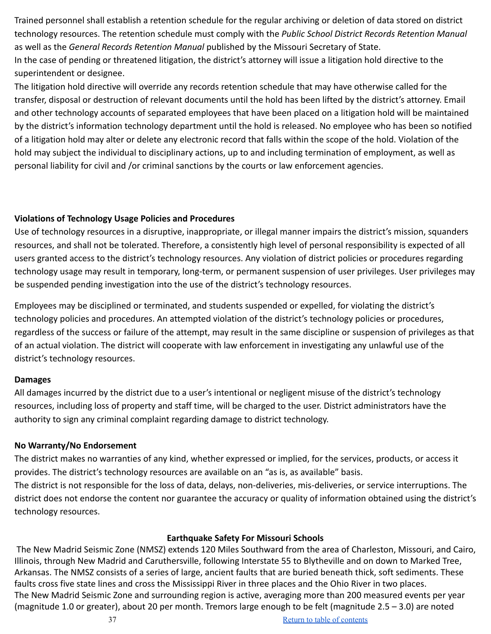Trained personnel shall establish a retention schedule for the regular archiving or deletion of data stored on district technology resources. The retention schedule must comply with the *Public School District Records Retention Manual* as well as the *General Records Retention Manual* published by the Missouri Secretary of State.

In the case of pending or threatened litigation, the district's attorney will issue a litigation hold directive to the superintendent or designee.

The litigation hold directive will override any records retention schedule that may have otherwise called for the transfer, disposal or destruction of relevant documents until the hold has been lifted by the district's attorney. Email and other technology accounts of separated employees that have been placed on a litigation hold will be maintained by the district's information technology department until the hold is released. No employee who has been so notified of a litigation hold may alter or delete any electronic record that falls within the scope of the hold. Violation of the hold may subject the individual to disciplinary actions, up to and including termination of employment, as well as personal liability for civil and /or criminal sanctions by the courts or law enforcement agencies.

# **Violations of Technology Usage Policies and Procedures**

Use of technology resources in a disruptive, inappropriate, or illegal manner impairs the district's mission, squanders resources, and shall not be tolerated. Therefore, a consistently high level of personal responsibility is expected of all users granted access to the district's technology resources. Any violation of district policies or procedures regarding technology usage may result in temporary, long-term, or permanent suspension of user privileges. User privileges may be suspended pending investigation into the use of the district's technology resources.

Employees may be disciplined or terminated, and students suspended or expelled, for violating the district's technology policies and procedures. An attempted violation of the district's technology policies or procedures, regardless of the success or failure of the attempt, may result in the same discipline or suspension of privileges as that of an actual violation. The district will cooperate with law enforcement in investigating any unlawful use of the district's technology resources.

#### **Damages**

All damages incurred by the district due to a user's intentional or negligent misuse of the district's technology resources, including loss of property and staff time, will be charged to the user. District administrators have the authority to sign any criminal complaint regarding damage to district technology.

# **No Warranty/No Endorsement**

The district makes no warranties of any kind, whether expressed or implied, for the services, products, or access it provides. The district's technology resources are available on an "as is, as available" basis.

The district is not responsible for the loss of data, delays, non-deliveries, mis-deliveries, or service interruptions. The district does not endorse the content nor guarantee the accuracy or quality of information obtained using the district's technology resources.

#### **Earthquake Safety For Missouri Schools**

<span id="page-36-0"></span>The New Madrid Seismic Zone (NMSZ) extends 120 Miles Southward from the area of Charleston, Missouri, and Cairo, Illinois, through New Madrid and Caruthersville, following Interstate 55 to Blytheville and on down to Marked Tree, Arkansas. The NMSZ consists of a series of large, ancient faults that are buried beneath thick, soft sediments. These faults cross five state lines and cross the Mississippi River in three places and the Ohio River in two places. The New Madrid Seismic Zone and surrounding region is active, averaging more than 200 measured events per year (magnitude 1.0 or greater), about 20 per month. Tremors large enough to be felt (magnitude 2.5 – 3.0) are noted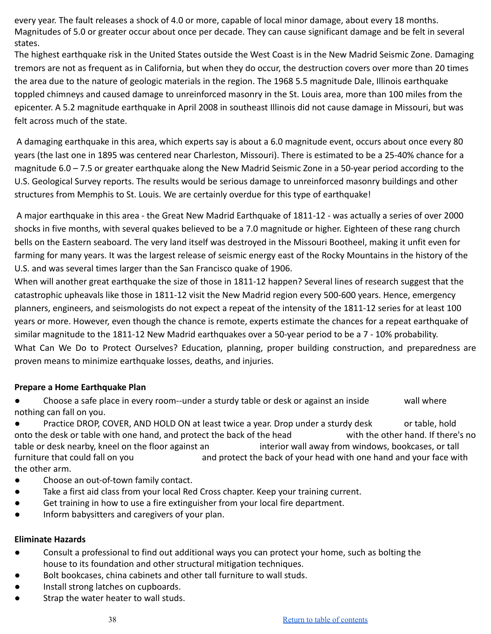every year. The fault releases a shock of 4.0 or more, capable of local minor damage, about every 18 months. Magnitudes of 5.0 or greater occur about once per decade. They can cause significant damage and be felt in several states.

The highest earthquake risk in the United States outside the West Coast is in the New Madrid Seismic Zone. Damaging tremors are not as frequent as in California, but when they do occur, the destruction covers over more than 20 times the area due to the nature of geologic materials in the region. The 1968 5.5 magnitude Dale, Illinois earthquake toppled chimneys and caused damage to unreinforced masonry in the St. Louis area, more than 100 miles from the epicenter. A 5.2 magnitude earthquake in April 2008 in southeast Illinois did not cause damage in Missouri, but was felt across much of the state.

A damaging earthquake in this area, which experts say is about a 6.0 magnitude event, occurs about once every 80 years (the last one in 1895 was centered near Charleston, Missouri). There is estimated to be a 25-40% chance for a magnitude 6.0 – 7.5 or greater earthquake along the New Madrid Seismic Zone in a 50-year period according to the U.S. Geological Survey reports. The results would be serious damage to unreinforced masonry buildings and other structures from Memphis to St. Louis. We are certainly overdue for this type of earthquake!

A major earthquake in this area - the Great New Madrid Earthquake of 1811-12 - was actually a series of over 2000 shocks in five months, with several quakes believed to be a 7.0 magnitude or higher. Eighteen of these rang church bells on the Eastern seaboard. The very land itself was destroyed in the Missouri Bootheel, making it unfit even for farming for many years. It was the largest release of seismic energy east of the Rocky Mountains in the history of the U.S. and was several times larger than the San Francisco quake of 1906.

When will another great earthquake the size of those in 1811-12 happen? Several lines of research suggest that the catastrophic upheavals like those in 1811-12 visit the New Madrid region every 500-600 years. Hence, emergency planners, engineers, and seismologists do not expect a repeat of the intensity of the 1811-12 series for at least 100 years or more. However, even though the chance is remote, experts estimate the chances for a repeat earthquake of similar magnitude to the 1811-12 New Madrid earthquakes over a 50-year period to be a 7 - 10% probability. What Can We Do to Protect Ourselves? Education, planning, proper building construction, and preparedness are proven means to minimize earthquake losses, deaths, and injuries.

# **Prepare a Home Earthquake Plan**

● Choose a safe place in every room--under a sturdy table or desk or against an inside wall where nothing can fall on you.

● Practice DROP, COVER, AND HOLD ON at least twice a year. Drop under a sturdy desk or table, hold onto the desk or table with one hand, and protect the back of the head with the other hand. If there's no table or desk nearby, kneel on the floor against an interior wall away from windows, bookcases, or tall furniture that could fall on you and protect the back of your head with one hand and your face with the other arm.

- Choose an out-of-town family contact.
- Take a first aid class from your local Red Cross chapter. Keep your training current.
- Get training in how to use a fire extinguisher from your local fire department.
- Inform babysitters and caregivers of your plan.

# **Eliminate Hazards**

- Consult a professional to find out additional ways you can protect your home, such as bolting the house to its foundation and other structural mitigation techniques.
- Bolt bookcases, china cabinets and other tall furniture to wall studs.
- Install strong latches on cupboards.
- Strap the water heater to wall studs.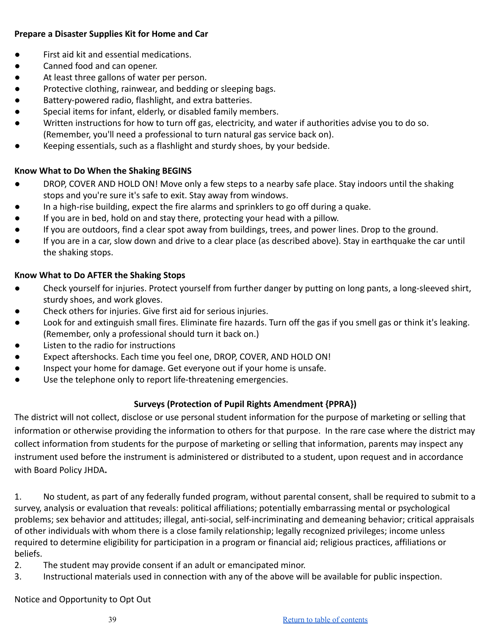# **Prepare a Disaster Supplies Kit for Home and Car**

- First aid kit and essential medications.
- Canned food and can opener.
- At least three gallons of water per person.
- Protective clothing, rainwear, and bedding or sleeping bags.
- Battery-powered radio, flashlight, and extra batteries.
- Special items for infant, elderly, or disabled family members.
- Written instructions for how to turn off gas, electricity, and water if authorities advise you to do so. (Remember, you'll need a professional to turn natural gas service back on).
- Keeping essentials, such as a flashlight and sturdy shoes, by your bedside.

# **Know What to Do When the Shaking BEGINS**

- DROP, COVER AND HOLD ON! Move only a few steps to a nearby safe place. Stay indoors until the shaking stops and you're sure it's safe to exit. Stay away from windows.
- In a high-rise building, expect the fire alarms and sprinklers to go off during a quake.
- If you are in bed, hold on and stay there, protecting your head with a pillow.
- If you are outdoors, find a clear spot away from buildings, trees, and power lines. Drop to the ground.
- If you are in a car, slow down and drive to a clear place (as described above). Stay in earthquake the car until the shaking stops.

# **Know What to Do AFTER the Shaking Stops**

- Check yourself for injuries. Protect yourself from further danger by putting on long pants, a long-sleeved shirt, sturdy shoes, and work gloves.
- Check others for injuries. Give first aid for serious injuries.
- Look for and extinguish small fires. Eliminate fire hazards. Turn off the gas if you smell gas or think it's leaking. (Remember, only a professional should turn it back on.)
- Listen to the radio for instructions
- Expect aftershocks. Each time you feel one, DROP, COVER, AND HOLD ON!
- Inspect your home for damage. Get everyone out if your home is unsafe.
- Use the telephone only to report life-threatening emergencies.

# **Surveys (Protection of Pupil Rights Amendment {PPRA})**

<span id="page-38-0"></span>The district will not collect, disclose or use personal student information for the purpose of marketing or selling that information or otherwise providing the information to others for that purpose. In the rare case where the district may collect information from students for the purpose of marketing or selling that information, parents may inspect any instrument used before the instrument is administered or distributed to a student, upon request and in accordance with Board Policy JHDA**.**

1. No student, as part of any federally funded program, without parental consent, shall be required to submit to a survey, analysis or evaluation that reveals: political affiliations; potentially embarrassing mental or psychological problems; sex behavior and attitudes; illegal, anti-social, self-incriminating and demeaning behavior; critical appraisals of other individuals with whom there is a close family relationship; legally recognized privileges; income unless required to determine eligibility for participation in a program or financial aid; religious practices, affiliations or beliefs.

- 2. The student may provide consent if an adult or emancipated minor.
- 3. Instructional materials used in connection with any of the above will be available for public inspection.

# Notice and Opportunity to Opt Out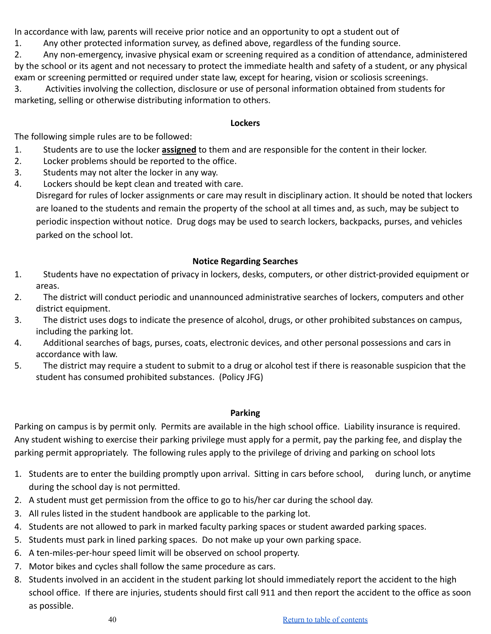In accordance with law, parents will receive prior notice and an opportunity to opt a student out of

1. Any other protected information survey, as defined above, regardless of the funding source.

2. Any non-emergency, invasive physical exam or screening required as a condition of attendance, administered by the school or its agent and not necessary to protect the immediate health and safety of a student, or any physical exam or screening permitted or required under state law, except for hearing, vision or scoliosis screenings.

3. Activities involving the collection, disclosure or use of personal information obtained from students for marketing, selling or otherwise distributing information to others.

## **Lockers**

<span id="page-39-0"></span>The following simple rules are to be followed:

- 1. Students are to use the locker **assigned** to them and are responsible for the content in their locker.
- 2. Locker problems should be reported to the office.
- 3. Students may not alter the locker in any way.
- 4. Lockers should be kept clean and treated with care.

Disregard for rules of locker assignments or care may result in disciplinary action. It should be noted that lockers are loaned to the students and remain the property of the school at all times and, as such, may be subject to periodic inspection without notice. Drug dogs may be used to search lockers, backpacks, purses, and vehicles parked on the school lot.

# **Notice Regarding Searches**

- <span id="page-39-1"></span>1. Students have no expectation of privacy in lockers, desks, computers, or other district-provided equipment or areas.
- 2. The district will conduct periodic and unannounced administrative searches of lockers, computers and other district equipment.
- 3. The district uses dogs to indicate the presence of alcohol, drugs, or other prohibited substances on campus, including the parking lot.
- 4. Additional searches of bags, purses, coats, electronic devices, and other personal possessions and cars in accordance with law.
- 5. The district may require a student to submit to a drug or alcohol test if there is reasonable suspicion that the student has consumed prohibited substances. (Policy JFG)

# **Parking**

<span id="page-39-2"></span>Parking on campus is by permit only. Permits are available in the high school office. Liability insurance is required. Any student wishing to exercise their parking privilege must apply for a permit, pay the parking fee, and display the parking permit appropriately. The following rules apply to the privilege of driving and parking on school lots

- 1. Students are to enter the building promptly upon arrival. Sitting in cars before school, during lunch, or anytime during the school day is not permitted.
- 2. A student must get permission from the office to go to his/her car during the school day.
- 3. All rules listed in the student handbook are applicable to the parking lot.
- 4. Students are not allowed to park in marked faculty parking spaces or student awarded parking spaces.
- 5. Students must park in lined parking spaces. Do not make up your own parking space.
- 6. A ten-miles-per-hour speed limit will be observed on school property.
- 7. Motor bikes and cycles shall follow the same procedure as cars.
- 8. Students involved in an accident in the student parking lot should immediately report the accident to the high school office. If there are injuries, students should first call 911 and then report the accident to the office as soon as possible.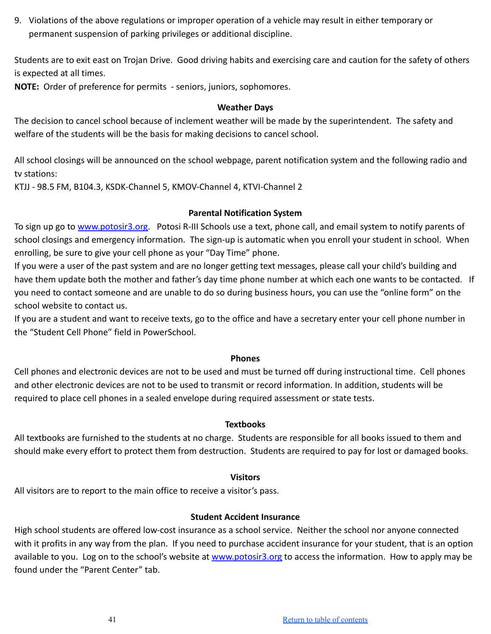9. Violations of the above regulations or improper operation of a vehicle may result in either temporary or permanent suspension of parking privileges or additional discipline.

Students are to exit east on Trojan Drive. Good driving habits and exercising care and caution for the safety of others is expected at all times.

**NOTE:** Order of preference for permits - seniors, juniors, sophomores.

#### **Weather Days**

<span id="page-40-5"></span>The decision to cancel school because of inclement weather will be made by the superintendent. The safety and welfare of the students will be the basis for making decisions to cancel school.

All school closings will be announced on the school webpage, parent notification system and the following radio and tv stations:

KTJJ - 98.5 FM, B104.3, KSDK-Channel 5, KMOV-Channel 4, KTVI-Channel 2

#### **Parental Notification System**

<span id="page-40-0"></span>To sign up go to [www.potosir3.org](http://www.potosir3.org). Potosi R-III Schools use a text, phone call, and email system to notify parents of school closings and emergency information. The sign-up is automatic when you enroll your student in school. When enrolling, be sure to give your cell phone as your "Day Time" phone.

If you were a user of the past system and are no longer getting text messages, please call your child's building and have them update both the mother and father's day time phone number at which each one wants to be contacted. If you need to contact someone and are unable to do so during business hours, you can use the "online form" on the school website to contact us.

If you are a student and want to receive texts, go to the office and have a secretary enter your cell phone number in the "Student Cell Phone" field in PowerSchool.

#### **Phones**

<span id="page-40-1"></span>Cell phones and electronic devices are not to be used and must be turned off during instructional time. Cell phones and other electronic devices are not to be used to transmit or record information. In addition, students will be required to place cell phones in a sealed envelope during required assessment or state tests.

#### **Textbooks**

<span id="page-40-3"></span>All textbooks are furnished to the students at no charge. Students are responsible for all books issued to them and should make every effort to protect them from destruction. Students are required to pay for lost or damaged books.

#### **Visitors**

<span id="page-40-4"></span>All visitors are to report to the main office to receive a visitor's pass.

#### **Student Accident Insurance**

<span id="page-40-2"></span>High school students are offered low-cost insurance as a school service. Neither the school nor anyone connected with it profits in any way from the plan. If you need to purchase accident insurance for your student, that is an option available to you. Log on to the school's website at [www.potosir3.org](http://www.potosir3.org) to access the information. How to apply may be found under the "Parent Center" tab.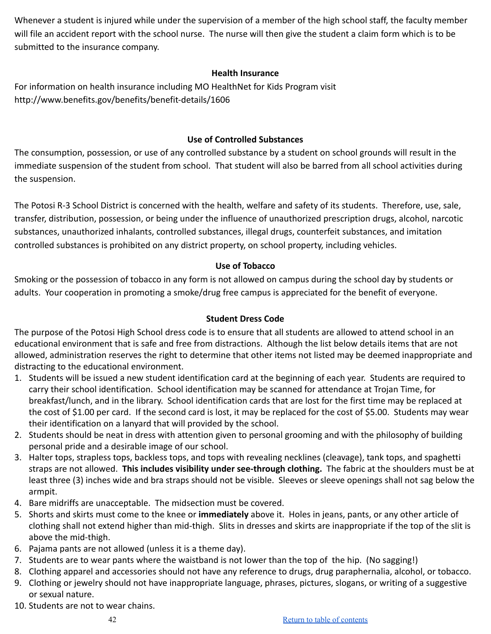Whenever a student is injured while under the supervision of a member of the high school staff, the faculty member will file an accident report with the school nurse. The nurse will then give the student a claim form which is to be submitted to the insurance company.

# **Health Insurance**

For information on health insurance including MO HealthNet for Kids Program visit http://www.benefits.gov/benefits/benefit-details/1606

# **Use of Controlled Substances**

<span id="page-41-1"></span>The consumption, possession, or use of any controlled substance by a student on school grounds will result in the immediate suspension of the student from school. That student will also be barred from all school activities during the suspension.

The Potosi R-3 School District is concerned with the health, welfare and safety of its students. Therefore, use, sale, transfer, distribution, possession, or being under the influence of unauthorized prescription drugs, alcohol, narcotic substances, unauthorized inhalants, controlled substances, illegal drugs, counterfeit substances, and imitation controlled substances is prohibited on any district property, on school property, including vehicles.

# **Use of Tobacco**

<span id="page-41-2"></span>Smoking or the possession of tobacco in any form is not allowed on campus during the school day by students or adults. Your cooperation in promoting a smoke/drug free campus is appreciated for the benefit of everyone.

# **Student Dress Code**

<span id="page-41-0"></span>The purpose of the Potosi High School dress code is to ensure that all students are allowed to attend school in an educational environment that is safe and free from distractions. Although the list below details items that are not allowed, administration reserves the right to determine that other items not listed may be deemed inappropriate and distracting to the educational environment.

- 1. Students will be issued a new student identification card at the beginning of each year. Students are required to carry their school identification. School identification may be scanned for attendance at Trojan Time, for breakfast/lunch, and in the library. School identification cards that are lost for the first time may be replaced at the cost of \$1.00 per card. If the second card is lost, it may be replaced for the cost of \$5.00. Students may wear their identification on a lanyard that will provided by the school.
- 2. Students should be neat in dress with attention given to personal grooming and with the philosophy of building personal pride and a desirable image of our school.
- 3. Halter tops, strapless tops, backless tops, and tops with revealing necklines (cleavage), tank tops, and spaghetti straps are not allowed. **This includes visibility under see-through clothing.** The fabric at the shoulders must be at least three (3) inches wide and bra straps should not be visible. Sleeves or sleeve openings shall not sag below the armpit.
- 4. Bare midriffs are unacceptable. The midsection must be covered.
- 5. Shorts and skirts must come to the knee or **immediately** above it. Holes in jeans, pants, or any other article of clothing shall not extend higher than mid-thigh. Slits in dresses and skirts are inappropriate if the top of the slit is above the mid-thigh.
- 6. Pajama pants are not allowed (unless it is a theme day).
- 7. Students are to wear pants where the waistband is not lower than the top of the hip. (No sagging!)
- 8. Clothing apparel and accessories should not have any reference to drugs, drug paraphernalia, alcohol, or tobacco.
- 9. Clothing or jewelry should not have inappropriate language, phrases, pictures, slogans, or writing of a suggestive or sexual nature.
- 10. Students are not to wear chains.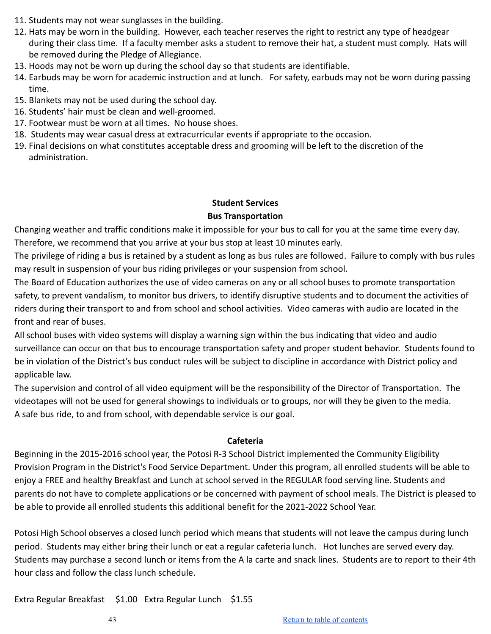- 11. Students may not wear sunglasses in the building.
- 12. Hats may be worn in the building. However, each teacher reserves the right to restrict any type of headgear during their class time. If a faculty member asks a student to remove their hat, a student must comply. Hats will be removed during the Pledge of Allegiance.
- 13. Hoods may not be worn up during the school day so that students are identifiable.
- 14. Earbuds may be worn for academic instruction and at lunch. For safety, earbuds may not be worn during passing time.
- 15. Blankets may not be used during the school day.
- 16. Students' hair must be clean and well-groomed.
- 17. Footwear must be worn at all times. No house shoes.
- 18. Students may wear casual dress at extracurricular events if appropriate to the occasion.
- 19. Final decisions on what constitutes acceptable dress and grooming will be left to the discretion of the administration.

# **Student Services**

#### **Bus Transportation**

<span id="page-42-1"></span><span id="page-42-0"></span>Changing weather and traffic conditions make it impossible for your bus to call for you at the same time every day. Therefore, we recommend that you arrive at your bus stop at least 10 minutes early.

The privilege of riding a bus is retained by a student as long as bus rules are followed. Failure to comply with bus rules may result in suspension of your bus riding privileges or your suspension from school.

The Board of Education authorizes the use of video cameras on any or all school buses to promote transportation safety, to prevent vandalism, to monitor bus drivers, to identify disruptive students and to document the activities of riders during their transport to and from school and school activities. Video cameras with audio are located in the front and rear of buses.

All school buses with video systems will display a warning sign within the bus indicating that video and audio surveillance can occur on that bus to encourage transportation safety and proper student behavior. Students found to be in violation of the District's bus conduct rules will be subject to discipline in accordance with District policy and applicable law.

The supervision and control of all video equipment will be the responsibility of the Director of Transportation. The videotapes will not be used for general showings to individuals or to groups, nor will they be given to the media. A safe bus ride, to and from school, with dependable service is our goal.

#### **Cafeteria**

<span id="page-42-2"></span>Beginning in the 2015-2016 school year, the Potosi R-3 School District implemented the Community Eligibility Provision Program in the District's Food Service Department. Under this program, all enrolled students will be able to enjoy a FREE and healthy Breakfast and Lunch at school served in the REGULAR food serving line. Students and parents do not have to complete applications or be concerned with payment of school meals. The District is pleased to be able to provide all enrolled students this additional benefit for the 2021-2022 School Year.

Potosi High School observes a closed lunch period which means that students will not leave the campus during lunch period. Students may either bring their lunch or eat a regular cafeteria lunch. Hot lunches are served every day. Students may purchase a second lunch or items from the A la carte and snack lines. Students are to report to their 4th hour class and follow the class lunch schedule.

Extra Regular Breakfast \$1.00 Extra Regular Lunch \$1.55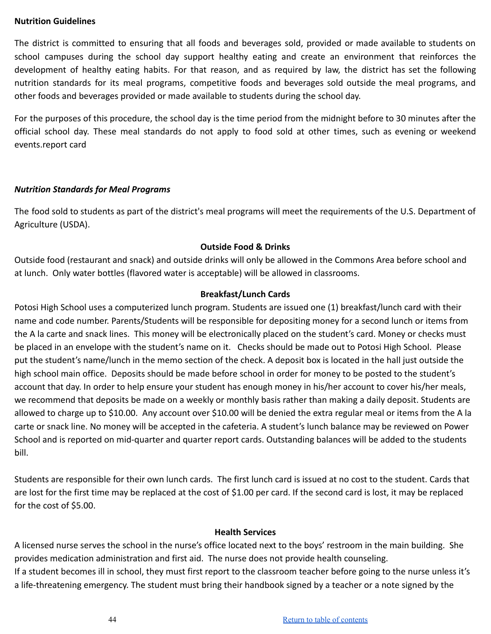#### **Nutrition Guidelines**

The district is committed to ensuring that all foods and beverages sold, provided or made available to students on school campuses during the school day support healthy eating and create an environment that reinforces the development of healthy eating habits. For that reason, and as required by law, the district has set the following nutrition standards for its meal programs, competitive foods and beverages sold outside the meal programs, and other foods and beverages provided or made available to students during the school day.

For the purposes of this procedure, the school day is the time period from the midnight before to 30 minutes after the official school day. These meal standards do not apply to food sold at other times, such as evening or weekend events.report card

#### *Nutrition Standards for Meal Programs*

The food sold to students as part of the district's meal programs will meet the requirements of the U.S. Department of Agriculture (USDA).

#### **Outside Food & Drinks**

Outside food (restaurant and snack) and outside drinks will only be allowed in the Commons Area before school and at lunch. Only water bottles (flavored water is acceptable) will be allowed in classrooms.

#### **Breakfast/Lunch Cards**

<span id="page-43-0"></span>Potosi High School uses a computerized lunch program. Students are issued one (1) breakfast/lunch card with their name and code number. Parents/Students will be responsible for depositing money for a second lunch or items from the A la carte and snack lines. This money will be electronically placed on the student's card. Money or checks must be placed in an envelope with the student's name on it. Checks should be made out to Potosi High School. Please put the student's name/lunch in the memo section of the check. A deposit box is located in the hall just outside the high school main office. Deposits should be made before school in order for money to be posted to the student's account that day. In order to help ensure your student has enough money in his/her account to cover his/her meals, we recommend that deposits be made on a weekly or monthly basis rather than making a daily deposit. Students are allowed to charge up to \$10.00. Any account over \$10.00 will be denied the extra regular meal or items from the A la carte or snack line. No money will be accepted in the cafeteria. A student's lunch balance may be reviewed on Power School and is reported on mid-quarter and quarter report cards. Outstanding balances will be added to the students bill.

Students are responsible for their own lunch cards. The first lunch card is issued at no cost to the student. Cards that are lost for the first time may be replaced at the cost of \$1.00 per card. If the second card is lost, it may be replaced for the cost of \$5.00.

#### **Health Services**

<span id="page-43-1"></span>A licensed nurse serves the school in the nurse's office located next to the boys' restroom in the main building. She provides medication administration and first aid. The nurse does not provide health counseling. If a student becomes ill in school, they must first report to the classroom teacher before going to the nurse unless it's a life-threatening emergency. The student must bring their handbook signed by a teacher or a note signed by the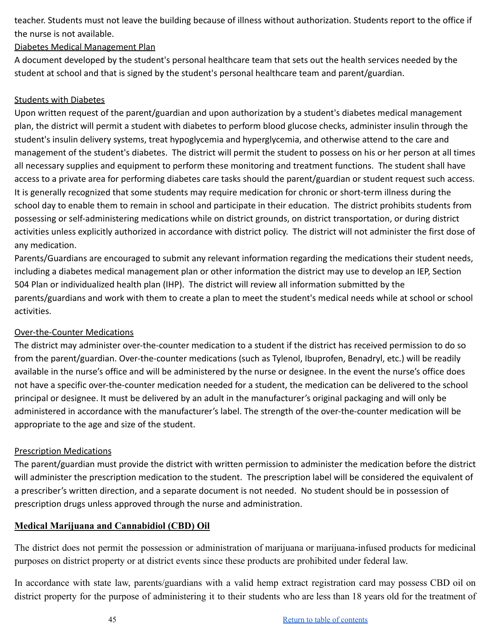teacher. Students must not leave the building because of illness without authorization. Students report to the office if the nurse is not available.

# Diabetes Medical Management Plan

A document developed by the student's personal healthcare team that sets out the health services needed by the student at school and that is signed by the student's personal healthcare team and parent/guardian.

# Students with Diabetes

Upon written request of the parent/guardian and upon authorization by a student's diabetes medical management plan, the district will permit a student with diabetes to perform blood glucose checks, administer insulin through the student's insulin delivery systems, treat hypoglycemia and hyperglycemia, and otherwise attend to the care and management of the student's diabetes. The district will permit the student to possess on his or her person at all times all necessary supplies and equipment to perform these monitoring and treatment functions. The student shall have access to a private area for performing diabetes care tasks should the parent/guardian or student request such access. It is generally recognized that some students may require medication for chronic or short-term illness during the school day to enable them to remain in school and participate in their education. The district prohibits students from possessing or self-administering medications while on district grounds, on district transportation, or during district activities unless explicitly authorized in accordance with district policy. The district will not administer the first dose of any medication.

Parents/Guardians are encouraged to submit any relevant information regarding the medications their student needs, including a diabetes medical management plan or other information the district may use to develop an IEP, Section 504 Plan or individualized health plan (IHP). The district will review all information submitted by the parents/guardians and work with them to create a plan to meet the student's medical needs while at school or school activities.

# Over-the-Counter Medications

The district may administer over-the-counter medication to a student if the district has received permission to do so from the parent/guardian. Over-the-counter medications (such as Tylenol, Ibuprofen, Benadryl, etc.) will be readily available in the nurse's office and will be administered by the nurse or designee. In the event the nurse's office does not have a specific over-the-counter medication needed for a student, the medication can be delivered to the school principal or designee. It must be delivered by an adult in the manufacturer's original packaging and will only be administered in accordance with the manufacturer's label. The strength of the over-the-counter medication will be appropriate to the age and size of the student.

# Prescription Medications

The parent/guardian must provide the district with written permission to administer the medication before the district will administer the prescription medication to the student. The prescription label will be considered the equivalent of a prescriber's written direction, and a separate document is not needed. No student should be in possession of prescription drugs unless approved through the nurse and administration.

# **Medical Marijuana and Cannabidiol (CBD) Oil**

The district does not permit the possession or administration of marijuana or marijuana-infused products for medicinal purposes on district property or at district events since these products are prohibited under federal law.

In accordance with state law, parents/guardians with a valid hemp extract registration card may possess CBD oil on district property for the purpose of administering it to their students who are less than 18 years old for the treatment of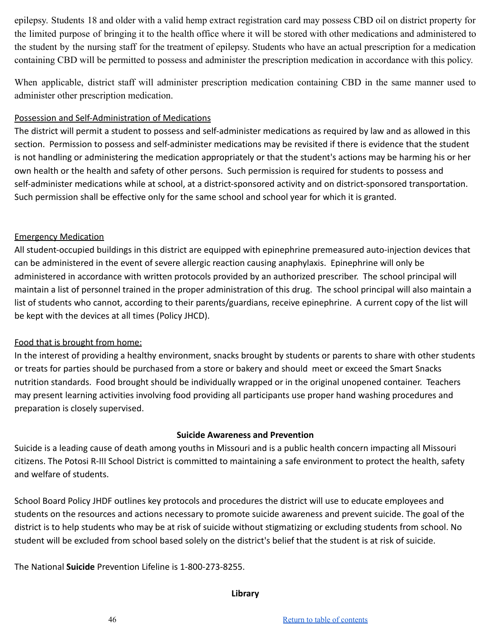epilepsy. Students 18 and older with a valid hemp extract registration card may possess CBD oil on district property for the limited purpose of bringing it to the health office where it will be stored with other medications and administered to the student by the nursing staff for the treatment of epilepsy. Students who have an actual prescription for a medication containing CBD will be permitted to possess and administer the prescription medication in accordance with this policy.

When applicable, district staff will administer prescription medication containing CBD in the same manner used to administer other prescription medication.

#### Possession and Self-Administration of Medications

The district will permit a student to possess and self-administer medications as required by law and as allowed in this section. Permission to possess and self-administer medications may be revisited if there is evidence that the student is not handling or administering the medication appropriately or that the student's actions may be harming his or her own health or the health and safety of other persons. Such permission is required for students to possess and self-administer medications while at school, at a district-sponsored activity and on district-sponsored transportation. Such permission shall be effective only for the same school and school year for which it is granted.

#### Emergency Medication

All student-occupied buildings in this district are equipped with epinephrine premeasured auto-injection devices that can be administered in the event of severe allergic reaction causing anaphylaxis. Epinephrine will only be administered in accordance with written protocols provided by an authorized prescriber. The school principal will maintain a list of personnel trained in the proper administration of this drug. The school principal will also maintain a list of students who cannot, according to their parents/guardians, receive epinephrine. A current copy of the list will be kept with the devices at all times (Policy JHCD).

# Food that is brought from home:

In the interest of providing a healthy environment, snacks brought by students or parents to share with other students or treats for parties should be purchased from a store or bakery and should meet or exceed the Smart Snacks nutrition standards. Food brought should be individually wrapped or in the original unopened container. Teachers may present learning activities involving food providing all participants use proper hand washing procedures and preparation is closely supervised.

#### **Suicide Awareness and Prevention**

<span id="page-45-1"></span>Suicide is a leading cause of death among youths in Missouri and is a public health concern impacting all Missouri citizens. The Potosi R-III School District is committed to maintaining a safe environment to protect the health, safety and welfare of students.

School Board Policy JHDF outlines key protocols and procedures the district will use to educate employees and students on the resources and actions necessary to promote suicide awareness and prevent suicide. The goal of the district is to help students who may be at risk of suicide without stigmatizing or excluding students from school. No student will be excluded from school based solely on the district's belief that the student is at risk of suicide.

<span id="page-45-0"></span>The National **Suicide** Prevention Lifeline is 1-800-273-8255.

#### **Library**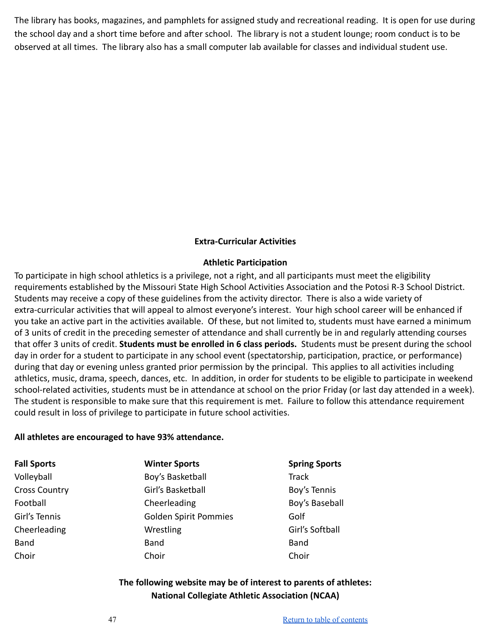The library has books, magazines, and pamphlets for assigned study and recreational reading. It is open for use during the school day and a short time before and after school. The library is not a student lounge; room conduct is to be observed at all times. The library also has a small computer lab available for classes and individual student use.

# **Extra-Curricular Activities**

#### **Athletic Participation**

<span id="page-46-1"></span><span id="page-46-0"></span>To participate in high school athletics is a privilege, not a right, and all participants must meet the eligibility requirements established by the Missouri State High School Activities Association and the Potosi R-3 School District. Students may receive a copy of these guidelines from the activity director. There is also a wide variety of extra-curricular activities that will appeal to almost everyone's interest. Your high school career will be enhanced if you take an active part in the activities available. Of these, but not limited to, students must have earned a minimum of 3 units of credit in the preceding semester of attendance and shall currently be in and regularly attending courses that offer 3 units of credit. **Students must be enrolled in 6 class periods.** Students must be present during the school day in order for a student to participate in any school event (spectatorship, participation, practice, or performance) during that day or evening unless granted prior permission by the principal. This applies to all activities including athletics, music, drama, speech, dances, etc. In addition, in order for students to be eligible to participate in weekend school-related activities, students must be in attendance at school on the prior Friday (or last day attended in a week). The student is responsible to make sure that this requirement is met. Failure to follow this attendance requirement could result in loss of privilege to participate in future school activities.

#### **All athletes are encouraged to have 93% attendance.**

| <b>Fall Sports</b>   | <b>Winter Sports</b>         | <b>Spring Sports</b> |
|----------------------|------------------------------|----------------------|
| Volleyball           | Boy's Basketball             | <b>Track</b>         |
| <b>Cross Country</b> | Girl's Basketball            | Boy's Tennis         |
| Football             | Cheerleading                 | Boy's Baseball       |
| Girl's Tennis        | <b>Golden Spirit Pommies</b> | Golf                 |
| Cheerleading         | Wrestling                    | Girl's Softball      |
| <b>Band</b>          | <b>Band</b>                  | <b>Band</b>          |
| Choir                | Choir                        | Choir                |

# **The following website may be of interest to parents of athletes: National Collegiate Athletic Association (NCAA)**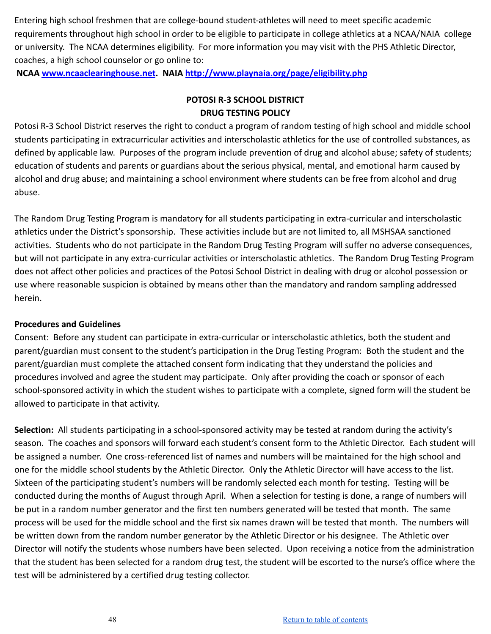Entering high school freshmen that are college-bound student-athletes will need to meet specific academic requirements throughout high school in order to be eligible to participate in college athletics at a NCAA/NAIA college or university. The NCAA determines eligibility. For more information you may visit with the PHS Athletic Director, coaches, a high school counselor or go online to:

<span id="page-47-0"></span>**NCAA [www.ncaaclearinghouse.net](http://www.ncaaclearinghouse.net). NAIA <http://www.playnaia.org/page/eligibility.php>**

# **POTOSI R-3 SCHOOL DISTRICT DRUG TESTING POLICY**

Potosi R-3 School District reserves the right to conduct a program of random testing of high school and middle school students participating in extracurricular activities and interscholastic athletics for the use of controlled substances, as defined by applicable law. Purposes of the program include prevention of drug and alcohol abuse; safety of students; education of students and parents or guardians about the serious physical, mental, and emotional harm caused by alcohol and drug abuse; and maintaining a school environment where students can be free from alcohol and drug abuse.

The Random Drug Testing Program is mandatory for all students participating in extra-curricular and interscholastic athletics under the District's sponsorship. These activities include but are not limited to, all MSHSAA sanctioned activities. Students who do not participate in the Random Drug Testing Program will suffer no adverse consequences, but will not participate in any extra-curricular activities or interscholastic athletics. The Random Drug Testing Program does not affect other policies and practices of the Potosi School District in dealing with drug or alcohol possession or use where reasonable suspicion is obtained by means other than the mandatory and random sampling addressed herein.

# **Procedures and Guidelines**

Consent: Before any student can participate in extra-curricular or interscholastic athletics, both the student and parent/guardian must consent to the student's participation in the Drug Testing Program: Both the student and the parent/guardian must complete the attached consent form indicating that they understand the policies and procedures involved and agree the student may participate. Only after providing the coach or sponsor of each school-sponsored activity in which the student wishes to participate with a complete, signed form will the student be allowed to participate in that activity.

**Selection:** All students participating in a school-sponsored activity may be tested at random during the activity's season. The coaches and sponsors will forward each student's consent form to the Athletic Director. Each student will be assigned a number. One cross-referenced list of names and numbers will be maintained for the high school and one for the middle school students by the Athletic Director. Only the Athletic Director will have access to the list. Sixteen of the participating student's numbers will be randomly selected each month for testing. Testing will be conducted during the months of August through April. When a selection for testing is done, a range of numbers will be put in a random number generator and the first ten numbers generated will be tested that month. The same process will be used for the middle school and the first six names drawn will be tested that month. The numbers will be written down from the random number generator by the Athletic Director or his designee. The Athletic over Director will notify the students whose numbers have been selected. Upon receiving a notice from the administration that the student has been selected for a random drug test, the student will be escorted to the nurse's office where the test will be administered by a certified drug testing collector.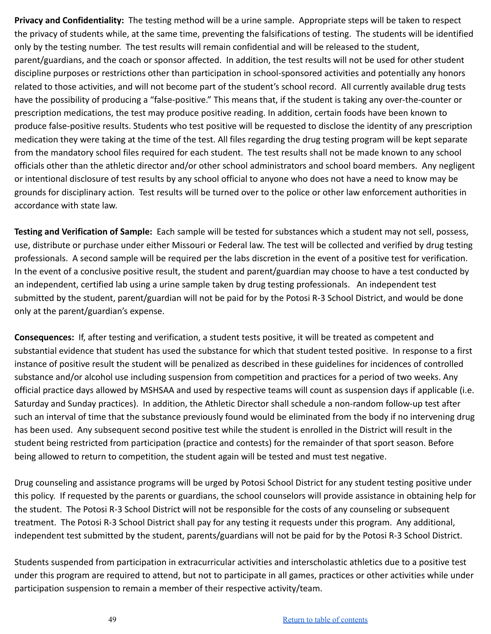**Privacy and Confidentiality:** The testing method will be a urine sample. Appropriate steps will be taken to respect the privacy of students while, at the same time, preventing the falsifications of testing. The students will be identified only by the testing number. The test results will remain confidential and will be released to the student, parent/guardians, and the coach or sponsor affected. In addition, the test results will not be used for other student discipline purposes or restrictions other than participation in school-sponsored activities and potentially any honors related to those activities, and will not become part of the student's school record. All currently available drug tests have the possibility of producing a "false-positive." This means that, if the student is taking any over-the-counter or prescription medications, the test may produce positive reading. In addition, certain foods have been known to produce false-positive results. Students who test positive will be requested to disclose the identity of any prescription medication they were taking at the time of the test. All files regarding the drug testing program will be kept separate from the mandatory school files required for each student. The test results shall not be made known to any school officials other than the athletic director and/or other school administrators and school board members. Any negligent or intentional disclosure of test results by any school official to anyone who does not have a need to know may be grounds for disciplinary action. Test results will be turned over to the police or other law enforcement authorities in accordance with state law.

**Testing and Verification of Sample:** Each sample will be tested for substances which a student may not sell, possess, use, distribute or purchase under either Missouri or Federal law. The test will be collected and verified by drug testing professionals. A second sample will be required per the labs discretion in the event of a positive test for verification. In the event of a conclusive positive result, the student and parent/guardian may choose to have a test conducted by an independent, certified lab using a urine sample taken by drug testing professionals. An independent test submitted by the student, parent/guardian will not be paid for by the Potosi R-3 School District, and would be done only at the parent/guardian's expense.

**Consequences:** If, after testing and verification, a student tests positive, it will be treated as competent and substantial evidence that student has used the substance for which that student tested positive. In response to a first instance of positive result the student will be penalized as described in these guidelines for incidences of controlled substance and/or alcohol use including suspension from competition and practices for a period of two weeks. Any official practice days allowed by MSHSAA and used by respective teams will count as suspension days if applicable (i.e. Saturday and Sunday practices). In addition, the Athletic Director shall schedule a non-random follow-up test after such an interval of time that the substance previously found would be eliminated from the body if no intervening drug has been used. Any subsequent second positive test while the student is enrolled in the District will result in the student being restricted from participation (practice and contests) for the remainder of that sport season. Before being allowed to return to competition, the student again will be tested and must test negative.

Drug counseling and assistance programs will be urged by Potosi School District for any student testing positive under this policy. If requested by the parents or guardians, the school counselors will provide assistance in obtaining help for the student. The Potosi R-3 School District will not be responsible for the costs of any counseling or subsequent treatment. The Potosi R-3 School District shall pay for any testing it requests under this program. Any additional, independent test submitted by the student, parents/guardians will not be paid for by the Potosi R-3 School District.

Students suspended from participation in extracurricular activities and interscholastic athletics due to a positive test under this program are required to attend, but not to participate in all games, practices or other activities while under participation suspension to remain a member of their respective activity/team.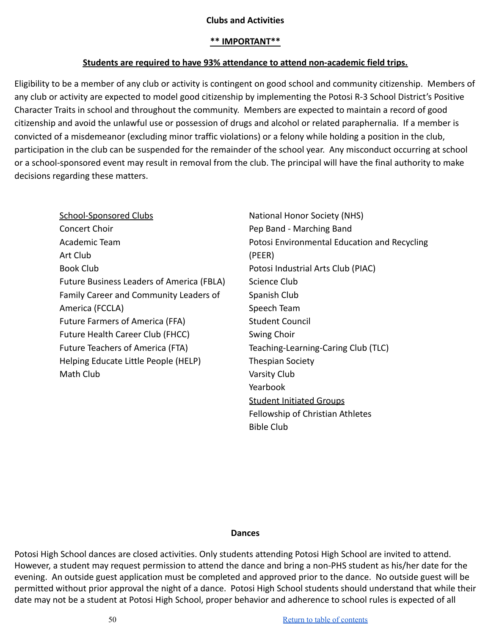## **Clubs and Activities**

#### **\*\* IMPORTANT\*\***

## **Students are required to have 93% attendance to attend non-academic field trips.**

<span id="page-49-0"></span>Eligibility to be a member of any club or activity is contingent on good school and community citizenship. Members of any club or activity are expected to model good citizenship by implementing the Potosi R-3 School District's Positive Character Traits in school and throughout the community. Members are expected to maintain a record of good citizenship and avoid the unlawful use or possession of drugs and alcohol or related paraphernalia. If a member is convicted of a misdemeanor (excluding minor traffic violations) or a felony while holding a position in the club, participation in the club can be suspended for the remainder of the school year. Any misconduct occurring at school or a school-sponsored event may result in removal from the club. The principal will have the final authority to make decisions regarding these matters.

| <b>School-Sponsored Clubs</b>                    |
|--------------------------------------------------|
| Concert Choir                                    |
| Academic Team                                    |
| Art Club                                         |
| <b>Book Club</b>                                 |
| <b>Future Business Leaders of America (FBLA)</b> |
| Family Career and Community Leaders of           |
| America (FCCLA)                                  |
| <b>Future Farmers of America (FFA)</b>           |
| <b>Future Health Career Club (FHCC)</b>          |
| <b>Future Teachers of America (FTA)</b>          |
| Helping Educate Little People (HELP)             |
| Math Club                                        |

National Honor Society (NHS) Pep Band - Marching Band Potosi Environmental Education and Recycling (PEER) Potosi Industrial Arts Club (PIAC) Science Club Spanish Club Speech Team Student Council Swing Choir Teaching-Learning-Caring Club (TLC) Thespian Society Varsity Club Yearbook Student Initiated Groups Fellowship of Christian Athletes Bible Club

#### **Dances**

<span id="page-49-1"></span>Potosi High School dances are closed activities. Only students attending Potosi High School are invited to attend. However, a student may request permission to attend the dance and bring a non-PHS student as his/her date for the evening. An outside guest application must be completed and approved prior to the dance. No outside guest will be permitted without prior approval the night of a dance. Potosi High School students should understand that while their date may not be a student at Potosi High School, proper behavior and adherence to school rules is expected of all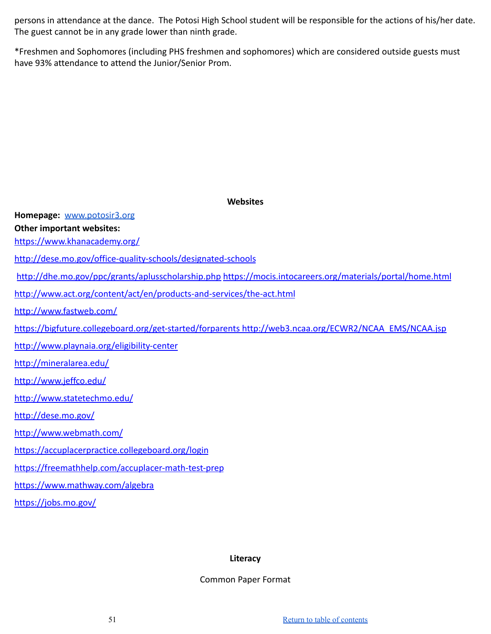persons in attendance at the dance. The Potosi High School student will be responsible for the actions of his/her date. The guest cannot be in any grade lower than ninth grade.

\*Freshmen and Sophomores (including PHS freshmen and sophomores) which are considered outside guests must have 93% attendance to attend the Junior/Senior Prom.

#### **Websites**

#### <span id="page-50-0"></span>**Homepage:** [www.potosir3.org](http://www.potosir3.org)

#### **Other important websites:**

<https://www.khanacademy.org/>

<http://dese.mo.gov/office-quality-schools/designated-schools>

<http://dhe.mo.gov/ppc/grants/aplusscholarship.php> <https://mocis.intocareers.org/materials/portal/home.html>

<http://www.act.org/content/act/en/products-and-services/the-act.html>

<http://www.fastweb.com/>

<https://bigfuture.collegeboard.org/get-started/forparents> [http://web3.ncaa.org/ECWR2/NCAA\\_EMS/NCAA.jsp](http://web3.ncaa.org/ECWR2/NCAA_EMS/NCAA.jsp)

<http://www.playnaia.org/eligibility-center>

http://mineralarea.edu/

<http://www.jeffco.edu/>

<http://www.statetechmo.edu/>

<http://dese.mo.gov/>

<http://www.webmath.com/>

<https://accuplacerpractice.collegeboard.org/login>

<https://freemathhelp.com/accuplacer-math-test-prep>

<https://www.mathway.com/algebra>

<span id="page-50-2"></span><span id="page-50-1"></span><https://jobs.mo.gov/>

#### **Literacy**

Common Paper Format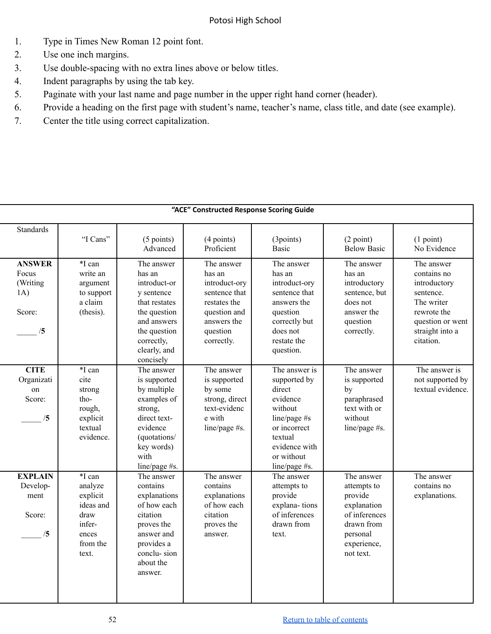# Potosi High School

- 1. Type in Times New Roman 12 point font.
- 2. Use one inch margins.
- 3. Use double-spacing with no extra lines above or below titles.
- 4. Indent paragraphs by using the tab key.
- 5. Paginate with your last name and page number in the upper right hand corner (header).
- 6. Provide a heading on the first page with student's name, teacher's name, class title, and date (see example).
- 7. Center the title using correct capitalization.

<span id="page-51-0"></span>

| "ACE" Constructed Response Scoring Guide                  |                                                                                            |                                                                                                                                                               |                                                                                                                                 |                                                                                                                                                           |                                                                                                                            |                                                                                                                                         |
|-----------------------------------------------------------|--------------------------------------------------------------------------------------------|---------------------------------------------------------------------------------------------------------------------------------------------------------------|---------------------------------------------------------------------------------------------------------------------------------|-----------------------------------------------------------------------------------------------------------------------------------------------------------|----------------------------------------------------------------------------------------------------------------------------|-----------------------------------------------------------------------------------------------------------------------------------------|
| <b>Standards</b>                                          | "I Cans"                                                                                   | $(5$ points)<br>Advanced                                                                                                                                      | $(4$ points)<br>Proficient                                                                                                      | (3points)<br><b>Basic</b>                                                                                                                                 | (2 point)<br><b>Below Basic</b>                                                                                            | (1 point)<br>No Evidence                                                                                                                |
| <b>ANSWER</b><br>Focus<br>(Writing<br>1A)<br>Score:<br>/5 | *I can<br>write an<br>argument<br>to support<br>a claim<br>(thesis).                       | The answer<br>has an<br>introduct-or<br>y sentence<br>that restates<br>the question<br>and answers<br>the question<br>correctly,<br>clearly, and<br>concisely | The answer<br>has an<br>introduct-ory<br>sentence that<br>restates the<br>question and<br>answers the<br>question<br>correctly. | The answer<br>has an<br>introduct-ory<br>sentence that<br>answers the<br>question<br>correctly but<br>does not<br>restate the<br>question.                | The answer<br>has an<br>introductory<br>sentence, but<br>does not<br>answer the<br>question<br>correctly.                  | The answer<br>contains no<br>introductory<br>sentence.<br>The writer<br>rewrote the<br>question or went<br>straight into a<br>citation. |
| <b>CITE</b><br>Organizati<br>on<br>Score:<br>/5           | *I can<br>cite<br>strong<br>tho-<br>rough,<br>explicit<br>textual<br>evidence.             | The answer<br>is supported<br>by multiple<br>examples of<br>strong,<br>direct text-<br>evidence<br>(quotations/<br>key words)<br>with<br>line/page #s.        | The answer<br>is supported<br>by some<br>strong, direct<br>text-evidenc<br>e with<br>line/page #s.                              | The answer is<br>supported by<br>direct<br>evidence<br>without<br>line/page #s<br>or incorrect<br>textual<br>evidence with<br>or without<br>line/page #s. | The answer<br>is supported<br>by<br>paraphrased<br>text with or<br>without<br>line/page #s.                                | The answer is<br>not supported by<br>textual evidence.                                                                                  |
| <b>EXPLAIN</b><br>Develop-<br>ment<br>Score:<br>/5        | *I can<br>analyze<br>explicit<br>ideas and<br>draw<br>infer-<br>ences<br>from the<br>text. | The answer<br>contains<br>explanations<br>of how each<br>citation<br>proves the<br>answer and<br>provides a<br>conclu-sion<br>about the<br>answer.            | The answer<br>contains<br>explanations<br>of how each<br>citation<br>proves the<br>answer.                                      | The answer<br>attempts to<br>provide<br>explana-tions<br>of inferences<br>drawn from<br>text.                                                             | The answer<br>attempts to<br>provide<br>explanation<br>of inferences<br>drawn from<br>personal<br>experience,<br>not text. | The answer<br>contains no<br>explanations.                                                                                              |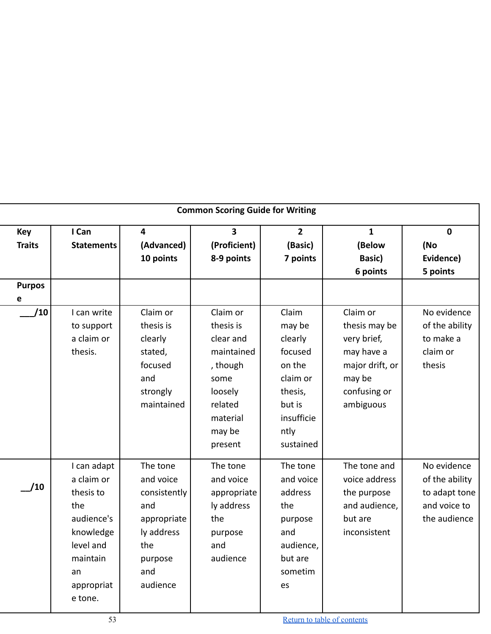<span id="page-52-0"></span>

| <b>Common Scoring Guide for Writing</b> |                                                                                                                                  |                                                                                                                |                                                                                                                             |                                                                                                                     |                                                                                                                  |                                                                                |
|-----------------------------------------|----------------------------------------------------------------------------------------------------------------------------------|----------------------------------------------------------------------------------------------------------------|-----------------------------------------------------------------------------------------------------------------------------|---------------------------------------------------------------------------------------------------------------------|------------------------------------------------------------------------------------------------------------------|--------------------------------------------------------------------------------|
| Key<br><b>Traits</b>                    | I Can<br><b>Statements</b>                                                                                                       | 4<br>(Advanced)<br>10 points                                                                                   | $\overline{\mathbf{3}}$<br>(Proficient)<br>8-9 points                                                                       | $\overline{2}$<br>(Basic)<br>7 points                                                                               | $\mathbf{1}$<br>(Below<br>Basic)<br>6 points                                                                     | $\mathbf{0}$<br>(No<br>Evidence)<br>5 points                                   |
| <b>Purpos</b><br>е                      |                                                                                                                                  |                                                                                                                |                                                                                                                             |                                                                                                                     |                                                                                                                  |                                                                                |
| /10                                     | I can write<br>to support<br>a claim or<br>thesis.                                                                               | Claim or<br>thesis is<br>clearly<br>stated,<br>focused<br>and<br>strongly<br>maintained                        | Claim or<br>thesis is<br>clear and<br>maintained<br>, though<br>some<br>loosely<br>related<br>material<br>may be<br>present | Claim<br>may be<br>clearly<br>focused<br>on the<br>claim or<br>thesis,<br>but is<br>insufficie<br>ntly<br>sustained | Claim or<br>thesis may be<br>very brief,<br>may have a<br>major drift, or<br>may be<br>confusing or<br>ambiguous | No evidence<br>of the ability<br>to make a<br>claim or<br>thesis               |
| /10                                     | I can adapt<br>a claim or<br>thesis to<br>the<br>audience's<br>knowledge<br>level and<br>maintain<br>an<br>appropriat<br>e tone. | The tone<br>and voice<br>consistently<br>and<br>appropriate<br>ly address<br>the<br>purpose<br>and<br>audience | The tone<br>and voice<br>appropriate<br>ly address<br>the<br>purpose<br>and<br>audience                                     | The tone<br>and voice<br>address<br>the<br>purpose<br>and<br>audience,<br>but are<br>sometim<br>es                  | The tone and<br>voice address<br>the purpose<br>and audience,<br>but are<br>inconsistent                         | No evidence<br>of the ability<br>to adapt tone<br>and voice to<br>the audience |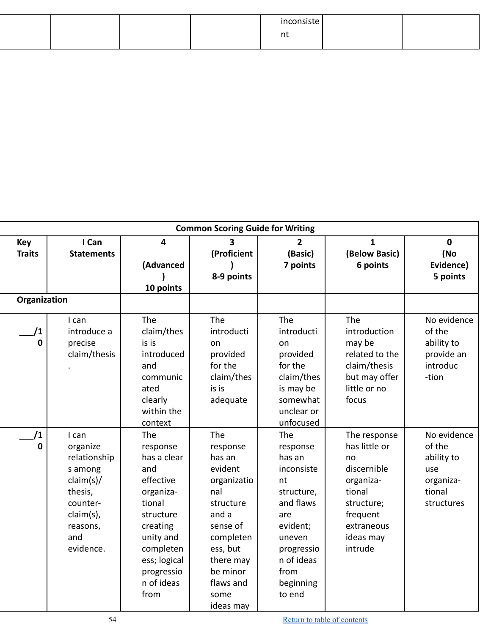|  |  | inconsiste                     |  |
|--|--|--------------------------------|--|
|  |  | $\overline{\phantom{a}}$<br>nτ |  |

| <b>Common Scoring Guide for Writing</b> |                                                                                                                                  |                                                                                                                                                                                  |                                                                                                                                                                                  |                                                                                                                                                                  |                                                                                                                                           |                                                                                 |
|-----------------------------------------|----------------------------------------------------------------------------------------------------------------------------------|----------------------------------------------------------------------------------------------------------------------------------------------------------------------------------|----------------------------------------------------------------------------------------------------------------------------------------------------------------------------------|------------------------------------------------------------------------------------------------------------------------------------------------------------------|-------------------------------------------------------------------------------------------------------------------------------------------|---------------------------------------------------------------------------------|
| <b>Key</b><br><b>Traits</b>             | I Can<br><b>Statements</b>                                                                                                       | $\overline{\mathbf{4}}$<br>(Advanced<br>10 points                                                                                                                                | 3<br>(Proficient<br>8-9 points                                                                                                                                                   | $\mathbf{2}$<br>(Basic)<br>7 points                                                                                                                              | $\mathbf{1}$<br>(Below Basic)<br>6 points                                                                                                 | $\mathbf 0$<br>(No<br>Evidence)<br>5 points                                     |
| Organization                            |                                                                                                                                  |                                                                                                                                                                                  |                                                                                                                                                                                  |                                                                                                                                                                  |                                                                                                                                           |                                                                                 |
| ′1<br>0                                 | I can<br>introduce a<br>precise<br>claim/thesis                                                                                  | The<br>claim/thes<br>is is<br>introduced<br>and<br>communic<br>ated<br>clearly<br>within the<br>context                                                                          | The<br>introducti<br>on<br>provided<br>for the<br>claim/thes<br>is is<br>adequate                                                                                                | The<br>introducti<br>on<br>provided<br>for the<br>claim/thes<br>is may be<br>somewhat<br>unclear or<br>unfocused                                                 | The<br>introduction<br>may be<br>related to the<br>claim/thesis<br>but may offer<br>little or no<br>focus                                 | No evidence<br>of the<br>ability to<br>provide an<br>introduc<br>-tion          |
| /1<br>0                                 | I can<br>organize<br>relationship<br>s among<br>$claim(s)$ /<br>thesis,<br>counter-<br>claim(s),<br>reasons,<br>and<br>evidence. | The<br>response<br>has a clear<br>and<br>effective<br>organiza-<br>tional<br>structure<br>creating<br>unity and<br>completen<br>ess; logical<br>progressio<br>n of ideas<br>from | The<br>response<br>has an<br>evident<br>organizatio<br>nal<br>structure<br>and a<br>sense of<br>completen<br>ess, but<br>there may<br>be minor<br>flaws and<br>some<br>ideas may | The<br>response<br>has an<br>inconsiste<br>nt<br>structure,<br>and flaws<br>are<br>evident;<br>uneven<br>progressio<br>n of ideas<br>from<br>beginning<br>to end | The response<br>has little or<br>no<br>discernible<br>organiza-<br>tional<br>structure;<br>frequent<br>extraneous<br>ideas may<br>intrude | No evidence<br>of the<br>ability to<br>use<br>organiza-<br>tional<br>structures |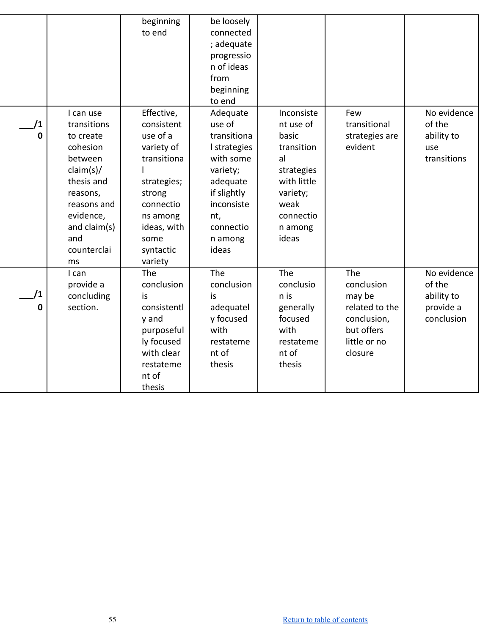|    |              | beginning   | be loosely        |                      |                |             |
|----|--------------|-------------|-------------------|----------------------|----------------|-------------|
|    |              | to end      | connected         |                      |                |             |
|    |              |             | ; adequate        |                      |                |             |
|    |              |             | progressio        |                      |                |             |
|    |              |             | n of ideas        |                      |                |             |
|    |              |             | from              |                      |                |             |
|    |              |             | beginning         |                      |                |             |
|    |              |             | to end            |                      |                |             |
|    | I can use    | Effective,  | Adequate          | Inconsiste           | Few            | No evidence |
| Ί  | transitions  | consistent  | use of            | nt use of            | transitional   | of the      |
| 0  | to create    | use of a    | transitiona       | basic                | strategies are | ability to  |
|    | cohesion     | variety of  | I strategies      | transition           | evident        | use         |
|    | between      | transitiona | with some         | al                   |                | transitions |
|    | $claim(s)$ / |             | variety;          | strategies           |                |             |
|    | thesis and   | strategies; | adequate          | with little          |                |             |
|    | reasons,     | strong      | if slightly       | variety;             |                |             |
|    | reasons and  | connectio   | inconsiste        | weak                 |                |             |
|    | evidence,    | ns among    | nt,               | connectio            |                |             |
|    | and claim(s) | ideas, with | connectio         | n among              |                |             |
|    | and          | some        | n among           | ideas                |                |             |
|    | counterclai  | syntactic   | ideas             |                      |                |             |
|    | ms           | variety     |                   |                      |                |             |
|    | I can        | The         | The               | The                  | The            | No evidence |
|    | provide a    | conclusion  | conclusion        | conclusio            | conclusion     | of the      |
| /1 | concluding   | is          | is                | n is                 | may be         | ability to  |
| 0  | section.     | consistentl |                   |                      | related to the | provide a   |
|    |              |             | adequatel         | generally<br>focused |                | conclusion  |
|    |              | y and       | y focused<br>with |                      | conclusion,    |             |
|    |              | purposeful  |                   | with                 | but offers     |             |
|    |              | ly focused  | restateme         | restateme            | little or no   |             |
|    |              | with clear  | nt of             | nt of                | closure        |             |
|    |              | restateme   | thesis            | thesis               |                |             |
|    |              | nt of       |                   |                      |                |             |
|    |              | thesis      |                   |                      |                |             |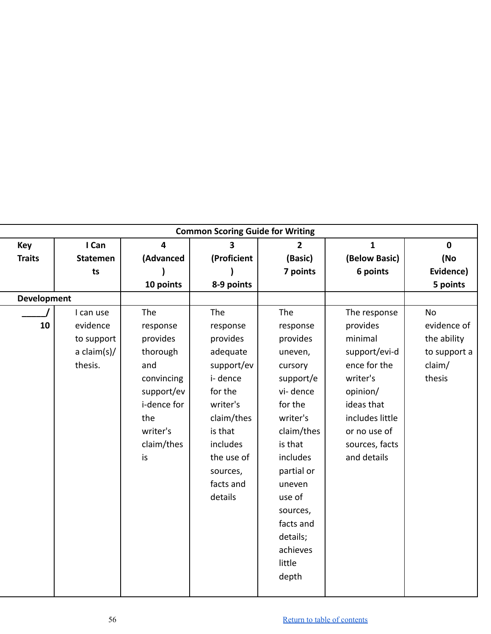|                    | <b>Common Scoring Guide for Writing</b> |                         |             |            |                 |              |  |
|--------------------|-----------------------------------------|-------------------------|-------------|------------|-----------------|--------------|--|
| <b>Key</b>         | I Can                                   | $\overline{\mathbf{4}}$ | 3           | 2          | $\mathbf{1}$    | $\mathbf 0$  |  |
| <b>Traits</b>      | <b>Statemen</b>                         | (Advanced               | (Proficient | (Basic)    | (Below Basic)   | (No          |  |
|                    | ts                                      |                         |             | 7 points   | 6 points        | Evidence)    |  |
|                    |                                         | 10 points               | 8-9 points  |            |                 | 5 points     |  |
| <b>Development</b> |                                         |                         |             |            |                 |              |  |
|                    | I can use                               | The                     | The         | The        | The response    | <b>No</b>    |  |
| 10                 | evidence                                | response                | response    | response   | provides        | evidence of  |  |
|                    | to support                              | provides                | provides    | provides   | minimal         | the ability  |  |
|                    | a claim $(s)/$                          | thorough                | adequate    | uneven,    | support/evi-d   | to support a |  |
|                    | thesis.                                 | and                     | support/ev  | cursory    | ence for the    | claim/       |  |
|                    |                                         | convincing              | i- dence    | support/e  | writer's        | thesis       |  |
|                    |                                         | support/ev              | for the     | vi-dence   | opinion/        |              |  |
|                    |                                         | i-dence for             | writer's    | for the    | ideas that      |              |  |
|                    |                                         | the                     | claim/thes  | writer's   | includes little |              |  |
|                    |                                         | writer's                | is that     | claim/thes | or no use of    |              |  |
|                    |                                         | claim/thes              | includes    | is that    | sources, facts  |              |  |
|                    |                                         | is                      | the use of  | includes   | and details     |              |  |
|                    |                                         |                         | sources,    | partial or |                 |              |  |
|                    |                                         |                         | facts and   | uneven     |                 |              |  |
|                    |                                         |                         | details     | use of     |                 |              |  |
|                    |                                         |                         |             | sources,   |                 |              |  |
|                    |                                         |                         |             | facts and  |                 |              |  |
|                    |                                         |                         |             | details;   |                 |              |  |
|                    |                                         |                         |             | achieves   |                 |              |  |
|                    |                                         |                         |             | little     |                 |              |  |
|                    |                                         |                         |             | depth      |                 |              |  |
|                    |                                         |                         |             |            |                 |              |  |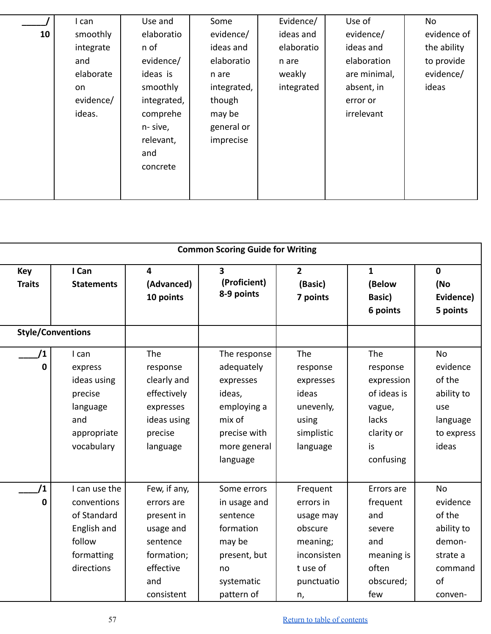|    | I can     | Use and     | Some        | Evidence/  | Use of       | No          |
|----|-----------|-------------|-------------|------------|--------------|-------------|
| 10 | smoothly  | elaboratio  | evidence/   | ideas and  | evidence/    | evidence of |
|    | integrate | n of        | ideas and   | elaboratio | ideas and    | the ability |
|    | and       | evidence/   | elaboratio  | n are      | elaboration  | to provide  |
|    | elaborate | ideas is    | n are       | weakly     | are minimal, | evidence/   |
|    | on.       | smoothly    | integrated, | integrated | absent, in   | ideas       |
|    | evidence/ | integrated, | though      |            | error or     |             |
|    | ideas.    | comprehe    | may be      |            | irrelevant   |             |
|    |           | n- sive,    | general or  |            |              |             |
|    |           | relevant,   | imprecise   |            |              |             |
|    |           | and         |             |            |              |             |
|    |           | concrete    |             |            |              |             |
|    |           |             |             |            |              |             |
|    |           |             |             |            |              |             |
|    |           |             |             |            |              |             |

| <b>Common Scoring Guide for Writing</b> |                                                                                                  |                                                                                                                   |                                                                                                                        |                                                                                                          |                                                                                                  |                                                                                                 |
|-----------------------------------------|--------------------------------------------------------------------------------------------------|-------------------------------------------------------------------------------------------------------------------|------------------------------------------------------------------------------------------------------------------------|----------------------------------------------------------------------------------------------------------|--------------------------------------------------------------------------------------------------|-------------------------------------------------------------------------------------------------|
| <b>Key</b><br><b>Traits</b>             | I Can<br><b>Statements</b>                                                                       | $\overline{\mathbf{4}}$<br>(Advanced)<br>10 points                                                                | 3<br>(Proficient)<br>8-9 points                                                                                        | $\overline{2}$<br>(Basic)<br>7 points                                                                    | $\mathbf{1}$<br>(Below<br>Basic)<br>6 points                                                     | $\mathbf 0$<br>(No<br>Evidence)<br>5 points                                                     |
|                                         | <b>Style/Conventions</b>                                                                         |                                                                                                                   |                                                                                                                        |                                                                                                          |                                                                                                  |                                                                                                 |
| /1<br>0                                 | I can<br>express<br>ideas using<br>precise<br>language<br>and<br>appropriate<br>vocabulary       | The<br>response<br>clearly and<br>effectively<br>expresses<br>ideas using<br>precise<br>language                  | The response<br>adequately<br>expresses<br>ideas,<br>employing a<br>mix of<br>precise with<br>more general<br>language | The<br>response<br>expresses<br>ideas<br>unevenly,<br>using<br>simplistic<br>language                    | The<br>response<br>expression<br>of ideas is<br>vague,<br>lacks<br>clarity or<br>is<br>confusing | <b>No</b><br>evidence<br>of the<br>ability to<br>use<br>language<br>to express<br>ideas         |
| $\sqrt{1}$<br>0                         | I can use the<br>conventions<br>of Standard<br>English and<br>follow<br>formatting<br>directions | Few, if any,<br>errors are<br>present in<br>usage and<br>sentence<br>formation;<br>effective<br>and<br>consistent | Some errors<br>in usage and<br>sentence<br>formation<br>may be<br>present, but<br>no<br>systematic<br>pattern of       | Frequent<br>errors in<br>usage may<br>obscure<br>meaning;<br>inconsisten<br>t use of<br>punctuatio<br>n, | Errors are<br>frequent<br>and<br>severe<br>and<br>meaning is<br>often<br>obscured;<br>few        | <b>No</b><br>evidence<br>of the<br>ability to<br>demon-<br>strate a<br>command<br>of<br>conven- |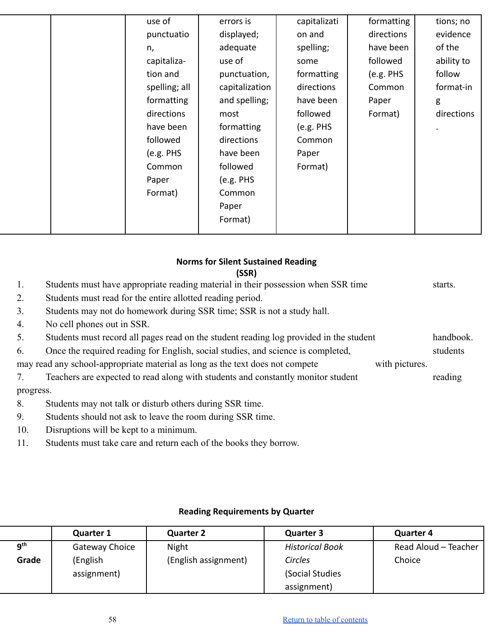|  | use of        | errors is      | capitalizati | formatting | tions; no  |
|--|---------------|----------------|--------------|------------|------------|
|  | punctuatio    | displayed;     | on and       | directions | evidence   |
|  | n,            | adequate       | spelling;    | have been  | of the     |
|  | capitaliza-   | use of         | some         | followed   | ability to |
|  | tion and      | punctuation,   | formatting   | (e.g. PHS  | follow     |
|  | spelling; all | capitalization | directions   | Common     | format-in  |
|  | formatting    | and spelling;  | have been    | Paper      | g          |
|  | directions    | most           | followed     | Format)    | directions |
|  | have been     | formatting     | (e.g. PHS    |            |            |
|  | followed      | directions     | Common       |            |            |
|  | (e.g. PHS     | have been      | Paper        |            |            |
|  | Common        | followed       | Format)      |            |            |
|  | Paper         | (e.g. PHS)     |              |            |            |
|  | Format)       | Common         |              |            |            |
|  |               | Paper          |              |            |            |
|  |               | Format)        |              |            |            |
|  |               |                |              |            |            |

# **Norms for Silent Sustained Reading**

#### **(SSR)**

<span id="page-57-0"></span>

| $\mathbf{1}$ . | Students must have appropriate reading material in their possession when SSR time      |                | starts.   |
|----------------|----------------------------------------------------------------------------------------|----------------|-----------|
| 2.             | Students must read for the entire allotted reading period.                             |                |           |
| 3.             | Students may not do homework during SSR time; SSR is not a study hall.                 |                |           |
| 4.             | No cell phones out in SSR.                                                             |                |           |
| 5.             | Students must record all pages read on the student reading log provided in the student |                | handbook. |
| 6.             | Once the required reading for English, social studies, and science is completed,       |                | students  |
|                | may read any school-appropriate material as long as the text does not compete          | with pictures. |           |
|                | Teachers are expected to read along with students and constantly monitor student       |                | reading   |
| progress.      |                                                                                        |                |           |
|                | $\alpha$ Ctud onto move not toll and inturb other during CCD time                      |                |           |

- 8. Students may not talk or disturb others during SSR time.
- 9. Students should not ask to leave the room during SSR time.
- 10. Disruptions will be kept to a minimum.
- 11. Students must take care and return each of the books they borrow.

<span id="page-57-1"></span>

|                 | <b>Quarter 1</b> | <b>Quarter 2</b>     | <b>Quarter 3</b>       | <b>Quarter 4</b>     |
|-----------------|------------------|----------------------|------------------------|----------------------|
| q <sup>th</sup> | Gateway Choice   | Night                | <b>Historical Book</b> | Read Aloud - Teacher |
| Grade           | (English         | (English assignment) | <b>Circles</b>         | Choice               |
|                 | assignment)      |                      | (Social Studies        |                      |
|                 |                  |                      | assignment)            |                      |

# **Reading Requirements by Quarter**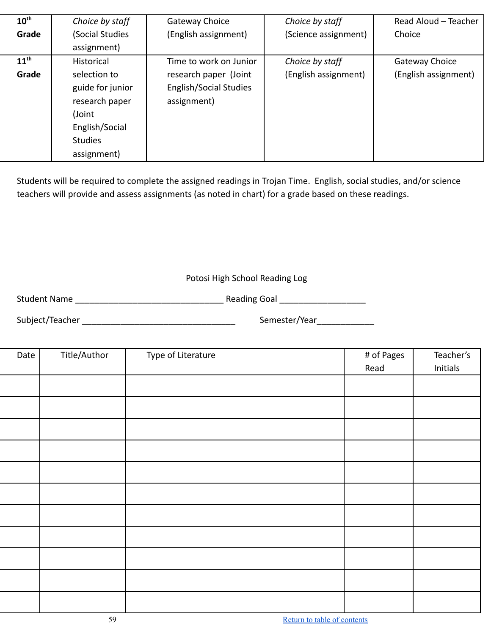| $10^{\text{th}}$ | Choice by staff   | Gateway Choice                | Choice by staff      | Read Aloud - Teacher |
|------------------|-------------------|-------------------------------|----------------------|----------------------|
| Grade            | (Social Studies   | (English assignment)          | (Science assignment) | Choice               |
|                  | assignment)       |                               |                      |                      |
| $11^{\text{th}}$ | <b>Historical</b> | Time to work on Junior        | Choice by staff      | Gateway Choice       |
| Grade            | selection to      | research paper (Joint         | (English assignment) | (English assignment) |
|                  | guide for junior  | <b>English/Social Studies</b> |                      |                      |
|                  | research paper    | assignment)                   |                      |                      |
|                  | (Joint            |                               |                      |                      |
|                  | English/Social    |                               |                      |                      |
|                  | <b>Studies</b>    |                               |                      |                      |
|                  | assignment)       |                               |                      |                      |

Students will be required to complete the assigned readings in Trojan Time. English, social studies, and/or science teachers will provide and assess assignments (as noted in chart) for a grade based on these readings.

| Potosi High School Reading Log |
|--------------------------------|
|--------------------------------|

<span id="page-58-0"></span>

| <b>Student Name</b> | <b>Reading Goal</b> |
|---------------------|---------------------|
|                     |                     |

Subject/Teacher \_\_\_\_\_\_\_\_\_\_\_\_\_\_\_\_\_\_\_\_\_\_\_\_\_\_\_\_\_\_\_\_ Semester/Year\_\_\_\_\_\_\_\_\_\_\_\_

| Date | Title/Author | Type of Literature | # of Pages | Teacher's |
|------|--------------|--------------------|------------|-----------|
|      |              |                    | Read       | Initials  |
|      |              |                    |            |           |
|      |              |                    |            |           |
|      |              |                    |            |           |
|      |              |                    |            |           |
|      |              |                    |            |           |
|      |              |                    |            |           |
|      |              |                    |            |           |
|      |              |                    |            |           |
|      |              |                    |            |           |
|      |              |                    |            |           |
|      |              |                    |            |           |